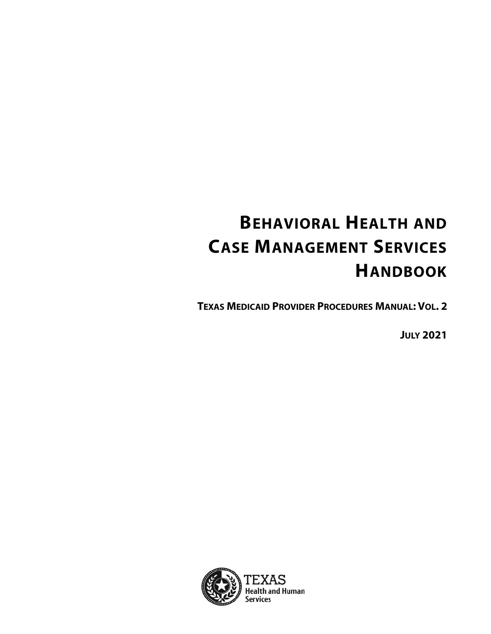# **BEHAVIORAL HEALTH AND CASE MANAGEMENT SERVICES HANDBOOK**

**TEXAS MEDICAID PROVIDER PROCEDURES MANUAL: VOL. 2**

**JULY 2021**

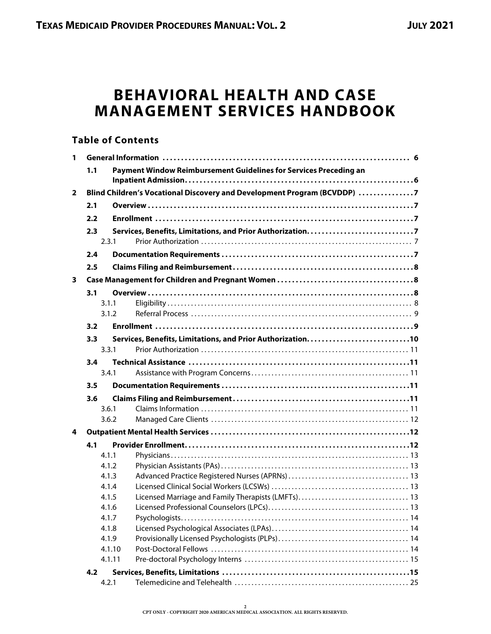# **BEHAVIORAL HEALTH AND CASE MANAGEMENT SERVICES HANDBOOK**

## **Table of Contents**

| 1              |       |                                                                          |
|----------------|-------|--------------------------------------------------------------------------|
|                | 1.1   | Payment Window Reimbursement Guidelines for Services Preceding an        |
|                |       |                                                                          |
| $\overline{2}$ |       | Blind Children's Vocational Discovery and Development Program (BCVDDP) 7 |
|                | 2.1   |                                                                          |
|                | 2.2   |                                                                          |
|                | 2.3   |                                                                          |
|                | 2.3.1 |                                                                          |
|                | 2.4   |                                                                          |
|                | 2.5   |                                                                          |
| 3              |       |                                                                          |
|                | 3.1   |                                                                          |
|                | 3.1.1 |                                                                          |
|                |       | 3.1.2                                                                    |
|                | 3.2   |                                                                          |
|                | 3.3   |                                                                          |
|                | 3.3.1 |                                                                          |
|                | 3.4   |                                                                          |
|                | 3.4.1 |                                                                          |
|                | 3.5   |                                                                          |
|                | 3.6   |                                                                          |
|                | 3.6.1 |                                                                          |
|                | 3.6.2 |                                                                          |
| 4              |       |                                                                          |
|                | 4.1   |                                                                          |
|                | 4.1.1 |                                                                          |
|                | 4.1.2 |                                                                          |
|                | 4.1.3 |                                                                          |
|                | 4.1.4 |                                                                          |
|                | 4.1.5 | Licensed Marriage and Family Therapists (LMFTs) 13                       |
|                | 4.1.6 |                                                                          |
|                | 4.1.7 |                                                                          |
|                | 4.1.8 |                                                                          |
|                | 4.1.9 |                                                                          |
|                |       | 4.1.10                                                                   |
|                |       | 4.1.11                                                                   |
|                | 4.2   |                                                                          |
|                | 4.2.1 |                                                                          |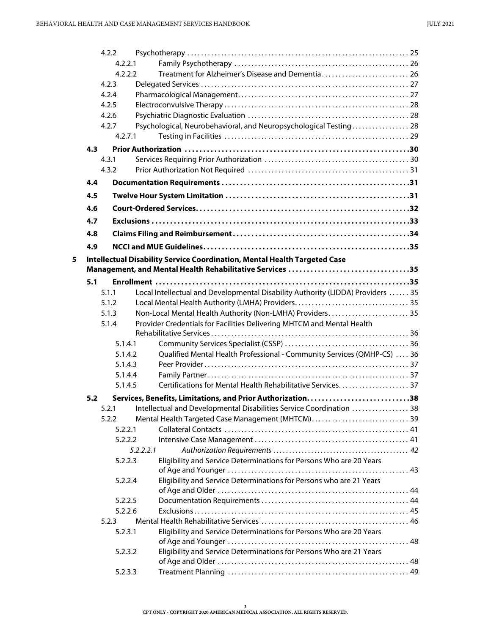|   | 4.2.2 |           |                                                                                 |  |
|---|-------|-----------|---------------------------------------------------------------------------------|--|
|   |       | 4.2.2.1   |                                                                                 |  |
|   |       | 4.2.2.2   | Treatment for Alzheimer's Disease and Dementia 26                               |  |
|   | 4.2.3 |           |                                                                                 |  |
|   | 4.2.4 |           |                                                                                 |  |
|   | 4.2.5 |           |                                                                                 |  |
|   | 4.2.6 |           |                                                                                 |  |
|   | 4.2.7 |           | Psychological, Neurobehavioral, and Neuropsychological Testing 28               |  |
|   |       | 4.2.7.1   |                                                                                 |  |
|   | 4.3   |           |                                                                                 |  |
|   | 4.3.1 |           |                                                                                 |  |
|   | 4.3.2 |           |                                                                                 |  |
|   | 4.4   |           |                                                                                 |  |
|   | 4.5   |           |                                                                                 |  |
|   | 4.6   |           |                                                                                 |  |
|   | 4.7   |           |                                                                                 |  |
|   | 4.8   |           |                                                                                 |  |
|   | 4.9   |           |                                                                                 |  |
| 5 |       |           | Intellectual Disability Service Coordination, Mental Health Targeted Case       |  |
|   |       |           | Management, and Mental Health Rehabilitative Services 35                        |  |
|   | 5.1   |           |                                                                                 |  |
|   | 5.1.1 |           | Local Intellectual and Developmental Disability Authority (LIDDA) Providers  35 |  |
|   | 5.1.2 |           |                                                                                 |  |
|   | 5.1.3 |           | Non-Local Mental Health Authority (Non-LMHA) Providers 35                       |  |
|   | 5.1.4 |           | Provider Credentials for Facilities Delivering MHTCM and Mental Health          |  |
|   |       |           |                                                                                 |  |
|   |       | 5.1.4.1   |                                                                                 |  |
|   |       | 5.1.4.2   | Qualified Mental Health Professional - Community Services (QMHP-CS)  36         |  |
|   |       | 5.1.4.3   |                                                                                 |  |
|   |       | 5.1.4.4   |                                                                                 |  |
|   |       | 5.1.4.5   | Certifications for Mental Health Rehabilitative Services 37                     |  |
|   | 5.2   |           |                                                                                 |  |
|   |       |           | 5.2.1 Intellectual and Developmental Disabilities Service Coordination  38      |  |
|   | 5.2.2 |           | Mental Health Targeted Case Management (MHTCM) 39                               |  |
|   |       | 5.2.2.1   |                                                                                 |  |
|   |       | 5.2.2.2   |                                                                                 |  |
|   |       | 5.2.2.2.1 |                                                                                 |  |
|   |       | 5.2.2.3   | Eligibility and Service Determinations for Persons Who are 20 Years             |  |
|   |       |           |                                                                                 |  |
|   |       | 5.2.2.4   | Eligibility and Service Determinations for Persons who are 21 Years             |  |
|   |       | 5.2.2.5   |                                                                                 |  |
|   |       | 5.2.2.6   |                                                                                 |  |
|   | 5.2.3 |           |                                                                                 |  |
|   |       | 5.2.3.1   | Eligibility and Service Determinations for Persons Who are 20 Years             |  |
|   |       |           |                                                                                 |  |
|   |       | 5.2.3.2   | Eligibility and Service Determinations for Persons Who are 21 Years             |  |
|   |       |           |                                                                                 |  |
|   |       | 5.2.3.3   |                                                                                 |  |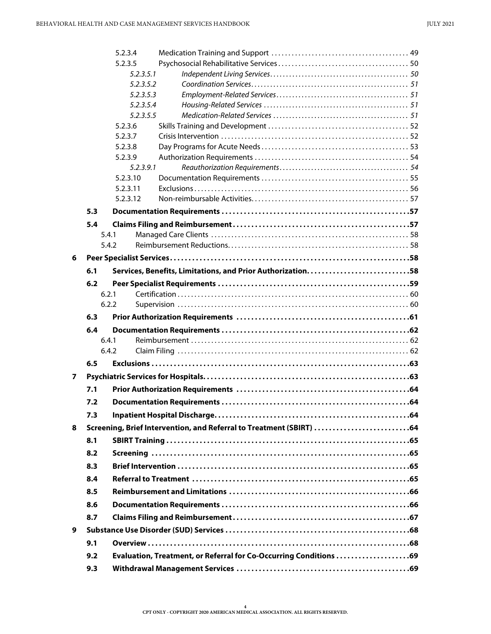|   | 5.2.3.4              |                                                                      |  |
|---|----------------------|----------------------------------------------------------------------|--|
|   | 5.2.3.5              |                                                                      |  |
|   | 5.2.3.5.1            |                                                                      |  |
|   | 5.2.3.5.2            |                                                                      |  |
|   | 5.2.3.5.3            |                                                                      |  |
|   | 5.2.3.5.4            |                                                                      |  |
|   | 5.2.3.5.5            |                                                                      |  |
|   | 5.2.3.6              |                                                                      |  |
|   | 5.2.3.7              |                                                                      |  |
|   | 5.2.3.8              |                                                                      |  |
|   | 5.2.3.9<br>5.2.3.9.1 |                                                                      |  |
|   | 5.2.3.10             |                                                                      |  |
|   | 5.2.3.11             |                                                                      |  |
|   | 5.2.3.12             |                                                                      |  |
|   | 5.3                  |                                                                      |  |
|   | 5.4                  |                                                                      |  |
|   | 5.4.1                |                                                                      |  |
|   | 5.4.2                |                                                                      |  |
|   |                      |                                                                      |  |
| 6 |                      |                                                                      |  |
|   | 6.1                  |                                                                      |  |
|   | 6.2                  |                                                                      |  |
|   | 6.2.1                |                                                                      |  |
|   | 6.2.2                |                                                                      |  |
|   |                      |                                                                      |  |
|   | 6.3                  |                                                                      |  |
|   | 6.4                  |                                                                      |  |
|   | 6.4.1                |                                                                      |  |
|   | 6.4.2                |                                                                      |  |
|   | 6.5                  |                                                                      |  |
| 7 |                      |                                                                      |  |
|   | 7.1                  |                                                                      |  |
|   | 7.2                  |                                                                      |  |
|   | 7.3                  |                                                                      |  |
| 8 |                      |                                                                      |  |
|   | 8.1                  | Screening, Brief Intervention, and Referral to Treatment (SBIRT)  64 |  |
|   |                      |                                                                      |  |
|   | 8.2                  |                                                                      |  |
|   | 8.3                  |                                                                      |  |
|   | 8.4                  |                                                                      |  |
|   | 8.5                  |                                                                      |  |
|   | 8.6                  |                                                                      |  |
|   | 8.7                  |                                                                      |  |
| 9 |                      |                                                                      |  |
|   | 9.1                  |                                                                      |  |
|   | 9.2                  | Evaluation, Treatment, or Referral for Co-Occurring Conditions 69    |  |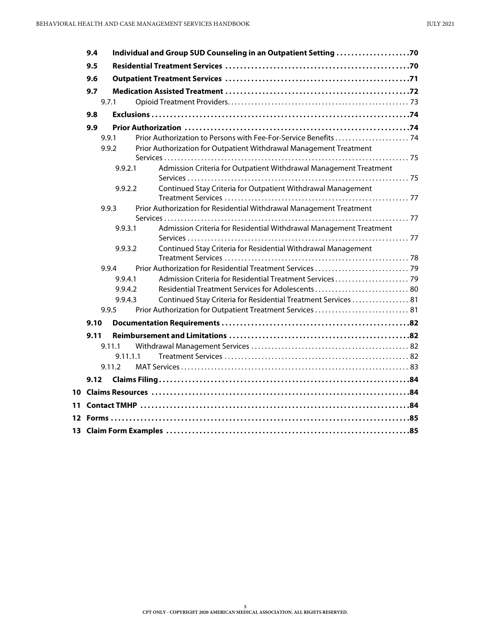| 9.4  |          | Individual and Group SUD Counseling in an Outpatient Setting 70     |  |
|------|----------|---------------------------------------------------------------------|--|
| 9.5  |          |                                                                     |  |
| 9.6  |          |                                                                     |  |
| 9.7  |          |                                                                     |  |
|      | 9.7.1    |                                                                     |  |
| 9.8  |          |                                                                     |  |
| 9.9  |          |                                                                     |  |
|      | 9.9.1    |                                                                     |  |
|      | 9.9.2    | Prior Authorization for Outpatient Withdrawal Management Treatment  |  |
|      |          |                                                                     |  |
|      | 9.9.2.1  | Admission Criteria for Outpatient Withdrawal Management Treatment   |  |
|      | 9.9.2.2  | Continued Stay Criteria for Outpatient Withdrawal Management        |  |
|      |          |                                                                     |  |
|      | 9.9.3    | Prior Authorization for Residential Withdrawal Management Treatment |  |
|      |          |                                                                     |  |
|      | 9.9.3.1  | Admission Criteria for Residential Withdrawal Management Treatment  |  |
|      | 9.9.3.2  | Continued Stay Criteria for Residential Withdrawal Management       |  |
|      |          |                                                                     |  |
|      | 9.9.4    |                                                                     |  |
|      | 9.9.4.1  | Admission Criteria for Residential Treatment Services 79            |  |
|      | 9.9.4.2  | Residential Treatment Services for Adolescents 80                   |  |
|      | 9.9.4.3  | Continued Stay Criteria for Residential Treatment Services  81      |  |
|      | 9.9.5    | Prior Authorization for Outpatient Treatment Services  81           |  |
| 9.10 |          |                                                                     |  |
| 9.11 |          |                                                                     |  |
|      | 9.11.1   |                                                                     |  |
|      | 9.11.1.1 |                                                                     |  |
|      | 9.11.2   |                                                                     |  |
| 9.12 |          |                                                                     |  |
|      |          |                                                                     |  |
|      |          |                                                                     |  |
|      |          |                                                                     |  |
|      |          |                                                                     |  |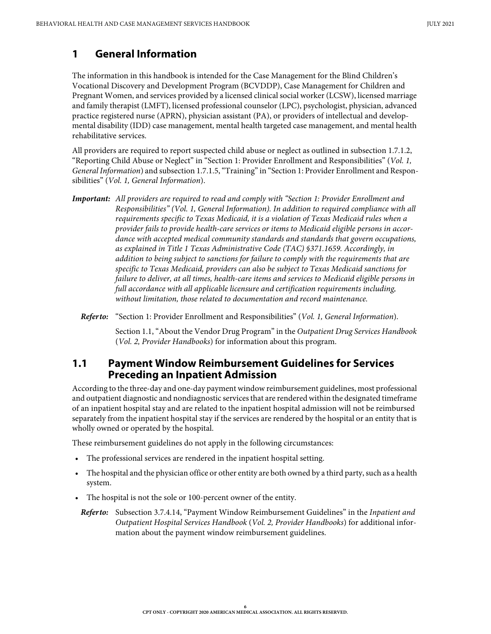## <span id="page-5-0"></span>**1 General Information**

The information in this handbook is intended for the Case Management for the Blind Children's Vocational Discovery and Development Program (BCVDDP), Case Management for Children and Pregnant Women, and services provided by a licensed clinical social worker (LCSW), licensed marriage and family therapist (LMFT), licensed professional counselor (LPC), psychologist, physician, advanced practice registered nurse (APRN), physician assistant (PA), or providers of intellectual and developmental disability (IDD) case management, mental health targeted case management, and mental health rehabilitative services.

All providers are required to report suspected child abuse or neglect as outlined in subsection 1.7.1.2, "Reporting Child Abuse or Neglect" in "Section 1: Provider Enrollment and Responsibilities" (*Vol. 1, General Information*) and subsection 1.7.1.5, "Training" in "Section 1: Provider Enrollment and Responsibilities" (*Vol. 1, General Information*).

*Important: All providers are required to read and comply with "Section 1: Provider Enrollment and Responsibilities" (Vol. 1, General Information). In addition to required compliance with all requirements specific to Texas Medicaid, it is a violation of Texas Medicaid rules when a provider fails to provide health-care services or items to Medicaid eligible persons in accordance with accepted medical community standards and standards that govern occupations, as explained in Title 1 Texas Administrative Code (TAC) §371.1659. Accordingly, in addition to being subject to sanctions for failure to comply with the requirements that are specific to Texas Medicaid, providers can also be subject to Texas Medicaid sanctions for failure to deliver, at all times, health-care items and services to Medicaid eligible persons in full accordance with all applicable licensure and certification requirements including, without limitation, those related to documentation and record maintenance.*

*Refer to:* "Section 1: Provider Enrollment and Responsibilities" (*Vol. 1, General Information*).

Section 1.1, "About the Vendor Drug Program" in the *Outpatient Drug Services Handbook* (*Vol. 2, Provider Handbooks*) for information about this program.

#### <span id="page-5-1"></span>**1.1 Payment Window Reimbursement Guidelines for Services Preceding an Inpatient Admission**

According to the three-day and one-day payment window reimbursement guidelines, most professional and outpatient diagnostic and nondiagnostic services that are rendered within the designated timeframe of an inpatient hospital stay and are related to the inpatient hospital admission will not be reimbursed separately from the inpatient hospital stay if the services are rendered by the hospital or an entity that is wholly owned or operated by the hospital.

These reimbursement guidelines do not apply in the following circumstances:

- The professional services are rendered in the inpatient hospital setting.
- The hospital and the physician office or other entity are both owned by a third party, such as a health system.
- The hospital is not the sole or 100-percent owner of the entity.

*Refer to:* Subsection 3.7.4.14, "Payment Window Reimbursement Guidelines" in the *Inpatient and Outpatient Hospital Services Handbook* (*Vol. 2, Provider Handbooks*) for additional information about the payment window reimbursement guidelines.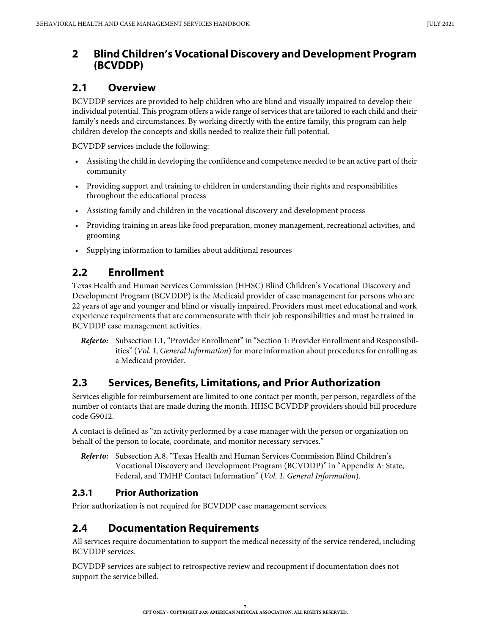# <span id="page-6-0"></span>**2 Blind Children's Vocational Discovery and Development Program (BCVDDP)**

# <span id="page-6-1"></span>**2.1 Overview**

BCVDDP services are provided to help children who are blind and visually impaired to develop their individual potential. This program offers a wide range of services that are tailored to each child and their family's needs and circumstances. By working directly with the entire family, this program can help children develop the concepts and skills needed to realize their full potential.

BCVDDP services include the following:

- Assisting the child in developing the confidence and competence needed to be an active part of their community
- Providing support and training to children in understanding their rights and responsibilities throughout the educational process
- Assisting family and children in the vocational discovery and development process
- Providing training in areas like food preparation, money management, recreational activities, and grooming
- Supplying information to families about additional resources

# <span id="page-6-2"></span>**2.2 Enrollment**

Texas Health and Human Services Commission (HHSC) Blind Children's Vocational Discovery and Development Program (BCVDDP) is the Medicaid provider of case management for persons who are 22 years of age and younger and blind or visually impaired. Providers must meet educational and work experience requirements that are commensurate with their job responsibilities and must be trained in BCVDDP case management activities.

*Refer to:* Subsection 1.1, "Provider Enrollment" in "Section 1: Provider Enrollment and Responsibilities" (*Vol. 1, General Information*) for more information about procedures for enrolling as a Medicaid provider.

# <span id="page-6-3"></span>**2.3 Services, Benefits, Limitations, and Prior Authorization**

Services eligible for reimbursement are limited to one contact per month, per person, regardless of the number of contacts that are made during the month. HHSC BCVDDP providers should bill procedure code G9012.

A contact is defined as "an activity performed by a case manager with the person or organization on behalf of the person to locate, coordinate, and monitor necessary services."

*Refer to:* Subsection A.8, "Texas Health and Human Services Commission Blind Children's Vocational Discovery and Development Program (BCVDDP)" in "Appendix A: State, Federal, and TMHP Contact Information" (*Vol. 1, General Information*).

## <span id="page-6-4"></span>**2.3.1 Prior Authorization**

Prior authorization is not required for BCVDDP case management services.

# <span id="page-6-5"></span>**2.4 Documentation Requirements**

All services require documentation to support the medical necessity of the service rendered, including BCVDDP services.

BCVDDP services are subject to retrospective review and recoupment if documentation does not support the service billed.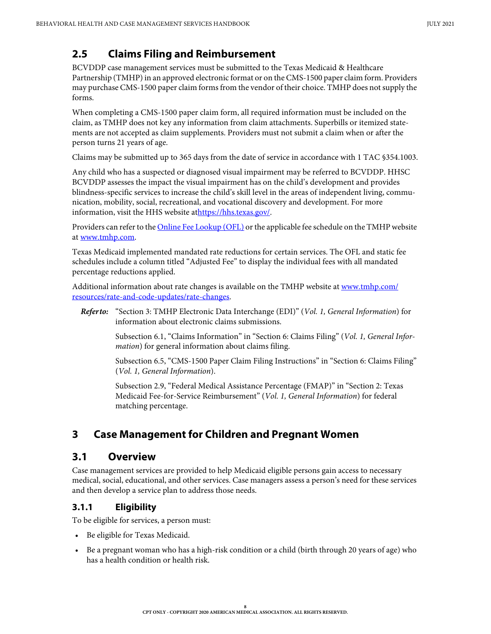# <span id="page-7-0"></span>**2.5 Claims Filing and Reimbursement**

BCVDDP case management services must be submitted to the Texas Medicaid & Healthcare Partnership (TMHP) in an approved electronic format or on the CMS-1500 paper claim form. Providers may purchase CMS-1500 paper claim forms from the vendor of their choice. TMHP does not supply the forms.

When completing a CMS-1500 paper claim form, all required information must be included on the claim, as TMHP does not key any information from claim attachments. Superbills or itemized statements are not accepted as claim supplements. Providers must not submit a claim when or after the person turns 21 years of age.

Claims may be submitted up to 365 days from the date of service in accordance with 1 TAC §354.1003.

Any child who has a suspected or diagnosed visual impairment may be referred to BCVDDP. HHSC BCVDDP assesses the impact the visual impairment has on the child's development and provides blindness-specific services to increase the child's skill level in the areas of independent living, communication, mobility, social, recreational, and vocational discovery and development. For more information, visit the HHS website at[https://hhs.texas.gov/.](https://hhs.texas.gov/)

Providers can refer to the [Online Fee Lookup \(OFL\)](http://public.tmhp.com/FeeSchedules/Default.aspx) or the applicable fee schedule on the TMHP website at [www.tmhp.com.](https://www.tmhp.com)

Texas Medicaid implemented mandated rate reductions for certain services. The OFL and static fee schedules include a column titled "Adjusted Fee" to display the individual fees with all mandated percentage reductions applied.

Additional information about rate changes is available on the TMHP website at [www.tmhp.com/](https://www.tmhp.com/resources/rate-and-code-updates/rate-changes) [resources/rate-and-code-updates/rate-changes](https://www.tmhp.com/resources/rate-and-code-updates/rate-changes).

*Refer to:* "Section 3: TMHP Electronic Data Interchange (EDI)" (*Vol. 1, General Information*) for information about electronic claims submissions.

> Subsection 6.1, "Claims Information" in "Section 6: Claims Filing" (*Vol. 1, General Information*) for general information about claims filing.

> Subsection 6.5, "CMS-1500 Paper Claim Filing Instructions" in "Section 6: Claims Filing" (*Vol. 1, General Information*).

Subsection 2.9, "Federal Medical Assistance Percentage (FMAP)" in "Section 2: Texas Medicaid Fee-for-Service Reimbursement" (*Vol. 1, General Information*) for federal matching percentage.

# <span id="page-7-1"></span>**3 Case Management for Children and Pregnant Women**

## <span id="page-7-2"></span>**3.1 Overview**

Case management services are provided to help Medicaid eligible persons gain access to necessary medical, social, educational, and other services. Case managers assess a person's need for these services and then develop a service plan to address those needs.

## <span id="page-7-3"></span>**3.1.1 Eligibility**

To be eligible for services, a person must:

- Be eligible for Texas Medicaid.
- Be a pregnant woman who has a high-risk condition or a child (birth through 20 years of age) who has a health condition or health risk.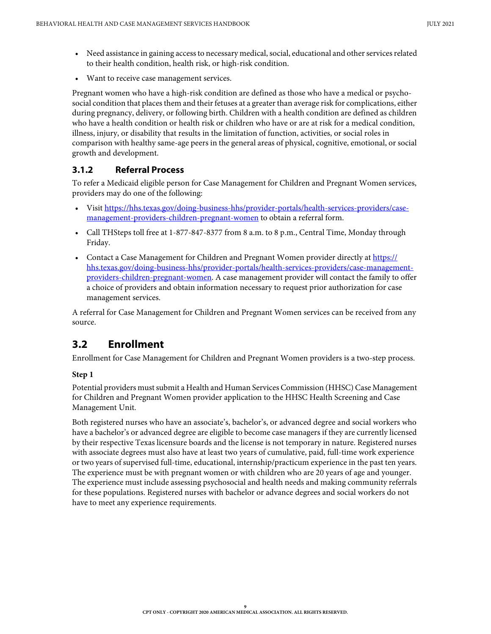- Need assistance in gaining access to necessary medical, social, educational and other services related to their health condition, health risk, or high-risk condition.
- Want to receive case management services.

Pregnant women who have a high-risk condition are defined as those who have a medical or psychosocial condition that places them and their fetuses at a greater than average risk for complications, either during pregnancy, delivery, or following birth. Children with a health condition are defined as children who have a health condition or health risk or children who have or are at risk for a medical condition, illness, injury, or disability that results in the limitation of function, activities, or social roles in comparison with healthy same-age peers in the general areas of physical, cognitive, emotional, or social growth and development.

## <span id="page-8-0"></span>**3.1.2 Referral Process**

To refer a Medicaid eligible person for Case Management for Children and Pregnant Women services, providers may do one of the following:

- Visit [https://hhs.texas.gov/doing-business-hhs/provider-portals/health-services-providers/case](https://hhs.texas.gov/doing-business-hhs/provider-portals/health-services-providers/case-management-providers-children-pregnant-women)[management-providers-children-pregnant-women](https://hhs.texas.gov/doing-business-hhs/provider-portals/health-services-providers/case-management-providers-children-pregnant-women) to obtain a referral form.
- Call THSteps toll free at 1-877-847-8377 from 8 a.m. to 8 p.m., Central Time, Monday through Friday.
- Contact a Case Management for Children and Pregnant Women provider directly at [https://](https://hhs.texas.gov/doing-business-hhs/provider-portals/health-services-providers/case-management-providers-children-pregnant-women) [hhs.texas.gov/doing-business-hhs/provider-portals/health-services-providers/case-management](https://hhs.texas.gov/doing-business-hhs/provider-portals/health-services-providers/case-management-providers-children-pregnant-women)[providers-children-pregnant-women.](https://hhs.texas.gov/doing-business-hhs/provider-portals/health-services-providers/case-management-providers-children-pregnant-women) A case management provider will contact the family to offer a choice of providers and obtain information necessary to request prior authorization for case management services.

A referral for Case Management for Children and Pregnant Women services can be received from any source.

# <span id="page-8-1"></span>**3.2 Enrollment**

Enrollment for Case Management for Children and Pregnant Women providers is a two-step process.

#### **Step 1**

Potential providers must submit a Health and Human Services Commission (HHSC) Case Management for Children and Pregnant Women provider application to the HHSC Health Screening and Case Management Unit.

Both registered nurses who have an associate's, bachelor's, or advanced degree and social workers who have a bachelor's or advanced degree are eligible to become case managers if they are currently licensed by their respective Texas licensure boards and the license is not temporary in nature. Registered nurses with associate degrees must also have at least two years of cumulative, paid, full-time work experience or two years of supervised full-time, educational, internship/practicum experience in the past ten years. The experience must be with pregnant women or with children who are 20 years of age and younger. The experience must include assessing psychosocial and health needs and making community referrals for these populations. Registered nurses with bachelor or advance degrees and social workers do not have to meet any experience requirements.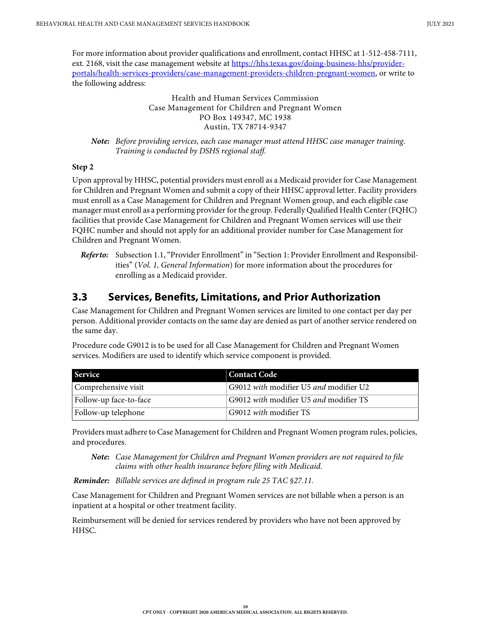For more information about provider qualifications and enrollment, contact HHSC at 1-512-458-7111, ext. 2168, visit the case management website at [https://hhs.texas.gov/doing-business-hhs/provider](https://hhs.texas.gov/doing-business-hhs/provider-portals/health-services-providers/case-management-providers-children-pregnant-women)[portals/health-services-providers/case-management-providers-children-pregnant-women](https://hhs.texas.gov/doing-business-hhs/provider-portals/health-services-providers/case-management-providers-children-pregnant-women), or write to the following address:

> Health and Human Services Commission Case Management for Children and Pregnant Women PO Box 149347, MC 1938 Austin, TX 78714-9347

*Note: Before providing services, each case manager must attend HHSC case manager training. Training is conducted by DSHS regional staff.*

#### **Step 2**

Upon approval by HHSC, potential providers must enroll as a Medicaid provider for Case Management for Children and Pregnant Women and submit a copy of their HHSC approval letter. Facility providers must enroll as a Case Management for Children and Pregnant Women group, and each eligible case manager must enroll as a performing provider for the group. Federally Qualified Health Center (FQHC) facilities that provide Case Management for Children and Pregnant Women services will use their FQHC number and should not apply for an additional provider number for Case Management for Children and Pregnant Women.

*Refer to:* Subsection 1.1, "Provider Enrollment" in "Section 1: Provider Enrollment and Responsibilities" (*Vol. 1, General Information*) for more information about the procedures for enrolling as a Medicaid provider.

# <span id="page-9-0"></span>**3.3 Services, Benefits, Limitations, and Prior Authorization**

Case Management for Children and Pregnant Women services are limited to one contact per day per person. Additional provider contacts on the same day are denied as part of another service rendered on the same day.

Procedure code G9012 is to be used for all Case Management for Children and Pregnant Women services. Modifiers are used to identify which service component is provided.

| <b>Service</b>         | Contact Code                           |
|------------------------|----------------------------------------|
| Comprehensive visit    | G9012 with modifier U5 and modifier U2 |
| Follow-up face-to-face | G9012 with modifier U5 and modifier TS |
| Follow-up telephone    | G9012 <i>with</i> modifier TS          |

Providers must adhere to Case Management for Children and Pregnant Women program rules, policies, and procedures.

*Note: Case Management for Children and Pregnant Women providers are not required to file claims with other health insurance before filing with Medicaid.*

*Reminder: Billable services are defined in program rule 25 TAC §27.11.*

Case Management for Children and Pregnant Women services are not billable when a person is an inpatient at a hospital or other treatment facility.

Reimbursement will be denied for services rendered by providers who have not been approved by HHSC.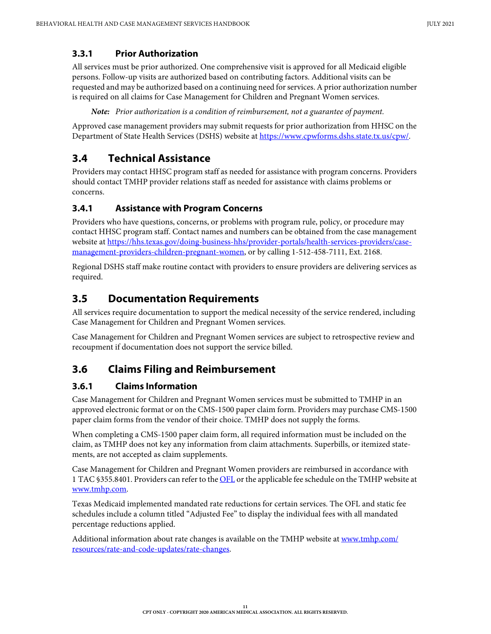#### <span id="page-10-0"></span>**3.3.1 Prior Authorization**

All services must be prior authorized. One comprehensive visit is approved for all Medicaid eligible persons. Follow-up visits are authorized based on contributing factors. Additional visits can be requested and may be authorized based on a continuing need for services. A prior authorization number is required on all claims for Case Management for Children and Pregnant Women services.

*Note: Prior authorization is a condition of reimbursement, not a guarantee of payment.*

Approved case management providers may submit requests for prior authorization from HHSC on the Department of State Health Services (DSHS) website at [https://www.cpwforms.dshs.state.tx.us/cpw/.](https://www.cpwforms.dshs.state.tx.us/cpw/)

# <span id="page-10-1"></span>**3.4 Technical Assistance**

Providers may contact HHSC program staff as needed for assistance with program concerns. Providers should contact TMHP provider relations staff as needed for assistance with claims problems or concerns.

## <span id="page-10-2"></span>**3.4.1 Assistance with Program Concerns**

Providers who have questions, concerns, or problems with program rule, policy, or procedure may contact HHSC program staff. Contact names and numbers can be obtained from the case management website at [https://hhs.texas.gov/doing-business-hhs/provider-portals/health-services-providers/case](https://hhs.texas.gov/doing-business-hhs/provider-portals/health-services-providers/case-management-providers-children-pregnant-women)[management-providers-children-pregnant-women,](https://hhs.texas.gov/doing-business-hhs/provider-portals/health-services-providers/case-management-providers-children-pregnant-women) or by calling 1-512-458-7111, Ext. 2168.

Regional DSHS staff make routine contact with providers to ensure providers are delivering services as required.

# <span id="page-10-3"></span>**3.5 Documentation Requirements**

All services require documentation to support the medical necessity of the service rendered, including Case Management for Children and Pregnant Women services.

Case Management for Children and Pregnant Women services are subject to retrospective review and recoupment if documentation does not support the service billed.

# <span id="page-10-4"></span>**3.6 Claims Filing and Reimbursement**

## <span id="page-10-5"></span>**3.6.1 Claims Information**

Case Management for Children and Pregnant Women services must be submitted to TMHP in an approved electronic format or on the CMS-1500 paper claim form. Providers may purchase CMS-1500 paper claim forms from the vendor of their choice. TMHP does not supply the forms.

When completing a CMS-1500 paper claim form, all required information must be included on the claim, as TMHP does not key any information from claim attachments. Superbills, or itemized statements, are not accepted as claim supplements.

Case Management for Children and Pregnant Women providers are reimbursed in accordance with 1 TAC §355.8401. Providers can refer to the [OFL](http://public.tmhp.com/FeeSchedules/Default.aspx) or the applicable fee schedule on the TMHP website at [www.tmhp.com.](https://www.tmhp.com)

Texas Medicaid implemented mandated rate reductions for certain services. The OFL and static fee schedules include a column titled "Adjusted Fee" to display the individual fees with all mandated percentage reductions applied.

Additional information about rate changes is available on the TMHP website at [www.tmhp.com/](https://www.tmhp.com/resources/rate-and-code-updates/rate-changes) [resources/rate-and-code-updates/rate-changes](https://www.tmhp.com/resources/rate-and-code-updates/rate-changes).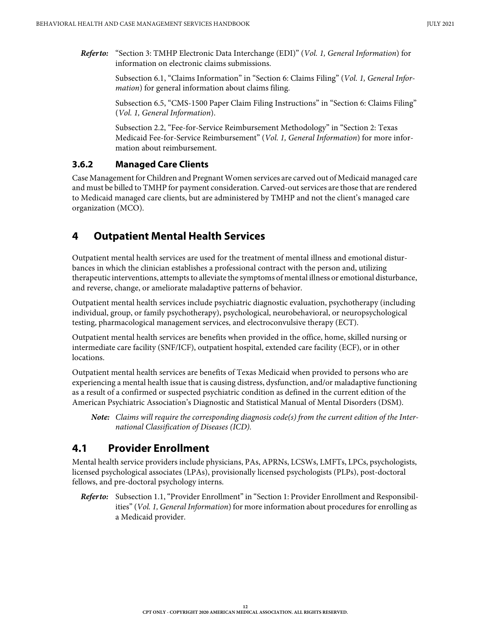*Refer to:* "Section 3: TMHP Electronic Data Interchange (EDI)" (*Vol. 1, General Information*) for information on electronic claims submissions.

> Subsection 6.1, "Claims Information" in "Section 6: Claims Filing" (*Vol. 1, General Information*) for general information about claims filing.

> Subsection 6.5, "CMS-1500 Paper Claim Filing Instructions" in "Section 6: Claims Filing" (*Vol. 1, General Information*).

Subsection 2.2, "Fee-for-Service Reimbursement Methodology" in "Section 2: Texas Medicaid Fee-for-Service Reimbursement" (*Vol. 1, General Information*) for more information about reimbursement.

#### <span id="page-11-0"></span>**3.6.2 Managed Care Clients**

Case Management for Children and Pregnant Women services are carved out of Medicaid managed care and must be billed to TMHP for payment consideration. Carved-out services are those that are rendered to Medicaid managed care clients, but are administered by TMHP and not the client's managed care organization (MCO).

## <span id="page-11-1"></span>**4 Outpatient Mental Health Services**

Outpatient mental health services are used for the treatment of mental illness and emotional disturbances in which the clinician establishes a professional contract with the person and, utilizing therapeutic interventions, attempts to alleviate the symptoms of mental illness or emotional disturbance, and reverse, change, or ameliorate maladaptive patterns of behavior.

Outpatient mental health services include psychiatric diagnostic evaluation, psychotherapy (including individual, group, or family psychotherapy), psychological, neurobehavioral, or neuropsychological testing, pharmacological management services, and electroconvulsive therapy (ECT).

Outpatient mental health services are benefits when provided in the office, home, skilled nursing or intermediate care facility (SNF/ICF), outpatient hospital, extended care facility (ECF), or in other locations.

Outpatient mental health services are benefits of Texas Medicaid when provided to persons who are experiencing a mental health issue that is causing distress, dysfunction, and/or maladaptive functioning as a result of a confirmed or suspected psychiatric condition as defined in the current edition of the American Psychiatric Association's Diagnostic and Statistical Manual of Mental Disorders (DSM).

*Note: Claims will require the corresponding diagnosis code(s) from the current edition of the International Classification of Diseases (ICD).*

# <span id="page-11-2"></span>**4.1 Provider Enrollment**

Mental health service providers include physicians, PAs, APRNs, LCSWs, LMFTs, LPCs, psychologists, licensed psychological associates (LPAs), provisionally licensed psychologists (PLPs), post-doctoral fellows, and pre-doctoral psychology interns.

*Refer to:* Subsection 1.1, "Provider Enrollment" in "Section 1: Provider Enrollment and Responsibilities" (*Vol. 1, General Information*) for more information about procedures for enrolling as a Medicaid provider.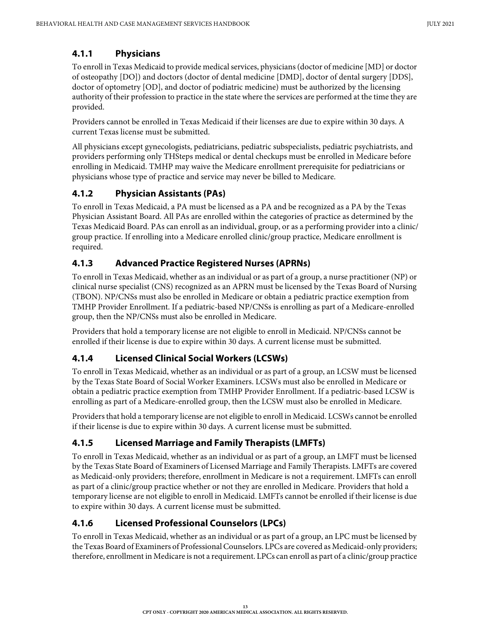#### <span id="page-12-0"></span>**4.1.1 Physicians**

To enroll in Texas Medicaid to provide medical services, physicians (doctor of medicine [MD] or doctor of osteopathy [DO]) and doctors (doctor of dental medicine [DMD], doctor of dental surgery [DDS], doctor of optometry [OD], and doctor of podiatric medicine) must be authorized by the licensing authority of their profession to practice in the state where the services are performed at the time they are provided.

Providers cannot be enrolled in Texas Medicaid if their licenses are due to expire within 30 days. A current Texas license must be submitted.

All physicians except gynecologists, pediatricians, pediatric subspecialists, pediatric psychiatrists, and providers performing only THSteps medical or dental checkups must be enrolled in Medicare before enrolling in Medicaid. TMHP may waive the Medicare enrollment prerequisite for pediatricians or physicians whose type of practice and service may never be billed to Medicare.

#### <span id="page-12-1"></span>**4.1.2 Physician Assistants (PAs)**

To enroll in Texas Medicaid, a PA must be licensed as a PA and be recognized as a PA by the Texas Physician Assistant Board. All PAs are enrolled within the categories of practice as determined by the Texas Medicaid Board. PAs can enroll as an individual, group, or as a performing provider into a clinic/ group practice. If enrolling into a Medicare enrolled clinic/group practice, Medicare enrollment is required.

## <span id="page-12-2"></span>**4.1.3 Advanced Practice Registered Nurses (APRNs)**

To enroll in Texas Medicaid, whether as an individual or as part of a group, a nurse practitioner (NP) or clinical nurse specialist (CNS) recognized as an APRN must be licensed by the Texas Board of Nursing (TBON). NP/CNSs must also be enrolled in Medicare or obtain a pediatric practice exemption from TMHP Provider Enrollment. If a pediatric-based NP/CNSs is enrolling as part of a Medicare-enrolled group, then the NP/CNSs must also be enrolled in Medicare.

Providers that hold a temporary license are not eligible to enroll in Medicaid. NP/CNSs cannot be enrolled if their license is due to expire within 30 days. A current license must be submitted.

## <span id="page-12-3"></span>**4.1.4 Licensed Clinical Social Workers (LCSWs)**

To enroll in Texas Medicaid, whether as an individual or as part of a group, an LCSW must be licensed by the Texas State Board of Social Worker Examiners. LCSWs must also be enrolled in Medicare or obtain a pediatric practice exemption from TMHP Provider Enrollment. If a pediatric-based LCSW is enrolling as part of a Medicare-enrolled group, then the LCSW must also be enrolled in Medicare.

Providers that hold a temporary license are not eligible to enroll in Medicaid. LCSWs cannot be enrolled if their license is due to expire within 30 days. A current license must be submitted.

## <span id="page-12-4"></span>**4.1.5 Licensed Marriage and Family Therapists (LMFTs)**

To enroll in Texas Medicaid, whether as an individual or as part of a group, an LMFT must be licensed by the Texas State Board of Examiners of Licensed Marriage and Family Therapists. LMFTs are covered as Medicaid-only providers; therefore, enrollment in Medicare is not a requirement. LMFTs can enroll as part of a clinic/group practice whether or not they are enrolled in Medicare. Providers that hold a temporary license are not eligible to enroll in Medicaid. LMFTs cannot be enrolled if their license is due to expire within 30 days. A current license must be submitted.

## <span id="page-12-5"></span>**4.1.6 Licensed Professional Counselors (LPCs)**

To enroll in Texas Medicaid, whether as an individual or as part of a group, an LPC must be licensed by the Texas Board of Examiners of Professional Counselors. LPCs are covered as Medicaid-only providers; therefore, enrollment in Medicare is not a requirement. LPCs can enroll as part of a clinic/group practice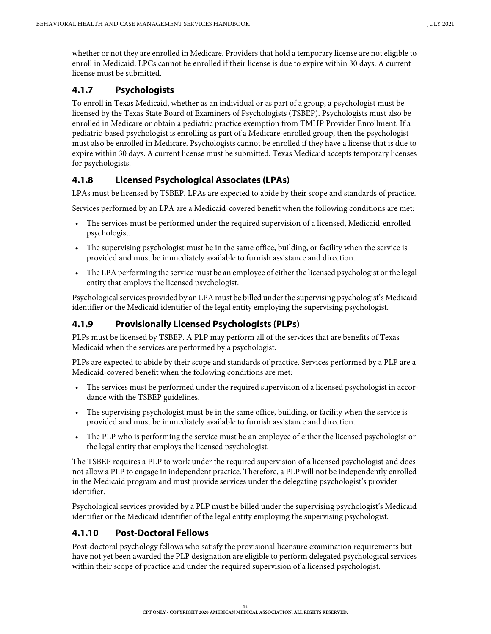whether or not they are enrolled in Medicare. Providers that hold a temporary license are not eligible to enroll in Medicaid. LPCs cannot be enrolled if their license is due to expire within 30 days. A current license must be submitted.

## <span id="page-13-0"></span>**4.1.7 Psychologists**

To enroll in Texas Medicaid, whether as an individual or as part of a group, a psychologist must be licensed by the Texas State Board of Examiners of Psychologists (TSBEP). Psychologists must also be enrolled in Medicare or obtain a pediatric practice exemption from TMHP Provider Enrollment. If a pediatric-based psychologist is enrolling as part of a Medicare-enrolled group, then the psychologist must also be enrolled in Medicare. Psychologists cannot be enrolled if they have a license that is due to expire within 30 days. A current license must be submitted. Texas Medicaid accepts temporary licenses for psychologists.

## <span id="page-13-1"></span>**4.1.8 Licensed Psychological Associates (LPAs)**

LPAs must be licensed by TSBEP. LPAs are expected to abide by their scope and standards of practice.

Services performed by an LPA are a Medicaid-covered benefit when the following conditions are met:

- The services must be performed under the required supervision of a licensed, Medicaid-enrolled psychologist.
- The supervising psychologist must be in the same office, building, or facility when the service is provided and must be immediately available to furnish assistance and direction.
- The LPA performing the service must be an employee of either the licensed psychologist or the legal entity that employs the licensed psychologist.

Psychological services provided by an LPA must be billed under the supervising psychologist's Medicaid identifier or the Medicaid identifier of the legal entity employing the supervising psychologist.

## <span id="page-13-2"></span>**4.1.9 Provisionally Licensed Psychologists (PLPs)**

PLPs must be licensed by TSBEP. A PLP may perform all of the services that are benefits of Texas Medicaid when the services are performed by a psychologist.

PLPs are expected to abide by their scope and standards of practice. Services performed by a PLP are a Medicaid-covered benefit when the following conditions are met:

- The services must be performed under the required supervision of a licensed psychologist in accordance with the TSBEP guidelines.
- The supervising psychologist must be in the same office, building, or facility when the service is provided and must be immediately available to furnish assistance and direction.
- The PLP who is performing the service must be an employee of either the licensed psychologist or the legal entity that employs the licensed psychologist.

The TSBEP requires a PLP to work under the required supervision of a licensed psychologist and does not allow a PLP to engage in independent practice. Therefore, a PLP will not be independently enrolled in the Medicaid program and must provide services under the delegating psychologist's provider identifier.

Psychological services provided by a PLP must be billed under the supervising psychologist's Medicaid identifier or the Medicaid identifier of the legal entity employing the supervising psychologist.

## <span id="page-13-3"></span>**4.1.10 Post-Doctoral Fellows**

Post-doctoral psychology fellows who satisfy the provisional licensure examination requirements but have not yet been awarded the PLP designation are eligible to perform delegated psychological services within their scope of practice and under the required supervision of a licensed psychologist.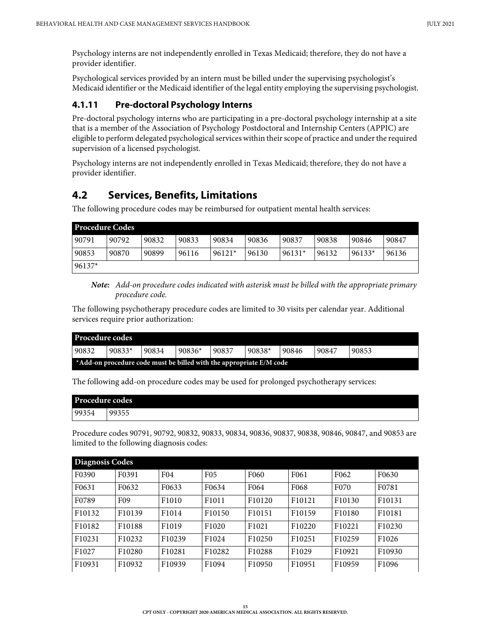Psychology interns are not independently enrolled in Texas Medicaid; therefore, they do not have a provider identifier.

Psychological services provided by an intern must be billed under the supervising psychologist's Medicaid identifier or the Medicaid identifier of the legal entity employing the supervising psychologist.

#### <span id="page-14-0"></span>**4.1.11 Pre-doctoral Psychology Interns**

Pre-doctoral psychology interns who are participating in a pre-doctoral psychology internship at a site that is a member of the Association of Psychology Postdoctoral and Internship Centers (APPIC) are eligible to perform delegated psychological services within their scope of practice and under the required supervision of a licensed psychologist.

Psychology interns are not independently enrolled in Texas Medicaid; therefore, they do not have a provider identifier.

# <span id="page-14-1"></span>**4.2 Services, Benefits, Limitations**

The following procedure codes may be reimbursed for outpatient mental health services:

| <b>Procedure Codes</b> |       |       |       |          |       |          |       |          |       |  |  |
|------------------------|-------|-------|-------|----------|-------|----------|-------|----------|-------|--|--|
| 90791                  | 90792 | 90832 | 90833 | 90834    | 90836 | 90837    | 90838 | 90846    | 90847 |  |  |
| 90853                  | 90870 | 90899 | 96116 | $96121*$ | 96130 | $96131*$ | 96132 | $96133*$ | 96136 |  |  |
| $96137*$               |       |       |       |          |       |          |       |          |       |  |  |

*Note: Add-on procedure codes indicated with asterisk must be billed with the appropriate primary procedure code.*

The following psychotherapy procedure codes are limited to 30 visits per calendar year. Additional services require prior authorization:

| <b>Procedure codes</b> |          |                                                                     |          |       |          |       |       |       |  |  |  |
|------------------------|----------|---------------------------------------------------------------------|----------|-------|----------|-------|-------|-------|--|--|--|
| 90832                  | $90833*$ | 90834                                                               | $90836*$ | 90837 | $90838*$ | 90846 | 90847 | 90853 |  |  |  |
|                        |          | *Add-on procedure code must be billed with the appropriate E/M code |          |       |          |       |       |       |  |  |  |

The following add-on procedure codes may be used for prolonged psychotherapy services:

| Procedure codes |       |  |  |  |  |
|-----------------|-------|--|--|--|--|
| 99354           | 99355 |  |  |  |  |

Procedure codes 90791, 90792, 90832, 90833, 90834, 90836, 90837, 90838, 90846, 90847, and 90853 are limited to the following diagnosis codes:

| <b>Diagnosis Codes</b> |                    |                 |                    |                    |                    |                  |                    |  |  |  |  |
|------------------------|--------------------|-----------------|--------------------|--------------------|--------------------|------------------|--------------------|--|--|--|--|
| F0390                  | F0391              | F <sub>04</sub> | F <sub>05</sub>    | F <sub>060</sub>   | F <sub>061</sub>   | F <sub>062</sub> | F0630              |  |  |  |  |
| F0631                  | F <sub>0632</sub>  | F0633           | F0634              | F064               | F <sub>068</sub>   | F <sub>070</sub> | F0781              |  |  |  |  |
| F0789                  | F <sub>09</sub>    | F1010           | F1011              | F <sub>10120</sub> | F <sub>10121</sub> | F10130           | F <sub>10131</sub> |  |  |  |  |
| F10132                 | F <sub>10139</sub> | F1014           | F <sub>10150</sub> | F10151             | F <sub>10159</sub> | F10180           | F <sub>10181</sub> |  |  |  |  |
| F <sub>10182</sub>     | F <sub>10188</sub> | F1019           | F1020              | F1021              | F10220             | F10221           | F10230             |  |  |  |  |
| F10231                 | F10232             | F10239          | F1024              | F10250             | F10251             | F10259           | F <sub>1026</sub>  |  |  |  |  |
| F1027                  | F10280             | F10281          | F10282             | F10288             | F1029              | F10921           | F10930             |  |  |  |  |
| F10931                 | F10932             | F10939          | F1094              | F10950             | F10951             | F10959           | F <sub>1096</sub>  |  |  |  |  |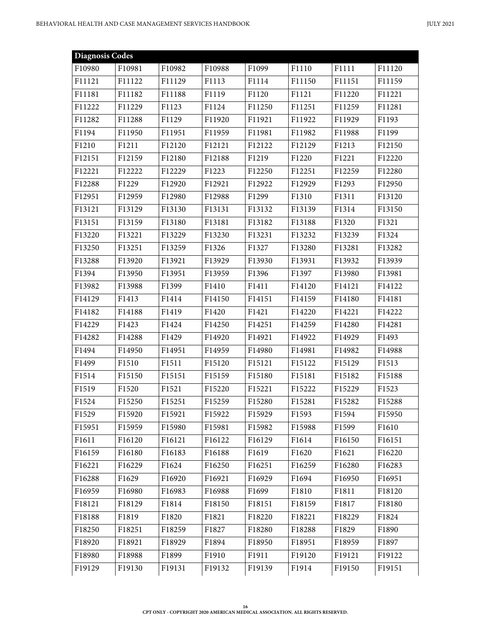| <b>Diagnosis Codes</b> |        |        |        |        |        |        |        |
|------------------------|--------|--------|--------|--------|--------|--------|--------|
| F10980                 | F10981 | F10982 | F10988 | F1099  | F1110  | F1111  | F11120 |
| F11121                 | F11122 | F11129 | F1113  | F1114  | F11150 | F11151 | F11159 |
| F11181                 | F11182 | F11188 | F1119  | F1120  | F1121  | F11220 | F11221 |
| F11222                 | F11229 | F1123  | F1124  | F11250 | F11251 | F11259 | F11281 |
| F11282                 | F11288 | F1129  | F11920 | F11921 | F11922 | F11929 | F1193  |
| F1194                  | F11950 | F11951 | F11959 | F11981 | F11982 | F11988 | F1199  |
| F1210                  | F1211  | F12120 | F12121 | F12122 | F12129 | F1213  | F12150 |
| F12151                 | F12159 | F12180 | F12188 | F1219  | F1220  | F1221  | F12220 |
| F12221                 | F12222 | F12229 | F1223  | F12250 | F12251 | F12259 | F12280 |
| F12288                 | F1229  | F12920 | F12921 | F12922 | F12929 | F1293  | F12950 |
| F12951                 | F12959 | F12980 | F12988 | F1299  | F1310  | F1311  | F13120 |
| F13121                 | F13129 | F13130 | F13131 | F13132 | F13139 | F1314  | F13150 |
| F13151                 | F13159 | F13180 | F13181 | F13182 | F13188 | F1320  | F1321  |
| F13220                 | F13221 | F13229 | F13230 | F13231 | F13232 | F13239 | F1324  |
| F13250                 | F13251 | F13259 | F1326  | F1327  | F13280 | F13281 | F13282 |
| F13288                 | F13920 | F13921 | F13929 | F13930 | F13931 | F13932 | F13939 |
| F1394                  | F13950 | F13951 | F13959 | F1396  | F1397  | F13980 | F13981 |
| F13982                 | F13988 | F1399  | F1410  | F1411  | F14120 | F14121 | F14122 |
| F14129                 | F1413  | F1414  | F14150 | F14151 | F14159 | F14180 | F14181 |
| F14182                 | F14188 | F1419  | F1420  | F1421  | F14220 | F14221 | F14222 |
| F14229                 | F1423  | F1424  | F14250 | F14251 | F14259 | F14280 | F14281 |
| F14282                 | F14288 | F1429  | F14920 | F14921 | F14922 | F14929 | F1493  |
| F1494                  | F14950 | F14951 | F14959 | F14980 | F14981 | F14982 | F14988 |
| F1499                  | F1510  | F1511  | F15120 | F15121 | F15122 | F15129 | F1513  |
| F1514                  | F15150 | F15151 | F15159 | F15180 | F15181 | F15182 | F15188 |
| F1519                  | F1520  | F1521  | F15220 | F15221 | F15222 | F15229 | F1523  |
| F1524                  | F15250 | F15251 | F15259 | F15280 | F15281 | F15282 | F15288 |
| F1529                  | F15920 | F15921 | F15922 | F15929 | F1593  | F1594  | F15950 |
| F15951                 | F15959 | F15980 | F15981 | F15982 | F15988 | F1599  | F1610  |
| F1611                  | F16120 | F16121 | F16122 | F16129 | F1614  | F16150 | F16151 |
| F16159                 | F16180 | F16183 | F16188 | F1619  | F1620  | F1621  | F16220 |
| F16221                 | F16229 | F1624  | F16250 | F16251 | F16259 | F16280 | F16283 |
| F16288                 | F1629  | F16920 | F16921 | F16929 | F1694  | F16950 | F16951 |
| F16959                 | F16980 | F16983 | F16988 | F1699  | F1810  | F1811  | F18120 |
| F18121                 | F18129 | F1814  | F18150 | F18151 | F18159 | F1817  | F18180 |
| F18188                 | F1819  | F1820  | F1821  | F18220 | F18221 | F18229 | F1824  |
| F18250                 | F18251 | F18259 | F1827  | F18280 | F18288 | F1829  | F1890  |
| F18920                 | F18921 | F18929 | F1894  | F18950 | F18951 | F18959 | F1897  |
| F18980                 | F18988 | F1899  | F1910  | F1911  | F19120 | F19121 | F19122 |
| F19129                 | F19130 | F19131 | F19132 | F19139 | F1914  | F19150 | F19151 |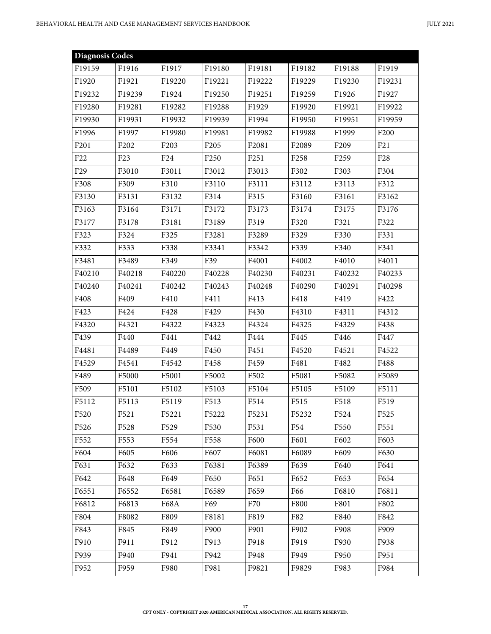| <b>Diagnosis Codes</b> |                  |                  |                  |        |                  |                  |                 |
|------------------------|------------------|------------------|------------------|--------|------------------|------------------|-----------------|
| F19159                 | F1916            | F1917            | F19180           | F19181 | F19182           | F19188           | F1919           |
| F1920                  | F1921            | F19220           | F19221           | F19222 | F19229           | F19230           | F19231          |
| F19232                 | F19239           | F1924            | F19250           | F19251 | F19259           | F1926            | F1927           |
| F19280                 | F19281           | F19282           | F19288           | F1929  | F19920           | F19921           | F19922          |
| F19930                 | F19931           | F19932           | F19939           | F1994  | F19950           | F19951           | F19959          |
| F1996                  | F1997            | F19980           | F19981           | F19982 | F19988           | F1999            | F200            |
| F201                   | F202             | F <sub>203</sub> | F <sub>205</sub> | F2081  | F2089            | F <sub>209</sub> | F21             |
| F <sub>22</sub>        | F <sub>23</sub>  | F <sub>24</sub>  | F <sub>250</sub> | F251   | F <sub>258</sub> | F <sub>259</sub> | F <sub>28</sub> |
| F <sub>29</sub>        | F3010            | F3011            | F3012            | F3013  | F302             | F303             | F304            |
| F308                   | F309             | F310             | F3110            | F3111  | F3112            | F3113            | F312            |
| F3130                  | F3131            | F3132            | F314             | F315   | F3160            | F3161            | F3162           |
| F3163                  | F3164            | F3171            | F3172            | F3173  | F3174            | F3175            | F3176           |
| F3177                  | F3178            | F3181            | F3189            | F319   | F320             | F321             | F322            |
| F323                   | F324             | F325             | F3281            | F3289  | F329             | F330             | F331            |
| F332                   | F333             | F338             | F3341            | F3342  | F339             | F340             | F341            |
| F3481                  | F3489            | F349             | F39              | F4001  | F4002            | F4010            | F4011           |
| F40210                 | F40218           | F40220           | F40228           | F40230 | F40231           | F40232           | F40233          |
| F40240                 | F40241           | F40242           | F40243           | F40248 | F40290           | F40291           | F40298          |
| F408                   | F409             | F410             | F411             | F413   | F418             | F419             | F422            |
| F423                   | F424             | F428             | F429             | F430   | F4310            | F4311            | F4312           |
| F4320                  | F4321            | F4322            | F4323            | F4324  | F4325            | F4329            | F438            |
| F439                   | F440             | F441             | F442             | F444   | F445             | F446             | F447            |
| F4481                  | F4489            | F449             | F450             | F451   | F4520            | F4521            | F4522           |
| F4529                  | F4541            | F4542            | F458             | F459   | F481             | F482             | F488            |
| F489                   | F5000            | F5001            | F5002            | F502   | F5081            | F5082            | F5089           |
| F509                   | F5101            | F5102            | F5103            | F5104  | F5105            | F5109            | F5111           |
| F5112                  | F5113            | F5119            | F513             | F514   | F515             | F518             | F519            |
| F520                   | F521             | F5221            | F5222            | F5231  | F5232            | F524             | F525            |
| F526                   | F528             | F529             | F530             | F531   | F54              | F550             | F551            |
| F552                   | F <sub>553</sub> | F554             | F558             | F600   | F601             | F602             | F603            |
| F604                   | F605             | F606             | F607             | F6081  | F6089            | F609             | F630            |
| F631                   | F632             | F633             | F6381            | F6389  | F639             | F640             | F641            |
| F642                   | F648             | F649             | F650             | F651   | F652             | F653             | F654            |
| F6551                  | F6552            | F6581            | F6589            | F659   | F66              | F6810            | F6811           |
| F6812                  | F6813            | F68A             | F69              | F70    | F800             | F801             | F802            |
| F804                   | F8082            | F809             | F8181            | F819   | F82              | F840             | F842            |
| F843                   | F845             | F849             | F900             | F901   | F902             | F908             | F909            |
| F910                   | F911             | F912             | F913             | F918   | F919             | F930             | F938            |
| F939                   | F940             | F941             | F942             | F948   | F949             | F950             | F951            |
| F952                   | F959             | F980             | F981             | F9821  | F9829            | F983             | F984            |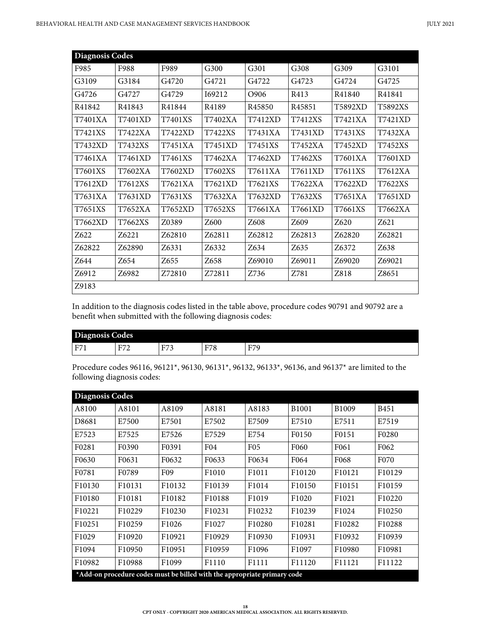| Diagnosis Codes |         |         |                   |                    |                    |                  |         |  |  |  |  |
|-----------------|---------|---------|-------------------|--------------------|--------------------|------------------|---------|--|--|--|--|
| F985            | F988    | F989    | G300              | G301               | G308               | G309             | G3101   |  |  |  |  |
| G3109           | G3184   | G4720   | G <sub>4721</sub> | G4722              | G4723              | G4724            | G4725   |  |  |  |  |
| G4726           | G4727   | G4729   | I69212            | O906               | R413               | R41840           | R41841  |  |  |  |  |
| R41842          | R41843  | R41844  | R4189             | R <sub>45850</sub> | R <sub>45851</sub> | T5892XD          | T5892XS |  |  |  |  |
| T7401XA         | T7401XD | T7401XS | T7402XA           | T7412XD            | T7412XS            | T7421XA          | T7421XD |  |  |  |  |
| T7421XS         | T7422XA | T7422XD | T7422XS           | T7431XA            | T7431XD            | T7431XS          | T7432XA |  |  |  |  |
| T7432XD         | T7432XS | T7451XA | T7451XD           | T7451XS            | T7452XA            | <b>T7452XD</b>   | T7452XS |  |  |  |  |
| T7461XA         | T7461XD | T7461XS | T7462XA           | T7462XD            | T7462XS            | T7601XA          | T7601XD |  |  |  |  |
| T7601XS         | T7602XA | T7602XD | T7602XS           | T7611XA            | T7611XD            | T7611XS          | T7612XA |  |  |  |  |
| T7612XD         | T7612XS | T7621XA | T7621XD           | T7621XS            | T7622XA            | T7622XD          | T7622XS |  |  |  |  |
| T7631XA         | T7631XD | T7631XS | T7632XA           | T7632XD            | T7632XS            | T7651XA          | T7651XD |  |  |  |  |
| T7651XS         | T7652XA | T7652XD | T7652XS           | T7661XA            | T7661XD            | T7661XS          | T7662XA |  |  |  |  |
| T7662XD         | T7662XS | Z0389   | Z600              | Z608               | Z609               | Z <sub>620</sub> | Z621    |  |  |  |  |
| Z622            | Z6221   | Z62810  | Z62811            | Z62812             | Z62813             | Z62820           | Z62821  |  |  |  |  |
| Z62822          | Z62890  | Z6331   | Z6332             | Z634               | Z635               | Z6372            | Z638    |  |  |  |  |
| Z644            | Z654    | Z655    | Z658              | Z69010             | Z69011             | Z69020           | Z69021  |  |  |  |  |
| Z6912           | Z6982   | Z72810  | Z72811            | Z736               | Z781               | Z818             | Z8651   |  |  |  |  |
| Z9183           |         |         |                   |                    |                    |                  |         |  |  |  |  |

In addition to the diagnosis codes listed in the table above, procedure codes 90791 and 90792 are a benefit when submitted with the following diagnosis codes:

| Diagnosis Codes |                   |               |                           |                            |
|-----------------|-------------------|---------------|---------------------------|----------------------------|
| E7<br>$+1/7$    | F772<br>н.<br>. . | $T_{\rm max}$ | E70<br>-<br>◡<br><b>L</b> | F770<br>⊷<br>v<br><b>*</b> |

Procedure codes 96116, 96121\*, 96130, 96131\*, 96132, 96133\*, 96136, and 96137\* are limited to the following diagnosis codes:

| <b>Diagnosis Codes</b> |                    |                                                                          |                    |                 |                    |                   |                    |
|------------------------|--------------------|--------------------------------------------------------------------------|--------------------|-----------------|--------------------|-------------------|--------------------|
| A8100                  | A8101              | A8109                                                                    | A8181              | A8183           | B1001              | B1009             | <b>B451</b>        |
| D8681                  | E7500              | E7501                                                                    | E7502              | E7509           | E7510              | E7511             | E7519              |
| E7523                  | E7525              | E7526                                                                    | E7529              | E754            | F0150              | F0151             | F0280              |
| F <sub>0281</sub>      | F0390              | F0391                                                                    | F <sub>04</sub>    | F <sub>05</sub> | F <sub>060</sub>   | F <sub>061</sub>  | F <sub>062</sub>   |
| F0630                  | F0631              | F0632                                                                    | F0633              | F0634           | F064               | F <sub>068</sub>  | F070               |
| F0781                  | F <sub>0789</sub>  | F <sub>09</sub>                                                          | F <sub>1010</sub>  | F1011           | F10120             | F10121            | F10129             |
| F <sub>10130</sub>     | F10131             | F10132                                                                   | F <sub>10139</sub> | F1014           | F10150             | F10151            | F10159             |
| F10180                 | F <sub>10181</sub> | F10182                                                                   | F <sub>10188</sub> | F1019           | F <sub>1020</sub>  | F1021             | F10220             |
| F <sub>10221</sub>     | F <sub>10229</sub> | F10230                                                                   | F <sub>10231</sub> | F10232          | F <sub>10239</sub> | F <sub>1024</sub> | F <sub>10250</sub> |
| F <sub>10251</sub>     | F10259             | F <sub>1026</sub>                                                        | F <sub>1027</sub>  | F10280          | F10281             | F10282            | F10288             |
| F1029                  | F10920             | F10921                                                                   | F <sub>10929</sub> | F10930          | F10931             | F10932            | F10939             |
| F1094                  | F10950             | F10951                                                                   | F <sub>10959</sub> | F1096           | F1097              | F10980            | F10981             |
| F10982                 | F10988             | F1099                                                                    | F1110              | F1111           | F11120             | F11121            | F11122             |
|                        |                    | *Add-on procedure codes must be billed with the appropriate primary code |                    |                 |                    |                   |                    |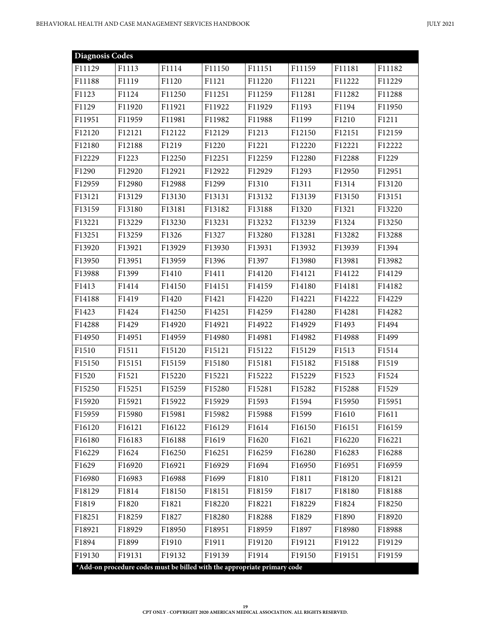| <b>Diagnosis Codes</b> |        |                                                                          |        |        |        |        |        |
|------------------------|--------|--------------------------------------------------------------------------|--------|--------|--------|--------|--------|
| F11129                 | F1113  | F1114                                                                    | F11150 | F11151 | F11159 | F11181 | F11182 |
| F11188                 | F1119  | F1120                                                                    | F1121  | F11220 | F11221 | F11222 | F11229 |
| F1123                  | F1124  | F11250                                                                   | F11251 | F11259 | F11281 | F11282 | F11288 |
| F1129                  | F11920 | F11921                                                                   | F11922 | F11929 | F1193  | F1194  | F11950 |
| F11951                 | F11959 | F11981                                                                   | F11982 | F11988 | F1199  | F1210  | F1211  |
| F12120                 | F12121 | F12122                                                                   | F12129 | F1213  | F12150 | F12151 | F12159 |
| F12180                 | F12188 | F1219                                                                    | F1220  | F1221  | F12220 | F12221 | F12222 |
| F12229                 | F1223  | F12250                                                                   | F12251 | F12259 | F12280 | F12288 | F1229  |
| F1290                  | F12920 | F12921                                                                   | F12922 | F12929 | F1293  | F12950 | F12951 |
| F12959                 | F12980 | F12988                                                                   | F1299  | F1310  | F1311  | F1314  | F13120 |
| F13121                 | F13129 | F13130                                                                   | F13131 | F13132 | F13139 | F13150 | F13151 |
| F13159                 | F13180 | F13181                                                                   | F13182 | F13188 | F1320  | F1321  | F13220 |
| F13221                 | F13229 | F13230                                                                   | F13231 | F13232 | F13239 | F1324  | F13250 |
| F13251                 | F13259 | F1326                                                                    | F1327  | F13280 | F13281 | F13282 | F13288 |
| F13920                 | F13921 | F13929                                                                   | F13930 | F13931 | F13932 | F13939 | F1394  |
| F13950                 | F13951 | F13959                                                                   | F1396  | F1397  | F13980 | F13981 | F13982 |
| F13988                 | F1399  | F1410                                                                    | F1411  | F14120 | F14121 | F14122 | F14129 |
| F1413                  | F1414  | F14150                                                                   | F14151 | F14159 | F14180 | F14181 | F14182 |
| F14188                 | F1419  | F1420                                                                    | F1421  | F14220 | F14221 | F14222 | F14229 |
| F1423                  | F1424  | F14250                                                                   | F14251 | F14259 | F14280 | F14281 | F14282 |
| F14288                 | F1429  | F14920                                                                   | F14921 | F14922 | F14929 | F1493  | F1494  |
| F14950                 | F14951 | F14959                                                                   | F14980 | F14981 | F14982 | F14988 | F1499  |
| F1510                  | F1511  | F15120                                                                   | F15121 | F15122 | F15129 | F1513  | F1514  |
| F15150                 | F15151 | F15159                                                                   | F15180 | F15181 | F15182 | F15188 | F1519  |
| F1520                  | F1521  | F15220                                                                   | F15221 | F15222 | F15229 | F1523  | F1524  |
| F15250                 | F15251 | F15259                                                                   | F15280 | F15281 | F15282 | F15288 | F1529  |
| F15920                 | F15921 | F15922                                                                   | F15929 | F1593  | F1594  | F15950 | F15951 |
| F15959                 | F15980 | F15981                                                                   | F15982 | F15988 | F1599  | F1610  | F1611  |
| F16120                 | F16121 | F16122                                                                   | F16129 | F1614  | F16150 | F16151 | F16159 |
| F16180                 | F16183 | F16188                                                                   | F1619  | F1620  | F1621  | F16220 | F16221 |
| F16229                 | F1624  | F16250                                                                   | F16251 | F16259 | F16280 | F16283 | F16288 |
| F1629                  | F16920 | F16921                                                                   | F16929 | F1694  | F16950 | F16951 | F16959 |
| F16980                 | F16983 | F16988                                                                   | F1699  | F1810  | F1811  | F18120 | F18121 |
| F18129                 | F1814  | F18150                                                                   | F18151 | F18159 | F1817  | F18180 | F18188 |
| F1819                  | F1820  | F1821                                                                    | F18220 | F18221 | F18229 | F1824  | F18250 |
| F18251                 | F18259 | F1827                                                                    | F18280 | F18288 | F1829  | F1890  | F18920 |
| F18921                 | F18929 | F18950                                                                   | F18951 | F18959 | F1897  | F18980 | F18988 |
| F1894                  | F1899  | F1910                                                                    | F1911  | F19120 | F19121 | F19122 | F19129 |
| F19130                 | F19131 | F19132                                                                   | F19139 | F1914  | F19150 | F19151 | F19159 |
|                        |        | *Add-on procedure codes must be billed with the appropriate primary code |        |        |        |        |        |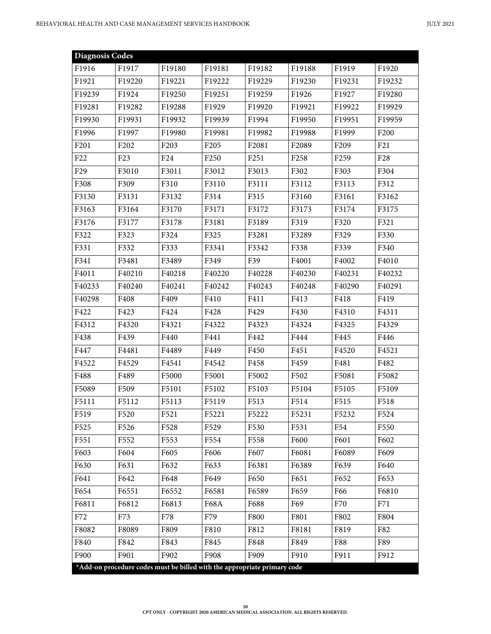| <b>Diagnosis Codes</b> |                               |                                                                          |                  |        |                  |                  |                  |
|------------------------|-------------------------------|--------------------------------------------------------------------------|------------------|--------|------------------|------------------|------------------|
| F1916                  | F1917                         | F19180                                                                   | F19181           | F19182 | F19188           | F1919            | F1920            |
| F1921                  | F19220                        | F19221                                                                   | F19222           | F19229 | F19230           | F19231           | F19232           |
| F19239                 | F1924                         | F19250                                                                   | F19251           | F19259 | F1926            | F1927            | F19280           |
| F19281                 | F19282                        | F19288                                                                   | F1929            | F19920 | F19921           | F19922           | F19929           |
| F19930                 | F19931                        | F19932                                                                   | F19939           | F1994  | F19950           | F19951           | F19959           |
| F1996                  | F1997                         | F19980                                                                   | F19981           | F19982 | F19988           | F1999            | F <sub>200</sub> |
| F201                   | F <sub>2</sub> 0 <sub>2</sub> | F <sub>203</sub>                                                         | F <sub>205</sub> | F2081  | F2089            | F <sub>209</sub> | F21              |
| F <sub>22</sub>        | F <sub>23</sub>               | F <sub>24</sub>                                                          | F <sub>250</sub> | F251   | F <sub>258</sub> | F <sub>259</sub> | F <sub>28</sub>  |
| F <sub>29</sub>        | F3010                         | F3011                                                                    | F3012            | F3013  | F302             | F303             | F304             |
| F308                   | F309                          | F310                                                                     | F3110            | F3111  | F3112            | F3113            | F312             |
| F3130                  | F3131                         | F3132                                                                    | F314             | F315   | F3160            | F3161            | F3162            |
| F3163                  | F3164                         | F3170                                                                    | F3171            | F3172  | F3173            | F3174            | F3175            |
| F3176                  | F3177                         | F3178                                                                    | F3181            | F3189  | F319             | F320             | F321             |
| F322                   | F323                          | F324                                                                     | F325             | F3281  | F3289            | F329             | F330             |
| F331                   | F332                          | F333                                                                     | F3341            | F3342  | F338             | F339             | F340             |
| F341                   | F3481                         | F3489                                                                    | F349             | F39    | F4001            | F4002            | F4010            |
| F4011                  | F40210                        | F40218                                                                   | F40220           | F40228 | F40230           | F40231           | F40232           |
| F40233                 | F40240                        | F40241                                                                   | F40242           | F40243 | F40248           | F40290           | F40291           |
| F40298                 | F408                          | F409                                                                     | F410             | F411   | F413             | F418             | F419             |
| F422                   | F423                          | F424                                                                     | F428             | F429   | F430             | F4310            | F4311            |
| F4312                  | F4320                         | F4321                                                                    | F4322            | F4323  | F4324            | F4325            | F4329            |
| F438                   | F439                          | F440                                                                     | F441             | F442   | F444             | F445             | F446             |
| F447                   | F4481                         | F4489                                                                    | F449             | F450   | F451             | F4520            | F4521            |
| F4522                  | F4529                         | F4541                                                                    | F4542            | F458   | F459             | F481             | F482             |
| F488                   | F489                          | F5000                                                                    | F5001            | F5002  | F502             | F5081            | F5082            |
| F5089                  | F509                          | F5101                                                                    | F5102            | F5103  | F5104            | F5105            | F5109            |
| F5111                  | F5112                         | F5113                                                                    | F5119            | F513   | F514             | F515             | F518             |
| F519                   | F520                          | F521                                                                     | F5221            | F5222  | F5231            | F5232            | F524             |
| F525                   | F526                          | F528                                                                     | F529             | F530   | F531             | F54              | F550             |
| F551                   | F552                          | F553                                                                     | F554             | F558   | F600             | F601             | F602             |
| F603                   | F604                          | F605                                                                     | F606             | F607   | F6081            | F6089            | F609             |
| F630                   | F631                          | F632                                                                     | F633             | F6381  | F6389            | F639             | F640             |
| F641                   | F642                          | F648                                                                     | F649             | F650   | F651             | F652             | F653             |
| F654                   | F6551                         | F6552                                                                    | F6581            | F6589  | F659             | F66              | F6810            |
| F6811                  | F6812                         | F6813                                                                    | <b>F68A</b>      | F688   | F69              | F70              | F71              |
| F72                    | F73                           | F78                                                                      | F79              | F800   | F801             | F802             | F804             |
| F8082                  | F8089                         | F809                                                                     | F810             | F812   | F8181            | F819             | F82              |
| F840                   | F842                          | F843                                                                     | F845             | F848   | F849             | F88              | F89              |
| F900                   | F901                          | F902                                                                     | F908             | F909   | F910             | F911             | F912             |
|                        |                               | *Add-on procedure codes must be billed with the appropriate primary code |                  |        |                  |                  |                  |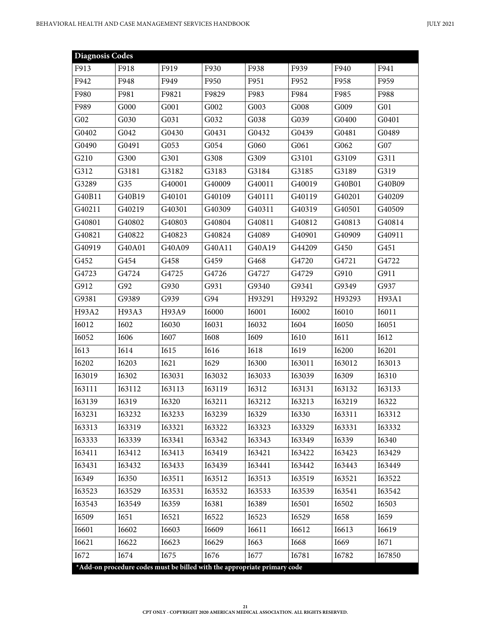| <b>Diagnosis Codes</b> |                                                                          |        |               |              |              |               |                  |
|------------------------|--------------------------------------------------------------------------|--------|---------------|--------------|--------------|---------------|------------------|
| F913                   | F918                                                                     | F919   | F930          | F938         | F939         | F940          | F941             |
| F942                   | F948                                                                     | F949   | F950          | F951         | F952         | F958          | F959             |
| F980                   | F981                                                                     | F9821  | F9829         | F983         | F984         | F985          | F988             |
| F989                   | G000                                                                     | G001   | G002          | G003         | G008         | G009          | G <sub>0</sub> 1 |
| G02                    | G030                                                                     | G031   | G032          | G038         | G039         | G0400         | G0401            |
| G0402                  | G042                                                                     | G0430  | G0431         | G0432        | G0439        | G0481         | G0489            |
| G0490                  | G0491                                                                    | G053   | G054          | G060         | G061         | G062          | G07              |
| G210                   | G300                                                                     | G301   | G308          | G309         | G3101        | G3109         | G311             |
| G312                   | G3181                                                                    | G3182  | G3183         | G3184        | G3185        | G3189         | G319             |
| G3289                  | G <sub>35</sub>                                                          | G40001 | G40009        | G40011       | G40019       | G40B01        | G40B09           |
| G40B11                 | G40B19                                                                   | G40101 | G40109        | G40111       | G40119       | G40201        | G40209           |
| G40211                 | G40219                                                                   | G40301 | G40309        | G40311       | G40319       | G40501        | G40509           |
| G40801                 | G40802                                                                   | G40803 | G40804        | G40811       | G40812       | G40813        | G40814           |
| G40821                 | G40822                                                                   | G40823 | G40824        | G4089        | G40901       | G40909        | G40911           |
| G40919                 | G40A01                                                                   | G40A09 | G40A11        | G40A19       | G44209       | G450          | G451             |
| G452                   | G454                                                                     | G458   | G459          | G468         | G4720        | G4721         | G4722            |
| G4723                  | G4724                                                                    | G4725  | G4726         | G4727        | G4729        | G910          | G911             |
| G912                   | G92                                                                      | G930   | G931          | G9340        | G9341        | G9349         | G937             |
| G9381                  | G9389                                                                    | G939   | G94           | H93291       | H93292       | H93293        | H93A1            |
| H93A2                  | H93A3                                                                    | H93A9  | I6000         | <b>I6001</b> | I6002        | <b>I6010</b>  | I6011            |
| <b>I6012</b>           | I602                                                                     | I6030  | I6031         | I6032        | I604         | I6050         | I6051            |
| I6052                  | I606                                                                     | I607   | <b>I608</b>   | I609         | I610         | I611          | I612             |
| <b>I613</b>            | <b>I614</b>                                                              | I615   | <b>I616</b>   | <b>I618</b>  | I619         | I6200         | <b>I6201</b>     |
| <b>I6202</b>           | I6203                                                                    | I621   | I629          | I6300        | I63011       | I63012        | I63013           |
| I63019                 | I6302                                                                    | I63031 | I63032        | I63033       | I63039       | I6309         | I6310            |
| <b>I63111</b>          | I63112                                                                   | I63113 | <b>I63119</b> | I6312        | I63131       | I63132        | I63133           |
| I63139                 | I6319                                                                    | I6320  | I63211        | I63212       | I63213       | I63219        | I6322            |
| I63231                 | 163232                                                                   | I63233 | I63239        | I6329        | <b>I6330</b> | <b>I63311</b> | 163312           |
| 163313                 | I63319                                                                   | 163321 | 163322        | 163323       | 163329       | <b>I63331</b> | 163332           |
| 163333                 | I63339                                                                   | I63341 | 163342        | 163343       | 163349       | <b>I6339</b>  | <b>I6340</b>     |
| I63411                 | I63412                                                                   | I63413 | I63419        | I63421       | 163422       | 163423        | 163429           |
| 163431                 | 163432                                                                   | 163433 | 163439        | I63441       | 163442       | 163443        | 163449           |
| I6349                  | I6350                                                                    | I63511 | 163512        | I63513       | I63519       | I63521        | I63522           |
| I63523                 | I63529                                                                   | I63531 | I63532        | I63533       | I63539       | I63541        | 163542           |
| 163543                 | 163549                                                                   | I6359  | <b>I6381</b>  | I6389        | I6501        | I6502         | I6503            |
| I6509                  | I651                                                                     | I6521  | I6522         | I6523        | I6529        | <b>I658</b>   | I659             |
| I6601                  | I6602                                                                    | I6603  | I6609         | I6611        | I6612        | <b>I6613</b>  | I6619            |
| I6621                  | I6622                                                                    | I6623  | I6629         | I663         | I668         | I669          | I671             |
| I672                   | I674                                                                     | I675   | I676          | I677         | I6781        | I6782         | I67850           |
|                        | *Add-on procedure codes must be billed with the appropriate primary code |        |               |              |              |               |                  |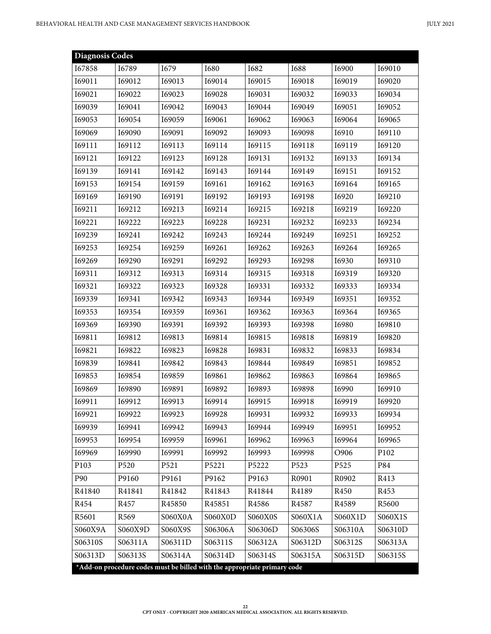| <b>Diagnosis Codes</b> |                  |                                                                          |             |                |               |              |                  |
|------------------------|------------------|--------------------------------------------------------------------------|-------------|----------------|---------------|--------------|------------------|
| I67858                 | I6789            | I679                                                                     | <b>I680</b> | I682           | <b>I688</b>   | <b>I6900</b> | I69010           |
| I69011                 | I69012           | I69013                                                                   | I69014      | I69015         | I69018        | I69019       | I69020           |
| I69021                 | I69022           | I69023                                                                   | I69028      | I69031         | I69032        | I69033       | I69034           |
| I69039                 | I69041           | I69042                                                                   | I69043      | I69044         | I69049        | I69051       | I69052           |
| I69053                 | I69054           | I69059                                                                   | I69061      | I69062         | I69063        | I69064       | I69065           |
| I69069                 | I69090           | I69091                                                                   | I69092      | I69093         | I69098        | I6910        | I69110           |
| I69111                 | I69112           | I69113                                                                   | I69114      | I69115         | I69118        | I69119       | I69120           |
| I69121                 | I69122           | I69123                                                                   | I69128      | I69131         | I69132        | I69133       | I69134           |
| I69139                 | I69141           | I69142                                                                   | I69143      | I69144         | I69149        | I69151       | I69152           |
| I69153                 | I69154           | I69159                                                                   | I69161      | I69162         | I69163        | I69164       | I69165           |
| I69169                 | I69190           | I69191                                                                   | I69192      | I69193         | I69198        | <b>I6920</b> | I69210           |
| <b>I69211</b>          | I69212           | I69213                                                                   | I69214      | I69215         | I69218        | I69219       | I69220           |
| I69221                 | 169222           | I69223                                                                   | I69228      | I69231         | 169232        | 169233       | I69234           |
| I69239                 | I69241           | I69242                                                                   | I69243      | 169244         | I69249        | I69251       | I69252           |
| I69253                 | I69254           | I69259                                                                   | I69261      | I69262         | I69263        | I69264       | I69265           |
| I69269                 | 169290           | I69291                                                                   | I69292      | I69293         | I69298        | I6930        | I69310           |
| I69311                 | I69312           | I69313                                                                   | I69314      | I69315         | <b>I69318</b> | I69319       | I69320           |
| 169321                 | I69322           | I69323                                                                   | I69328      | I69331         | I69332        | I69333       | I69334           |
| I69339                 | I69341           | 169342                                                                   | I69343      | I69344         | 169349        | I69351       | I69352           |
| I69353                 | I69354           | I69359                                                                   | I69361      | 169362         | I69363        | 169364       | I69365           |
| I69369                 | I69390           | I69391                                                                   | I69392      | I69393         | I69398        | <b>I6980</b> | I69810           |
| I69811                 | I69812           | I69813                                                                   | I69814      | I69815         | I69818        | I69819       | I69820           |
| I69821                 | I69822           | I69823                                                                   | I69828      | I69831         | I69832        | I69833       | I69834           |
| I69839                 | I69841           | I69842                                                                   | I69843      | I69844         | I69849        | I69851       | I69852           |
| I69853                 | I69854           | I69859                                                                   | I69861      | I69862         | I69863        | 169864       | I69865           |
| I69869                 | I69890           | I69891                                                                   | I69892      | I69893         | I69898        | I6990        | I69910           |
| I69911                 | I69912           | I69913                                                                   | I69914      | I69915         | I69918        | I69919       | I69920           |
| I69921                 | I69922           | I69923                                                                   | I69928      | I69931         | I69932        | I69933       | I69934           |
| I69939                 | I69941           | I69942                                                                   | I69943      | I69944         | I69949        | I69951       | I69952           |
| I69953                 | I69954           | I69959                                                                   | I69961      | I69962         | I69963        | 169964       | I69965           |
| I69969                 | I69990           | I69991                                                                   | I69992      | I69993         | I69998        | O906         | P <sub>102</sub> |
| P103                   | P <sub>520</sub> | P521                                                                     | P5221       | P5222          | P523          | P525         | P84              |
| P90                    | P9160            | P9161                                                                    | P9162       | P9163          | R0901         | R0902        | R413             |
| R41840                 | R41841           | R41842                                                                   | R41843      | R41844         | R4189         | R450         | R453             |
| R454                   | R457             | R45850                                                                   | R45851      | R4586          | R4587         | R4589        | R5600            |
| R5601                  | R <sub>569</sub> | S060X0A                                                                  | S060X0D     | <b>S060X0S</b> | S060X1A       | S060X1D      | S060X1S          |
| S060X9A                | S060X9D          | S060X9S                                                                  | S06306A     | S06306D        | S06306S       | S06310A      | S06310D          |
| S06310S                | S06311A          | S06311D                                                                  | S06311S     | S06312A        | S06312D       | S06312S      | S06313A          |
| S06313D                | S06313S          | S06314A                                                                  | S06314D     | S06314S        | S06315A       | S06315D      | S06315S          |
|                        |                  | *Add-on procedure codes must be billed with the appropriate primary code |             |                |               |              |                  |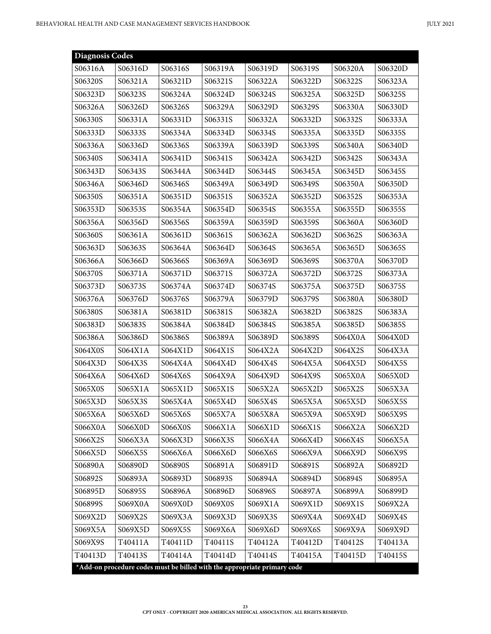| <b>Diagnosis Codes</b> |                                                                          |         |         |         |         |         |         |
|------------------------|--------------------------------------------------------------------------|---------|---------|---------|---------|---------|---------|
| S06316A                | S06316D                                                                  | S06316S | S06319A | S06319D | S06319S | S06320A | S06320D |
| S06320S                | S06321A                                                                  | S06321D | S06321S | S06322A | S06322D | S06322S | S06323A |
| S06323D                | S06323S                                                                  | S06324A | S06324D | S06324S | S06325A | S06325D | S06325S |
| S06326A                | S06326D                                                                  | S06326S | S06329A | S06329D | S06329S | S06330A | S06330D |
| S06330S                | S06331A                                                                  | S06331D | S06331S | S06332A | S06332D | S06332S | S06333A |
| S06333D                | S06333S                                                                  | S06334A | S06334D | S06334S | S06335A | S06335D | S06335S |
| S06336A                | S06336D                                                                  | S06336S | S06339A | S06339D | S06339S | S06340A | S06340D |
| S06340S                | S06341A                                                                  | S06341D | S06341S | S06342A | S06342D | S06342S | S06343A |
| S06343D                | S06343S                                                                  | S06344A | S06344D | S06344S | S06345A | S06345D | S06345S |
| S06346A                | S06346D                                                                  | S06346S | S06349A | S06349D | S06349S | S06350A | S06350D |
| S06350S                | S06351A                                                                  | S06351D | S06351S | S06352A | S06352D | S06352S | S06353A |
| S06353D                | S06353S                                                                  | S06354A | S06354D | S06354S | S06355A | S06355D | S06355S |
| S06356A                | S06356D                                                                  | S06356S | S06359A | S06359D | S06359S | S06360A | S06360D |
| S06360S                | S06361A                                                                  | S06361D | S06361S | S06362A | S06362D | S06362S | S06363A |
| S06363D                | S06363S                                                                  | S06364A | S06364D | S06364S | S06365A | S06365D | S06365S |
| S06366A                | S06366D                                                                  | S06366S | S06369A | S06369D | S06369S | S06370A | S06370D |
| S06370S                | S06371A                                                                  | S06371D | S06371S | S06372A | S06372D | S06372S | S06373A |
| S06373D                | S06373S                                                                  | S06374A | S06374D | S06374S | S06375A | S06375D | S06375S |
| S06376A                | S06376D                                                                  | S06376S | S06379A | S06379D | S06379S | S06380A | S06380D |
| S06380S                | S06381A                                                                  | S06381D | S06381S | S06382A | S06382D | S06382S | S06383A |
| S06383D                | S06383S                                                                  | S06384A | S06384D | S06384S | S06385A | S06385D | S06385S |
| S06386A                | S06386D                                                                  | S06386S | S06389A | S06389D | S06389S | S064X0A | S064X0D |
| S064X0S                | S064X1A                                                                  | S064X1D | S064X1S | S064X2A | S064X2D | S064X2S | S064X3A |
| S064X3D                | S064X3S                                                                  | S064X4A | S064X4D | S064X4S | S064X5A | S064X5D | S064X5S |
| S064X6A                | S064X6D                                                                  | S064X6S | S064X9A | S064X9D | S064X9S | S065X0A | S065X0D |
| S065X0S                | S065X1A                                                                  | S065X1D | S065X1S | S065X2A | S065X2D | S065X2S | S065X3A |
| S065X3D                | S065X3S                                                                  | S065X4A | S065X4D | S065X4S | S065X5A | S065X5D | S065X5S |
| S065X6A                | S065X6D                                                                  | S065X6S | S065X7A | S065X8A | S065X9A | S065X9D | S065X9S |
| S066X0A                | S066X0D                                                                  | S066X0S | S066X1A | S066X1D | S066X1S | S066X2A | S066X2D |
| S066X2S                | S066X3A                                                                  | S066X3D | S066X3S | S066X4A | S066X4D | S066X4S | S066X5A |
| S066X5D                | S066X5S                                                                  | S066X6A | S066X6D | S066X6S | S066X9A | S066X9D | S066X9S |
| S06890A                | S06890D                                                                  | S06890S | S06891A | S06891D | S06891S | S06892A | S06892D |
| S06892S                | S06893A                                                                  | S06893D | S06893S | S06894A | S06894D | S06894S | S06895A |
| S06895D                | S06895S                                                                  | S06896A | S06896D | S06896S | S06897A | S06899A | S06899D |
| S06899S                | S069X0A                                                                  | S069X0D | S069X0S | S069X1A | S069X1D | S069X1S | S069X2A |
| S069X2D                | S069X2S                                                                  | S069X3A | S069X3D | S069X3S | S069X4A | S069X4D | S069X4S |
| S069X5A                | S069X5D                                                                  | S069X5S | S069X6A | S069X6D | S069X6S | S069X9A | S069X9D |
| S069X9S                | T40411A                                                                  | T40411D | T40411S | T40412A | T40412D | T40412S | T40413A |
| T40413D                | T40413S                                                                  | T40414A | T40414D | T40414S | T40415A | T40415D | T40415S |
|                        | *Add-on procedure codes must be billed with the appropriate primary code |         |         |         |         |         |         |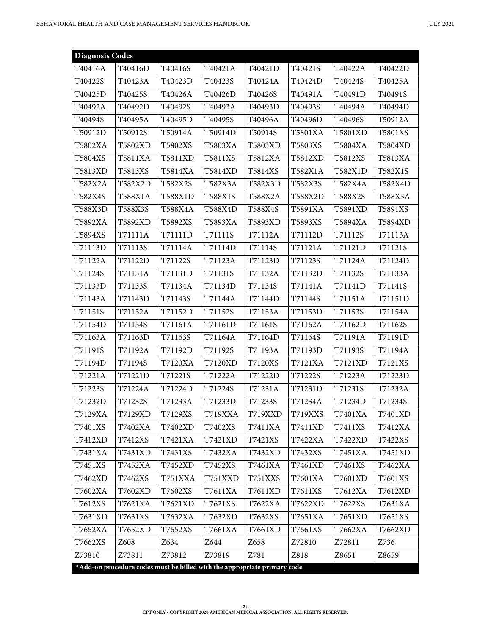| <b>Diagnosis Codes</b> |                                                                          |         |                |                |         |         |         |
|------------------------|--------------------------------------------------------------------------|---------|----------------|----------------|---------|---------|---------|
| T40416A                | T40416D                                                                  | T40416S | T40421A        | T40421D        | T40421S | T40422A | T40422D |
| T40422S                | T40423A                                                                  | T40423D | T40423S        | T40424A        | T40424D | T40424S | T40425A |
| T40425D                | T40425S                                                                  | T40426A | T40426D        | T40426S        | T40491A | T40491D | T40491S |
| T40492A                | T40492D                                                                  | T40492S | T40493A        | T40493D        | T40493S | T40494A | T40494D |
| T40494S                | T40495A                                                                  | T40495D | T40495S        | T40496A        | T40496D | T40496S | T50912A |
| T50912D                | T50912S                                                                  | T50914A | T50914D        | T50914S        | T5801XA | T5801XD | T5801XS |
| T5802XA                | T5802XD                                                                  | T5802XS | T5803XA        | T5803XD        | T5803XS | T5804XA | T5804XD |
| T5804XS                | T5811XA                                                                  | T5811XD | T5811XS        | T5812XA        | T5812XD | T5812XS | T5813XA |
| T5813XD                | T5813XS                                                                  | T5814XA | T5814XD        | T5814XS        | T582X1A | T582X1D | T582X1S |
| T582X2A                | T582X2D                                                                  | T582X2S | T582X3A        | T582X3D        | T582X3S | T582X4A | T582X4D |
| T582X4S                | T588X1A                                                                  | T588X1D | T588X1S        | T588X2A        | T588X2D | T588X2S | T588X3A |
| T588X3D                | T588X3S                                                                  | T588X4A | T588X4D        | T588X4S        | T5891XA | T5891XD | T5891XS |
| T5892XA                | T5892XD                                                                  | T5892XS | T5893XA        | T5893XD        | T5893XS | T5894XA | T5894XD |
| T5894XS                | T71111A                                                                  | T71111D | T71111S        | T71112A        | T71112D | T71112S | T71113A |
| T71113D                | T71113S                                                                  | T71114A | T71114D        | T71114S        | T71121A | T71121D | T71121S |
| T71122A                | T71122D                                                                  | T71122S | T71123A        | T71123D        | T71123S | T71124A | T71124D |
| T71124S                | T71131A                                                                  | T71131D | T71131S        | T71132A        | T71132D | T71132S | T71133A |
| T71133D                | T71133S                                                                  | T71134A | T71134D        | T71134S        | T71141A | T71141D | T71141S |
| T71143A                | T71143D                                                                  | T71143S | T71144A        | T71144D        | T71144S | T71151A | T71151D |
| T71151S                | T71152A                                                                  | T71152D | T71152S        | T71153A        | T71153D | T71153S | T71154A |
| T71154D                | T71154S                                                                  | T71161A | T71161D        | T71161S        | T71162A | T71162D | T71162S |
| T71163A                | T71163D                                                                  | T71163S | T71164A        | T71164D        | T71164S | T71191A | T71191D |
| T71191S                | T71192A                                                                  | T71192D | T71192S        | T71193A        | T71193D | T71193S | T71194A |
| T71194D                | T71194S                                                                  | T7120XA | T7120XD        | <b>T7120XS</b> | T7121XA | T7121XD | T7121XS |
| T71221A                | T71221D                                                                  | T71221S | T71222A        | T71222D        | T71222S | T71223A | T71223D |
| T71223S                | T71224A                                                                  | T71224D | T71224S        | T71231A        | T71231D | T71231S | T71232A |
| T71232D                | T71232S                                                                  | T71233A | T71233D        | T71233S        | T71234A | T71234D | T71234S |
| T7129XA                | T7129XD                                                                  | T7129XS | T719XXA        | T719XXD        | T719XXS | T7401XA | T7401XD |
| T7401XS                | T7402XA                                                                  | T7402XD | T7402XS        | T7411XA        | T7411XD | T7411XS | T7412XA |
| T7412XD                | T7412XS                                                                  | T7421XA | T7421XD        | T7421XS        | T7422XA | T7422XD | T7422XS |
| T7431XA                | T7431XD                                                                  | T7431XS | T7432XA        | T7432XD        | T7432XS | T7451XA | T7451XD |
| T7451XS                | T7452XA                                                                  | T7452XD | T7452XS        | T7461XA        | T7461XD | T7461XS | T7462XA |
| T7462XD                | T7462XS                                                                  | T751XXA | <b>T751XXD</b> | <b>T751XXS</b> | T7601XA | T7601XD | T7601XS |
| T7602XA                | T7602XD                                                                  | T7602XS | T7611XA        | T7611XD        | T7611XS | T7612XA | T7612XD |
| T7612XS                | T7621XA                                                                  | T7621XD | T7621XS        | T7622XA        | T7622XD | T7622XS | T7631XA |
| T7631XD                | T7631XS                                                                  | T7632XA | T7632XD        | T7632XS        | T7651XA | T7651XD | T7651XS |
| T7652XA                | T7652XD                                                                  | T7652XS | T7661XA        | T7661XD        | T7661XS | T7662XA | T7662XD |
| T7662XS                | Z608                                                                     | Z634    | Z644           | Z658           | Z72810  | Z72811  | Z736    |
| Z73810                 | Z73811                                                                   | Z73812  | Z73819         | Z781           | Z818    | Z8651   | Z8659   |
|                        | *Add-on procedure codes must be billed with the appropriate primary code |         |                |                |         |         |         |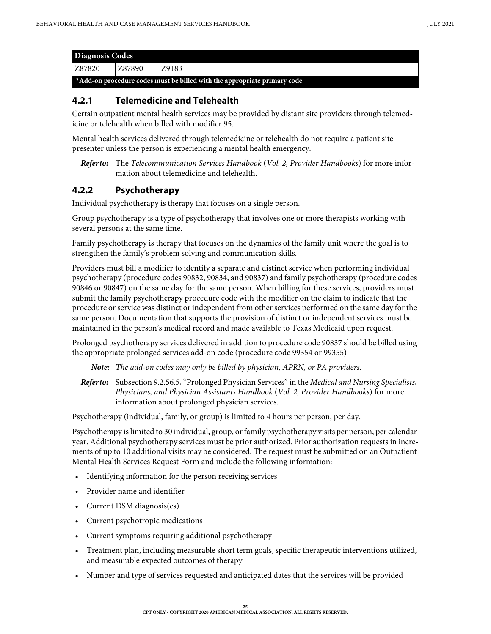| <b>Diagnosis Codes</b>                                                   |        |       |  |  |  |
|--------------------------------------------------------------------------|--------|-------|--|--|--|
| Z87820                                                                   | Z87890 | Z9183 |  |  |  |
| *Add-on procedure codes must be billed with the appropriate primary code |        |       |  |  |  |

#### <span id="page-24-0"></span>**4.2.1 Telemedicine and Telehealth**

Certain outpatient mental health services may be provided by distant site providers through telemedicine or telehealth when billed with modifier 95.

Mental health services delivered through telemedicine or telehealth do not require a patient site presenter unless the person is experiencing a mental health emergency.

*Refer to:* The *Telecommunication Services Handbook* (*Vol. 2, Provider Handbooks*) for more information about telemedicine and telehealth.

#### <span id="page-24-1"></span>**4.2.2 Psychotherapy**

Individual psychotherapy is therapy that focuses on a single person.

Group psychotherapy is a type of psychotherapy that involves one or more therapists working with several persons at the same time.

Family psychotherapy is therapy that focuses on the dynamics of the family unit where the goal is to strengthen the family's problem solving and communication skills.

Providers must bill a modifier to identify a separate and distinct service when performing individual psychotherapy (procedure codes 90832, 90834, and 90837) and family psychotherapy (procedure codes 90846 or 90847) on the same day for the same person. When billing for these services, providers must submit the family psychotherapy procedure code with the modifier on the claim to indicate that the procedure or service was distinct or independent from other services performed on the same day for the same person. Documentation that supports the provision of distinct or independent services must be maintained in the person's medical record and made available to Texas Medicaid upon request.

Prolonged psychotherapy services delivered in addition to procedure code 90837 should be billed using the appropriate prolonged services add-on code (procedure code 99354 or 99355)

*Note: The add-on codes may only be billed by physician, APRN, or PA providers.*

*Refer to:* Subsection 9.2.56.5, "Prolonged Physician Services" in the *Medical and Nursing Specialists, Physicians, and Physician Assistants Handbook* (*Vol. 2, Provider Handbooks*) for more information about prolonged physician services.

Psychotherapy (individual, family, or group) is limited to 4 hours per person, per day.

Psychotherapy is limited to 30 individual, group, or family psychotherapy visits per person, per calendar year. Additional psychotherapy services must be prior authorized. Prior authorization requests in increments of up to 10 additional visits may be considered. The request must be submitted on an Outpatient Mental Health Services Request Form and include the following information:

- Identifying information for the person receiving services
- Provider name and identifier
- Current DSM diagnosis(es)
- Current psychotropic medications
- Current symptoms requiring additional psychotherapy
- Treatment plan, including measurable short term goals, specific therapeutic interventions utilized, and measurable expected outcomes of therapy
- Number and type of services requested and anticipated dates that the services will be provided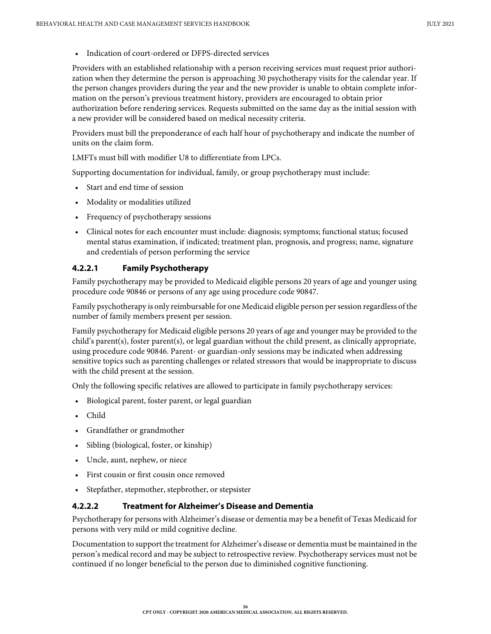• Indication of court-ordered or DFPS-directed services

Providers with an established relationship with a person receiving services must request prior authorization when they determine the person is approaching 30 psychotherapy visits for the calendar year. If the person changes providers during the year and the new provider is unable to obtain complete information on the person's previous treatment history, providers are encouraged to obtain prior authorization before rendering services. Requests submitted on the same day as the initial session with a new provider will be considered based on medical necessity criteria.

Providers must bill the preponderance of each half hour of psychotherapy and indicate the number of units on the claim form.

LMFTs must bill with modifier U8 to differentiate from LPCs.

Supporting documentation for individual, family, or group psychotherapy must include:

- Start and end time of session
- Modality or modalities utilized
- Frequency of psychotherapy sessions
- Clinical notes for each encounter must include: diagnosis; symptoms; functional status; focused mental status examination, if indicated; treatment plan, prognosis, and progress; name, signature and credentials of person performing the service

#### <span id="page-25-0"></span>**4.2.2.1 Family Psychotherapy**

Family psychotherapy may be provided to Medicaid eligible persons 20 years of age and younger using procedure code 90846 or persons of any age using procedure code 90847.

Family psychotherapy is only reimbursable for one Medicaid eligible person per session regardless of the number of family members present per session.

Family psychotherapy for Medicaid eligible persons 20 years of age and younger may be provided to the child's parent(s), foster parent(s), or legal guardian without the child present, as clinically appropriate, using procedure code 90846. Parent- or guardian-only sessions may be indicated when addressing sensitive topics such as parenting challenges or related stressors that would be inappropriate to discuss with the child present at the session.

Only the following specific relatives are allowed to participate in family psychotherapy services:

- Biological parent, foster parent, or legal guardian
- Child
- Grandfather or grandmother
- Sibling (biological, foster, or kinship)
- Uncle, aunt, nephew, or niece
- First cousin or first cousin once removed
- Stepfather, stepmother, stepbrother, or stepsister

#### <span id="page-25-1"></span>**4.2.2.2 Treatment for Alzheimer's Disease and Dementia**

Psychotherapy for persons with Alzheimer's disease or dementia may be a benefit of Texas Medicaid for persons with very mild or mild cognitive decline.

Documentation to support the treatment for Alzheimer's disease or dementia must be maintained in the person's medical record and may be subject to retrospective review. Psychotherapy services must not be continued if no longer beneficial to the person due to diminished cognitive functioning.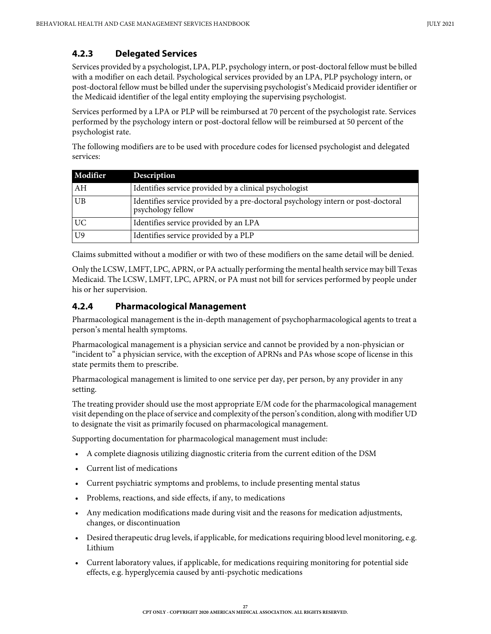## <span id="page-26-0"></span>**4.2.3 Delegated Services**

Services provided by a psychologist, LPA, PLP, psychology intern, or post-doctoral fellow must be billed with a modifier on each detail. Psychological services provided by an LPA, PLP psychology intern, or post-doctoral fellow must be billed under the supervising psychologist's Medicaid provider identifier or the Medicaid identifier of the legal entity employing the supervising psychologist.

Services performed by a LPA or PLP will be reimbursed at 70 percent of the psychologist rate. Services performed by the psychology intern or post-doctoral fellow will be reimbursed at 50 percent of the psychologist rate.

The following modifiers are to be used with procedure codes for licensed psychologist and delegated services:

| Modifier  | Description                                                                                           |
|-----------|-------------------------------------------------------------------------------------------------------|
| AH        | Identifies service provided by a clinical psychologist                                                |
| <b>UB</b> | Identifies service provided by a pre-doctoral psychology intern or post-doctoral<br>psychology fellow |
| <b>UC</b> | Identifies service provided by an LPA                                                                 |
| U9        | Identifies service provided by a PLP                                                                  |

Claims submitted without a modifier or with two of these modifiers on the same detail will be denied.

Only the LCSW, LMFT, LPC, APRN, or PA actually performing the mental health service may bill Texas Medicaid. The LCSW, LMFT, LPC, APRN, or PA must not bill for services performed by people under his or her supervision.

#### <span id="page-26-1"></span>**4.2.4 Pharmacological Management**

Pharmacological management is the in-depth management of psychopharmacological agents to treat a person's mental health symptoms.

Pharmacological management is a physician service and cannot be provided by a non-physician or "incident to" a physician service, with the exception of APRNs and PAs whose scope of license in this state permits them to prescribe.

Pharmacological management is limited to one service per day, per person, by any provider in any setting.

The treating provider should use the most appropriate E/M code for the pharmacological management visit depending on the place of service and complexity of the person's condition, along with modifier UD to designate the visit as primarily focused on pharmacological management.

Supporting documentation for pharmacological management must include:

- A complete diagnosis utilizing diagnostic criteria from the current edition of the DSM
- Current list of medications
- Current psychiatric symptoms and problems, to include presenting mental status
- Problems, reactions, and side effects, if any, to medications
- Any medication modifications made during visit and the reasons for medication adjustments, changes, or discontinuation
- Desired therapeutic drug levels, if applicable, for medications requiring blood level monitoring, e.g. Lithium
- Current laboratory values, if applicable, for medications requiring monitoring for potential side effects, e.g. hyperglycemia caused by anti-psychotic medications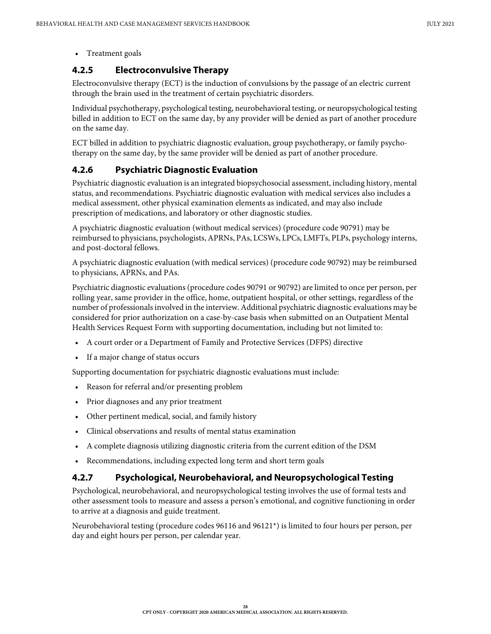#### • Treatment goals

#### <span id="page-27-0"></span>**4.2.5 Electroconvulsive Therapy**

Electroconvulsive therapy (ECT) is the induction of convulsions by the passage of an electric current through the brain used in the treatment of certain psychiatric disorders.

Individual psychotherapy, psychological testing, neurobehavioral testing, or neuropsychological testing billed in addition to ECT on the same day, by any provider will be denied as part of another procedure on the same day.

ECT billed in addition to psychiatric diagnostic evaluation, group psychotherapy, or family psychotherapy on the same day, by the same provider will be denied as part of another procedure.

#### <span id="page-27-1"></span>**4.2.6 Psychiatric Diagnostic Evaluation**

Psychiatric diagnostic evaluation is an integrated biopsychosocial assessment, including history, mental status, and recommendations. Psychiatric diagnostic evaluation with medical services also includes a medical assessment, other physical examination elements as indicated, and may also include prescription of medications, and laboratory or other diagnostic studies.

A psychiatric diagnostic evaluation (without medical services) (procedure code 90791) may be reimbursed to physicians, psychologists, APRNs, PAs, LCSWs, LPCs, LMFTs, PLPs, psychology interns, and post-doctoral fellows.

A psychiatric diagnostic evaluation (with medical services) (procedure code 90792) may be reimbursed to physicians, APRNs, and PAs.

Psychiatric diagnostic evaluations (procedure codes 90791 or 90792) are limited to once per person, per rolling year, same provider in the office, home, outpatient hospital, or other settings, regardless of the number of professionals involved in the interview. Additional psychiatric diagnostic evaluations may be considered for prior authorization on a case-by-case basis when submitted on an Outpatient Mental Health Services Request Form with supporting documentation, including but not limited to:

- A court order or a Department of Family and Protective Services (DFPS) directive
- If a major change of status occurs

Supporting documentation for psychiatric diagnostic evaluations must include:

- Reason for referral and/or presenting problem
- Prior diagnoses and any prior treatment
- Other pertinent medical, social, and family history
- Clinical observations and results of mental status examination
- A complete diagnosis utilizing diagnostic criteria from the current edition of the DSM
- Recommendations, including expected long term and short term goals

#### <span id="page-27-2"></span>**4.2.7 Psychological, Neurobehavioral, and Neuropsychological Testing**

Psychological, neurobehavioral, and neuropsychological testing involves the use of formal tests and other assessment tools to measure and assess a person's emotional, and cognitive functioning in order to arrive at a diagnosis and guide treatment.

Neurobehavioral testing (procedure codes 96116 and 96121\*) is limited to four hours per person, per day and eight hours per person, per calendar year.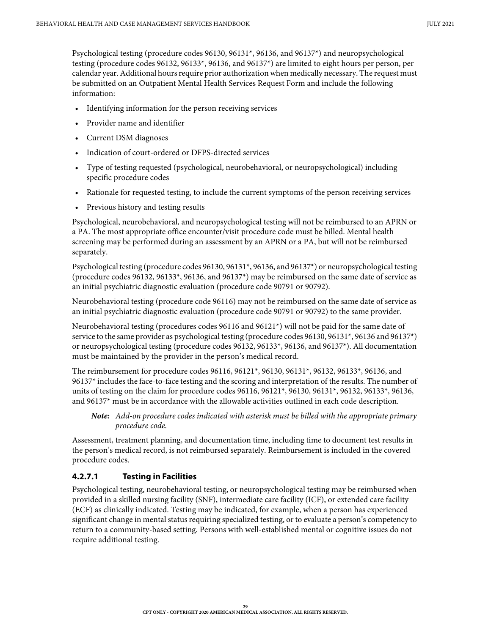Psychological testing (procedure codes 96130, 96131\*, 96136, and 96137\*) and neuropsychological testing (procedure codes 96132, 96133\*, 96136, and 96137\*) are limited to eight hours per person, per calendar year. Additional hours require prior authorization when medically necessary. The request must be submitted on an Outpatient Mental Health Services Request Form and include the following information:

- Identifying information for the person receiving services
- Provider name and identifier
- Current DSM diagnoses
- Indication of court-ordered or DFPS-directed services
- Type of testing requested (psychological, neurobehavioral, or neuropsychological) including specific procedure codes
- Rationale for requested testing, to include the current symptoms of the person receiving services
- Previous history and testing results

Psychological, neurobehavioral, and neuropsychological testing will not be reimbursed to an APRN or a PA. The most appropriate office encounter/visit procedure code must be billed. Mental health screening may be performed during an assessment by an APRN or a PA, but will not be reimbursed separately.

Psychological testing (procedure codes 96130, 96131\*, 96136, and 96137\*) or neuropsychological testing (procedure codes 96132, 96133\*, 96136, and 96137\*) may be reimbursed on the same date of service as an initial psychiatric diagnostic evaluation (procedure code 90791 or 90792).

Neurobehavioral testing (procedure code 96116) may not be reimbursed on the same date of service as an initial psychiatric diagnostic evaluation (procedure code 90791 or 90792) to the same provider.

Neurobehavioral testing (procedures codes 96116 and 96121\*) will not be paid for the same date of service to the same provider as psychological testing (procedure codes 96130, 96131\*, 96136 and 96137\*) or neuropsychological testing (procedure codes 96132, 96133\*, 96136, and 96137\*). All documentation must be maintained by the provider in the person's medical record.

The reimbursement for procedure codes 96116, 96121\*, 96130, 96131\*, 96132, 96133\*, 96136, and 96137\* includes the face-to-face testing and the scoring and interpretation of the results. The number of units of testing on the claim for procedure codes 96116, 96121\*, 96130, 96131\*, 96132, 96133\*, 96136, and 96137\* must be in accordance with the allowable activities outlined in each code description.

*Note: Add-on procedure codes indicated with asterisk must be billed with the appropriate primary procedure code.*

Assessment, treatment planning, and documentation time, including time to document test results in the person's medical record, is not reimbursed separately. Reimbursement is included in the covered procedure codes.

#### <span id="page-28-0"></span>**4.2.7.1 Testing in Facilities**

Psychological testing, neurobehavioral testing, or neuropsychological testing may be reimbursed when provided in a skilled nursing facility (SNF), intermediate care facility (ICF), or extended care facility (ECF) as clinically indicated. Testing may be indicated, for example, when a person has experienced significant change in mental status requiring specialized testing, or to evaluate a person's competency to return to a community-based setting. Persons with well-established mental or cognitive issues do not require additional testing.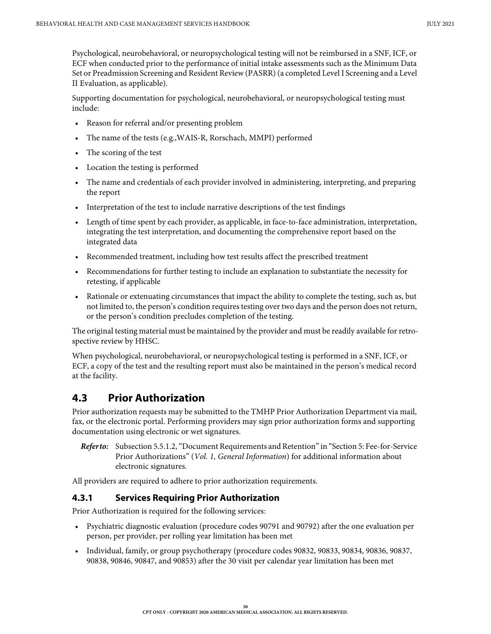Psychological, neurobehavioral, or neuropsychological testing will not be reimbursed in a SNF, ICF, or ECF when conducted prior to the performance of initial intake assessments such as the Minimum Data Set or Preadmission Screening and Resident Review (PASRR) (a completed Level I Screening and a Level II Evaluation, as applicable).

Supporting documentation for psychological, neurobehavioral, or neuropsychological testing must include:

- Reason for referral and/or presenting problem
- The name of the tests (e.g.,WAIS-R, Rorschach, MMPI) performed
- The scoring of the test
- Location the testing is performed
- The name and credentials of each provider involved in administering, interpreting, and preparing the report
- Interpretation of the test to include narrative descriptions of the test findings
- Length of time spent by each provider, as applicable, in face-to-face administration, interpretation, integrating the test interpretation, and documenting the comprehensive report based on the integrated data
- Recommended treatment, including how test results affect the prescribed treatment
- Recommendations for further testing to include an explanation to substantiate the necessity for retesting, if applicable
- Rationale or extenuating circumstances that impact the ability to complete the testing, such as, but not limited to, the person's condition requires testing over two days and the person does not return, or the person's condition precludes completion of the testing.

The original testing material must be maintained by the provider and must be readily available for retrospective review by HHSC.

When psychological, neurobehavioral, or neuropsychological testing is performed in a SNF, ICF, or ECF, a copy of the test and the resulting report must also be maintained in the person's medical record at the facility.

## <span id="page-29-0"></span>**4.3 Prior Authorization**

Prior authorization requests may be submitted to the TMHP Prior Authorization Department via mail, fax, or the electronic portal. Performing providers may sign prior authorization forms and supporting documentation using electronic or wet signatures.

*Refer to:* Subsection 5.5.1.2, "Document Requirements and Retention" in "Section 5: Fee-for-Service Prior Authorizations" (*Vol. 1, General Information*) for additional information about electronic signatures.

All providers are required to adhere to prior authorization requirements.

#### <span id="page-29-1"></span>**4.3.1 Services Requiring Prior Authorization**

Prior Authorization is required for the following services:

- Psychiatric diagnostic evaluation (procedure codes 90791 and 90792) after the one evaluation per person, per provider, per rolling year limitation has been met
- Individual, family, or group psychotherapy (procedure codes 90832, 90833, 90834, 90836, 90837, 90838, 90846, 90847, and 90853) after the 30 visit per calendar year limitation has been met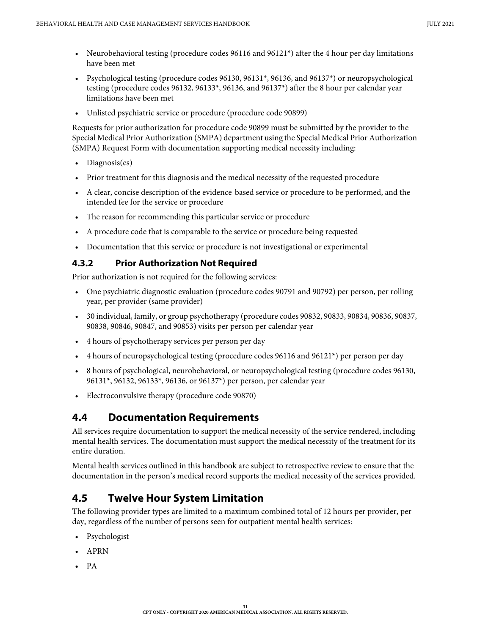- Neurobehavioral testing (procedure codes 96116 and 96121\*) after the 4 hour per day limitations have been met
- Psychological testing (procedure codes 96130, 96131\*, 96136, and 96137\*) or neuropsychological testing (procedure codes 96132, 96133\*, 96136, and 96137\*) after the 8 hour per calendar year limitations have been met
- Unlisted psychiatric service or procedure (procedure code 90899)

Requests for prior authorization for procedure code 90899 must be submitted by the provider to the Special Medical Prior Authorization (SMPA) department using the Special Medical Prior Authorization (SMPA) Request Form with documentation supporting medical necessity including:

- Diagnosis(es)
- Prior treatment for this diagnosis and the medical necessity of the requested procedure
- A clear, concise description of the evidence-based service or procedure to be performed, and the intended fee for the service or procedure
- The reason for recommending this particular service or procedure
- A procedure code that is comparable to the service or procedure being requested
- Documentation that this service or procedure is not investigational or experimental

#### <span id="page-30-0"></span>**4.3.2 Prior Authorization Not Required**

Prior authorization is not required for the following services:

- One psychiatric diagnostic evaluation (procedure codes 90791 and 90792) per person, per rolling year, per provider (same provider)
- 30 individual, family, or group psychotherapy (procedure codes 90832, 90833, 90834, 90836, 90837, 90838, 90846, 90847, and 90853) visits per person per calendar year
- 4 hours of psychotherapy services per person per day
- 4 hours of neuropsychological testing (procedure codes 96116 and 96121\*) per person per day
- 8 hours of psychological, neurobehavioral, or neuropsychological testing (procedure codes 96130, 96131\*, 96132, 96133\*, 96136, or 96137\*) per person, per calendar year
- Electroconvulsive therapy (procedure code 90870)

# <span id="page-30-1"></span>**4.4 Documentation Requirements**

All services require documentation to support the medical necessity of the service rendered, including mental health services. The documentation must support the medical necessity of the treatment for its entire duration.

Mental health services outlined in this handbook are subject to retrospective review to ensure that the documentation in the person's medical record supports the medical necessity of the services provided.

# <span id="page-30-2"></span>**4.5 Twelve Hour System Limitation**

The following provider types are limited to a maximum combined total of 12 hours per provider, per day, regardless of the number of persons seen for outpatient mental health services:

- Psychologist
- APRN
- PA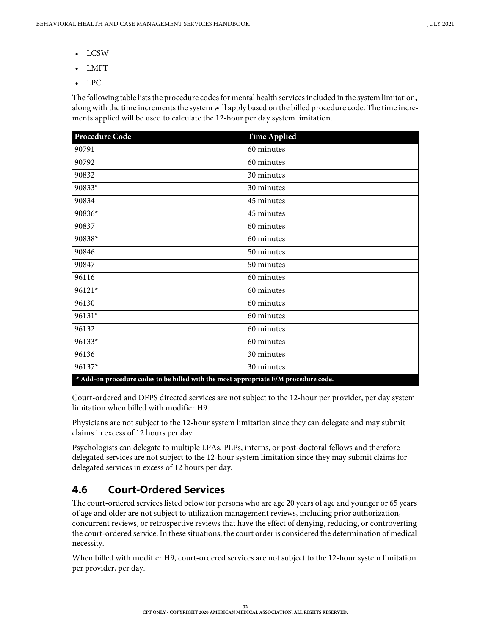- LCSW
- LMFT
- LPC

The following table lists the procedure codes for mental health services included in the system limitation, along with the time increments the system will apply based on the billed procedure code. The time increments applied will be used to calculate the 12-hour per day system limitation.

| <b>Procedure Code</b> | <b>Time Applied</b>                                                                 |
|-----------------------|-------------------------------------------------------------------------------------|
| 90791                 | 60 minutes                                                                          |
| 90792                 | 60 minutes                                                                          |
| 90832                 | 30 minutes                                                                          |
| 90833*                | 30 minutes                                                                          |
| 90834                 | 45 minutes                                                                          |
| 90836*                | 45 minutes                                                                          |
| 90837                 | 60 minutes                                                                          |
| 90838*                | 60 minutes                                                                          |
| 90846                 | 50 minutes                                                                          |
| 90847                 | 50 minutes                                                                          |
| 96116                 | 60 minutes                                                                          |
| 96121*                | 60 minutes                                                                          |
| 96130                 | 60 minutes                                                                          |
| 96131*                | 60 minutes                                                                          |
| 96132                 | 60 minutes                                                                          |
| $96133*$              | 60 minutes                                                                          |
| 96136                 | 30 minutes                                                                          |
| 96137*                | 30 minutes                                                                          |
|                       | * Add-on procedure codes to be billed with the most appropriate E/M procedure code. |

Court-ordered and DFPS directed services are not subject to the 12-hour per provider, per day system limitation when billed with modifier H9.

Physicians are not subject to the 12-hour system limitation since they can delegate and may submit claims in excess of 12 hours per day.

Psychologists can delegate to multiple LPAs, PLPs, interns, or post-doctoral fellows and therefore delegated services are not subject to the 12-hour system limitation since they may submit claims for delegated services in excess of 12 hours per day.

# <span id="page-31-0"></span>**4.6 Court-Ordered Services**

The court-ordered services listed below for persons who are age 20 years of age and younger or 65 years of age and older are not subject to utilization management reviews, including prior authorization, concurrent reviews, or retrospective reviews that have the effect of denying, reducing, or controverting the court-ordered service. In these situations, the court order is considered the determination of medical necessity.

When billed with modifier H9, court-ordered services are not subject to the 12-hour system limitation per provider, per day.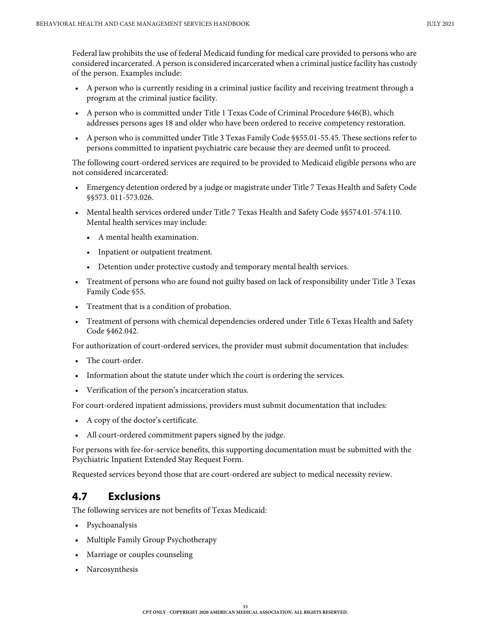Federal law prohibits the use of federal Medicaid funding for medical care provided to persons who are considered incarcerated. A person is considered incarcerated when a criminal justice facility has custody of the person. Examples include:

- A person who is currently residing in a criminal justice facility and receiving treatment through a program at the criminal justice facility.
- A person who is committed under Title 1 Texas Code of Criminal Procedure §46(B), which addresses persons ages 18 and older who have been ordered to receive competency restoration.
- A person who is committed under Title 3 Texas Family Code §§55.01-55.45. These sections refer to persons committed to inpatient psychiatric care because they are deemed unfit to proceed.

The following court-ordered services are required to be provided to Medicaid eligible persons who are not considered incarcerated:

- Emergency detention ordered by a judge or magistrate under Title 7 Texas Health and Safety Code §§573. 011-573.026.
- Mental health services ordered under Title 7 Texas Health and Safety Code §§574.01-574.110. Mental health services may include:
	- A mental health examination.
	- Inpatient or outpatient treatment.
	- Detention under protective custody and temporary mental health services.
- Treatment of persons who are found not guilty based on lack of responsibility under Title 3 Texas Family Code §55.
- Treatment that is a condition of probation.
- Treatment of persons with chemical dependencies ordered under Title 6 Texas Health and Safety Code §462.042.

For authorization of court-ordered services, the provider must submit documentation that includes:

- The court-order.
- Information about the statute under which the court is ordering the services.
- Verification of the person's incarceration status.

For court-ordered inpatient admissions, providers must submit documentation that includes:

- A copy of the doctor's certificate.
- All court-ordered commitment papers signed by the judge.

For persons with fee-for-service benefits, this supporting documentation must be submitted with the Psychiatric Inpatient Extended Stay Request Form.

Requested services beyond those that are court-ordered are subject to medical necessity review.

# <span id="page-32-0"></span>**4.7 Exclusions**

The following services are not benefits of Texas Medicaid:

- Psychoanalysis
- Multiple Family Group Psychotherapy
- Marriage or couples counseling
- Narcosynthesis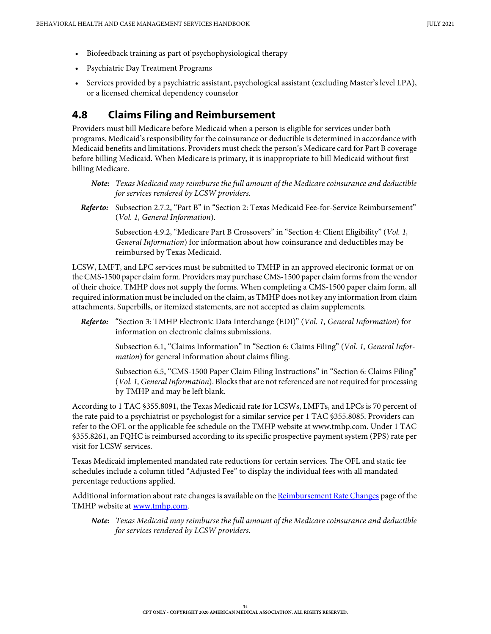- Biofeedback training as part of psychophysiological therapy
- Psychiatric Day Treatment Programs
- Services provided by a psychiatric assistant, psychological assistant (excluding Master's level LPA), or a licensed chemical dependency counselor

## <span id="page-33-0"></span>**4.8 Claims Filing and Reimbursement**

Providers must bill Medicare before Medicaid when a person is eligible for services under both programs. Medicaid's responsibility for the coinsurance or deductible is determined in accordance with Medicaid benefits and limitations. Providers must check the person's Medicare card for Part B coverage before billing Medicaid. When Medicare is primary, it is inappropriate to bill Medicaid without first billing Medicare.

*Refer to:* Subsection 2.7.2, "Part B" in "Section 2: Texas Medicaid Fee-for-Service Reimbursement" (*Vol. 1, General Information*).

> Subsection 4.9.2, "Medicare Part B Crossovers" in "Section 4: Client Eligibility" (*Vol. 1, General Information*) for information about how coinsurance and deductibles may be reimbursed by Texas Medicaid.

LCSW, LMFT, and LPC services must be submitted to TMHP in an approved electronic format or on the CMS-1500 paper claim form. Providers may purchase CMS-1500 paper claim forms from the vendor of their choice. TMHP does not supply the forms. When completing a CMS-1500 paper claim form, all required information must be included on the claim, as TMHP does not key any information from claim attachments. Superbills, or itemized statements, are not accepted as claim supplements.

*Refer to:* "Section 3: TMHP Electronic Data Interchange (EDI)" (*Vol. 1, General Information*) for information on electronic claims submissions.

> Subsection 6.1, "Claims Information" in "Section 6: Claims Filing" (*Vol. 1, General Information*) for general information about claims filing.

> Subsection 6.5, "CMS-1500 Paper Claim Filing Instructions" in "Section 6: Claims Filing" (*Vol. 1, General Information*). Blocks that are not referenced are not required for processing by TMHP and may be left blank.

According to 1 TAC §355.8091, the Texas Medicaid rate for LCSWs, LMFTs, and LPCs is 70 percent of the rate paid to a psychiatrist or psychologist for a similar service per 1 TAC §355.8085. Providers can refer to the OFL or the applicable fee schedule on the TMHP website at www.tmhp.com. Under 1 TAC §355.8261, an FQHC is reimbursed according to its specific prospective payment system (PPS) rate per visit for LCSW services.

Texas Medicaid implemented mandated rate reductions for certain services. The OFL and static fee schedules include a column titled "Adjusted Fee" to display the individual fees with all mandated percentage reductions applied.

Additional information about rate changes is available on the [Reimbursement Rate Changes](https://www.tmhp.com/resources/rate-and-code-updates/rate-changes) page of the TMHP website at [www.tmhp.com.](https://www.tmhp.com)

*Note: Texas Medicaid may reimburse the full amount of the Medicare coinsurance and deductible for services rendered by LCSW providers.*

*Note: Texas Medicaid may reimburse the full amount of the Medicare coinsurance and deductible for services rendered by LCSW providers.*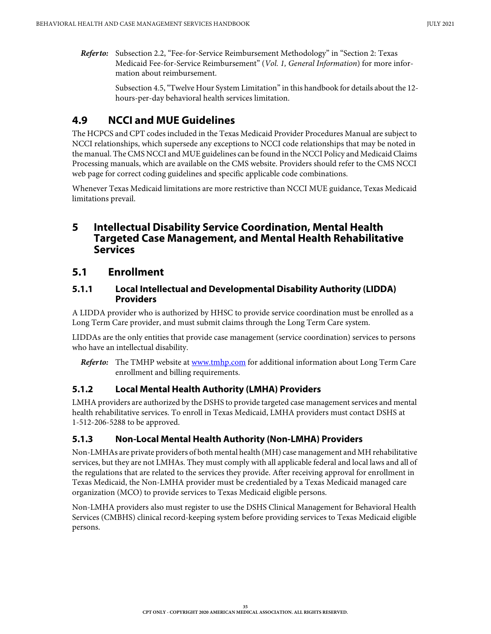*Refer to:* Subsection 2.2, "Fee-for-Service Reimbursement Methodology" in "Section 2: Texas Medicaid Fee-for-Service Reimbursement" (*Vol. 1, General Information*) for more information about reimbursement.

> [Subsection 4.5, "Twelve Hour System Limitation" in this handbook](#page-30-2) for details about the 12 hours-per-day behavioral health services limitation.

# <span id="page-34-0"></span>**4.9 NCCI and MUE Guidelines**

The HCPCS and CPT codes included in the Texas Medicaid Provider Procedures Manual are subject to NCCI relationships, which supersede any exceptions to NCCI code relationships that may be noted in the manual. The CMS NCCI and MUE guidelines can be found in the NCCI Policy and Medicaid Claims Processing manuals, which are available on the CMS website. Providers should refer to the CMS NCCI web page for correct coding guidelines and specific applicable code combinations.

Whenever Texas Medicaid limitations are more restrictive than NCCI MUE guidance, Texas Medicaid limitations prevail.

## <span id="page-34-1"></span>**5 Intellectual Disability Service Coordination, Mental Health Targeted Case Management, and Mental Health Rehabilitative Services**

## <span id="page-34-2"></span>**5.1 Enrollment**

#### <span id="page-34-3"></span>**5.1.1 Local Intellectual and Developmental Disability Authority (LIDDA) Providers**

A LIDDA provider who is authorized by HHSC to provide service coordination must be enrolled as a Long Term Care provider, and must submit claims through the Long Term Care system.

LIDDAs are the only entities that provide case management (service coordination) services to persons who have an intellectual disability.

*Refer to:* The TMHP website at [www.tmhp.com](https://www.tmhp.com) for additional information about Long Term Care enrollment and billing requirements.

#### <span id="page-34-4"></span>**5.1.2 Local Mental Health Authority (LMHA) Providers**

LMHA providers are authorized by the DSHS to provide targeted case management services and mental health rehabilitative services. To enroll in Texas Medicaid, LMHA providers must contact DSHS at 1-512-206-5288 to be approved.

## <span id="page-34-5"></span>**5.1.3 Non-Local Mental Health Authority (Non-LMHA) Providers**

Non-LMHAs are private providers of both mental health (MH) case management and MH rehabilitative services, but they are not LMHAs. They must comply with all applicable federal and local laws and all of the regulations that are related to the services they provide. After receiving approval for enrollment in Texas Medicaid, the Non-LMHA provider must be credentialed by a Texas Medicaid managed care organization (MCO) to provide services to Texas Medicaid eligible persons.

Non-LMHA providers also must register to use the DSHS Clinical Management for Behavioral Health Services (CMBHS) clinical record-keeping system before providing services to Texas Medicaid eligible persons.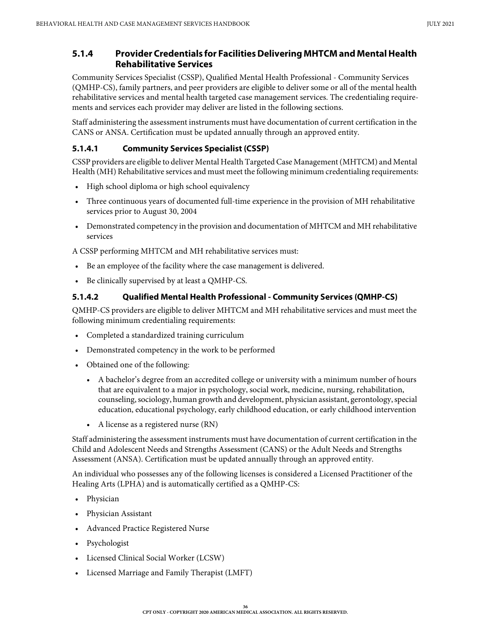#### <span id="page-35-0"></span>**5.1.4 Provider Credentials for Facilities Delivering MHTCM and Mental Health Rehabilitative Services**

Community Services Specialist (CSSP), Qualified Mental Health Professional - Community Services (QMHP-CS), family partners, and peer providers are eligible to deliver some or all of the mental health rehabilitative services and mental health targeted case management services. The credentialing requirements and services each provider may deliver are listed in the following sections.

Staff administering the assessment instruments must have documentation of current certification in the CANS or ANSA. Certification must be updated annually through an approved entity.

#### <span id="page-35-1"></span>**5.1.4.1 Community Services Specialist (CSSP)**

CSSP providers are eligible to deliver Mental Health Targeted Case Management (MHTCM) and Mental Health (MH) Rehabilitative services and must meet the following minimum credentialing requirements:

- High school diploma or high school equivalency
- Three continuous years of documented full-time experience in the provision of MH rehabilitative services prior to August 30, 2004
- Demonstrated competency in the provision and documentation of MHTCM and MH rehabilitative services

A CSSP performing MHTCM and MH rehabilitative services must:

- Be an employee of the facility where the case management is delivered.
- Be clinically supervised by at least a QMHP-CS.

#### <span id="page-35-2"></span>**5.1.4.2 Qualified Mental Health Professional - Community Services (QMHP-CS)**

QMHP-CS providers are eligible to deliver MHTCM and MH rehabilitative services and must meet the following minimum credentialing requirements:

- Completed a standardized training curriculum
- Demonstrated competency in the work to be performed
- Obtained one of the following:
	- A bachelor's degree from an accredited college or university with a minimum number of hours that are equivalent to a major in psychology, social work, medicine, nursing, rehabilitation, counseling, sociology, human growth and development, physician assistant, gerontology, special education, educational psychology, early childhood education, or early childhood intervention
	- A license as a registered nurse (RN)

Staff administering the assessment instruments must have documentation of current certification in the Child and Adolescent Needs and Strengths Assessment (CANS) or the Adult Needs and Strengths Assessment (ANSA). Certification must be updated annually through an approved entity.

An individual who possesses any of the following licenses is considered a Licensed Practitioner of the Healing Arts (LPHA) and is automatically certified as a QMHP-CS:

- Physician
- Physician Assistant
- Advanced Practice Registered Nurse
- Psychologist
- Licensed Clinical Social Worker (LCSW)
- Licensed Marriage and Family Therapist (LMFT)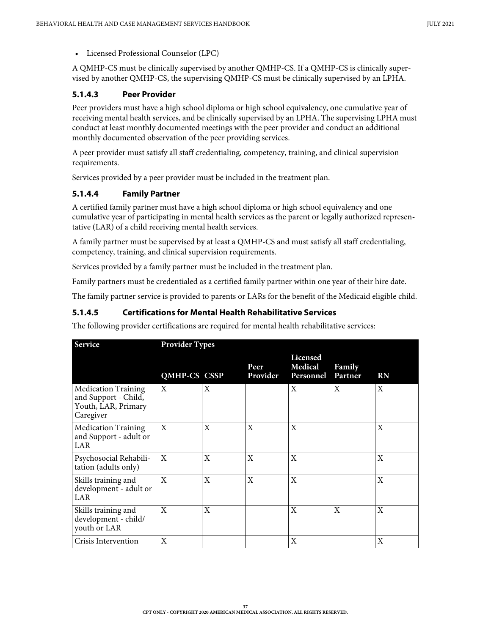• Licensed Professional Counselor (LPC)

A QMHP-CS must be clinically supervised by another QMHP-CS. If a QMHP-CS is clinically supervised by another QMHP-CS, the supervising QMHP-CS must be clinically supervised by an LPHA.

### **5.1.4.3 Peer Provider**

Peer providers must have a high school diploma or high school equivalency, one cumulative year of receiving mental health services, and be clinically supervised by an LPHA. The supervising LPHA must conduct at least monthly documented meetings with the peer provider and conduct an additional monthly documented observation of the peer providing services.

A peer provider must satisfy all staff credentialing, competency, training, and clinical supervision requirements.

Services provided by a peer provider must be included in the treatment plan.

### **5.1.4.4 Family Partner**

A certified family partner must have a high school diploma or high school equivalency and one cumulative year of participating in mental health services as the parent or legally authorized representative (LAR) of a child receiving mental health services.

A family partner must be supervised by at least a QMHP-CS and must satisfy all staff credentialing, competency, training, and clinical supervision requirements.

Services provided by a family partner must be included in the treatment plan.

Family partners must be credentialed as a certified family partner within one year of their hire date.

The family partner service is provided to parents or LARs for the benefit of the Medicaid eligible child.

### **5.1.4.5 Certifications for Mental Health Rehabilitative Services**

The following provider certifications are required for mental health rehabilitative services:

| Service                                                                                | <b>Provider Types</b> |              |                  |                                         |                   |           |  |  |
|----------------------------------------------------------------------------------------|-----------------------|--------------|------------------|-----------------------------------------|-------------------|-----------|--|--|
|                                                                                        | <b>QMHP-CS CSSP</b>   |              | Peer<br>Provider | <b>Licensed</b><br>Medical<br>Personnel | Family<br>Partner | <b>RN</b> |  |  |
| <b>Medication Training</b><br>and Support - Child,<br>Youth, LAR, Primary<br>Caregiver | X                     | X            |                  | X                                       | X                 | X         |  |  |
| <b>Medication Training</b><br>and Support - adult or<br>LAR                            | X                     | X            | $\mathbf{X}$     | X                                       |                   | X         |  |  |
| Psychosocial Rehabili-<br>tation (adults only)                                         | X                     | X            | $\mathbf{X}$     | X                                       |                   | X         |  |  |
| Skills training and<br>development - adult or<br>LAR                                   | X                     | $\mathbf X$  | X                | $\mathbf X$                             |                   | X         |  |  |
| Skills training and<br>development - child/<br>youth or LAR                            | $\mathbf X$           | $\mathbf{X}$ |                  | X                                       | X                 | X         |  |  |
| Crisis Intervention                                                                    | X                     |              |                  | X                                       |                   | X         |  |  |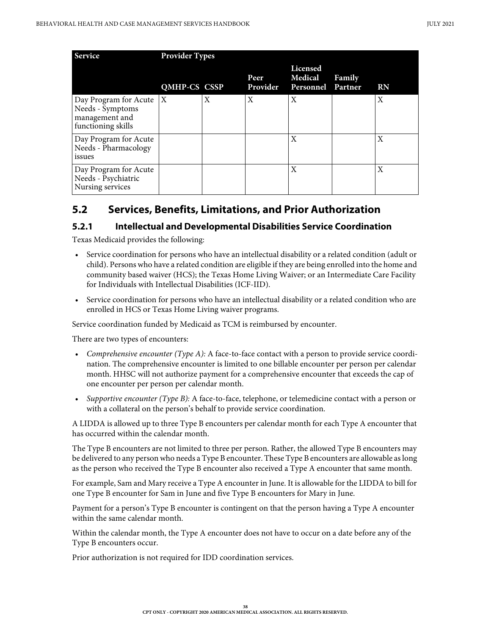| <b>Service</b>                                                                          | <b>Provider Types</b> |   |                         |                                          |        |           |
|-----------------------------------------------------------------------------------------|-----------------------|---|-------------------------|------------------------------------------|--------|-----------|
|                                                                                         | <b>QMHP-CS CSSP</b>   |   | Peer<br><b>Provider</b> | Licensed<br>Medical<br>Personnel Partner | Family | <b>RN</b> |
| Day Program for Acute $ X $<br>Needs - Symptoms<br>management and<br>functioning skills |                       | X | X                       | X                                        |        | X         |
| Day Program for Acute<br>Needs - Pharmacology<br>issues                                 |                       |   |                         | X                                        |        | X         |
| Day Program for Acute<br>Needs - Psychiatric<br>Nursing services                        |                       |   |                         | X                                        |        | X         |

## **5.2 Services, Benefits, Limitations, and Prior Authorization**

### **5.2.1 Intellectual and Developmental Disabilities Service Coordination**

Texas Medicaid provides the following:

- Service coordination for persons who have an intellectual disability or a related condition (adult or child). Persons who have a related condition are eligible if they are being enrolled into the home and community based waiver (HCS); the Texas Home Living Waiver; or an Intermediate Care Facility for Individuals with Intellectual Disabilities (ICF-IID).
- Service coordination for persons who have an intellectual disability or a related condition who are enrolled in HCS or Texas Home Living waiver programs.

Service coordination funded by Medicaid as TCM is reimbursed by encounter.

There are two types of encounters:

- *Comprehensive encounter (Type A):* A face-to-face contact with a person to provide service coordination. The comprehensive encounter is limited to one billable encounter per person per calendar month. HHSC will not authorize payment for a comprehensive encounter that exceeds the cap of one encounter per person per calendar month.
- *Supportive encounter (Type B):* A face-to-face, telephone, or telemedicine contact with a person or with a collateral on the person's behalf to provide service coordination.

A LIDDA is allowed up to three Type B encounters per calendar month for each Type A encounter that has occurred within the calendar month.

The Type B encounters are not limited to three per person. Rather, the allowed Type B encounters may be delivered to any person who needs a Type B encounter. These Type B encounters are allowable as long as the person who received the Type B encounter also received a Type A encounter that same month.

For example, Sam and Mary receive a Type A encounter in June. It is allowable for the LIDDA to bill for one Type B encounter for Sam in June and five Type B encounters for Mary in June.

Payment for a person's Type B encounter is contingent on that the person having a Type A encounter within the same calendar month.

Within the calendar month, the Type A encounter does not have to occur on a date before any of the Type B encounters occur.

Prior authorization is not required for IDD coordination services.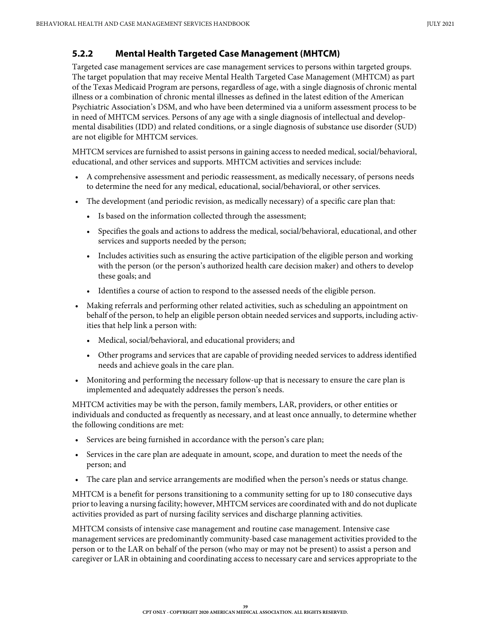### **5.2.2 Mental Health Targeted Case Management (MHTCM)**

Targeted case management services are case management services to persons within targeted groups. The target population that may receive Mental Health Targeted Case Management (MHTCM) as part of the Texas Medicaid Program are persons, regardless of age, with a single diagnosis of chronic mental illness or a combination of chronic mental illnesses as defined in the latest edition of the American Psychiatric Association's DSM, and who have been determined via a uniform assessment process to be in need of MHTCM services. Persons of any age with a single diagnosis of intellectual and developmental disabilities (IDD) and related conditions, or a single diagnosis of substance use disorder (SUD) are not eligible for MHTCM services.

MHTCM services are furnished to assist persons in gaining access to needed medical, social/behavioral, educational, and other services and supports. MHTCM activities and services include:

- A comprehensive assessment and periodic reassessment, as medically necessary, of persons needs to determine the need for any medical, educational, social/behavioral, or other services.
- The development (and periodic revision, as medically necessary) of a specific care plan that:
	- Is based on the information collected through the assessment;
	- Specifies the goals and actions to address the medical, social/behavioral, educational, and other services and supports needed by the person;
	- Includes activities such as ensuring the active participation of the eligible person and working with the person (or the person's authorized health care decision maker) and others to develop these goals; and
	- Identifies a course of action to respond to the assessed needs of the eligible person.
- Making referrals and performing other related activities, such as scheduling an appointment on behalf of the person, to help an eligible person obtain needed services and supports, including activities that help link a person with:
	- Medical, social/behavioral, and educational providers; and
	- Other programs and services that are capable of providing needed services to address identified needs and achieve goals in the care plan.
- Monitoring and performing the necessary follow-up that is necessary to ensure the care plan is implemented and adequately addresses the person's needs.

MHTCM activities may be with the person, family members, LAR, providers, or other entities or individuals and conducted as frequently as necessary, and at least once annually, to determine whether the following conditions are met:

- Services are being furnished in accordance with the person's care plan;
- Services in the care plan are adequate in amount, scope, and duration to meet the needs of the person; and
- The care plan and service arrangements are modified when the person's needs or status change.

MHTCM is a benefit for persons transitioning to a community setting for up to 180 consecutive days prior to leaving a nursing facility; however, MHTCM services are coordinated with and do not duplicate activities provided as part of nursing facility services and discharge planning activities.

MHTCM consists of intensive case management and routine case management. Intensive case management services are predominantly community-based case management activities provided to the person or to the LAR on behalf of the person (who may or may not be present) to assist a person and caregiver or LAR in obtaining and coordinating access to necessary care and services appropriate to the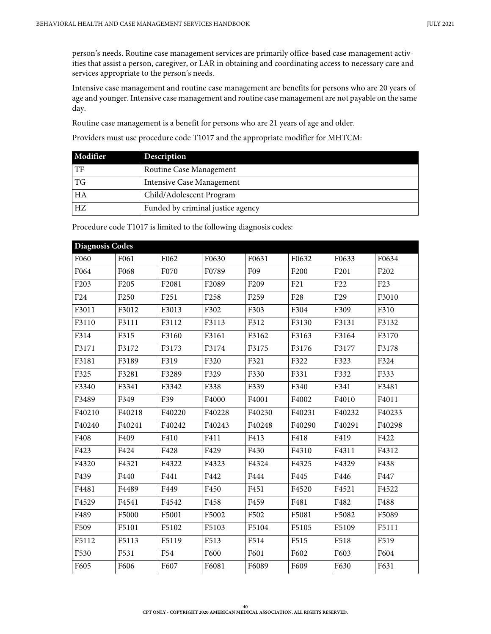person's needs. Routine case management services are primarily office-based case management activities that assist a person, caregiver, or LAR in obtaining and coordinating access to necessary care and services appropriate to the person's needs.

Intensive case management and routine case management are benefits for persons who are 20 years of age and younger. Intensive case management and routine case management are not payable on the same day.

Routine case management is a benefit for persons who are 21 years of age and older.

Providers must use procedure code T1017 and the appropriate modifier for MHTCM:

| Modifier | Description                       |
|----------|-----------------------------------|
| TF       | Routine Case Management           |
| TG       | Intensive Case Management         |
| HA       | Child/Adolescent Program          |
| HZ       | Funded by criminal justice agency |

Procedure code T1017 is limited to the following diagnosis codes:

| F061<br>F068<br>F <sub>205</sub><br>F <sub>250</sub> | F062<br>F070<br>F2081 | F0630<br>F0789   | F0631            | F0632           | F0633           | F0634           |
|------------------------------------------------------|-----------------------|------------------|------------------|-----------------|-----------------|-----------------|
|                                                      |                       |                  |                  |                 |                 |                 |
|                                                      |                       |                  | F09              | F200            | F201            | F202            |
|                                                      |                       | F2089            | F <sub>209</sub> | F21             | F <sub>22</sub> | F <sub>23</sub> |
|                                                      | F <sub>251</sub>      | F <sub>258</sub> | F <sub>259</sub> | F <sub>28</sub> | F <sub>29</sub> | F3010           |
| F3012                                                | F3013                 | F302             | F303             | F304            | F309            | F310            |
| F3111                                                | F3112                 | F3113            | F312             | F3130           | F3131           | F3132           |
| F315                                                 | F3160                 | F3161            | F3162            | F3163           | F3164           | F3170           |
| F3172                                                | F3173                 | F3174            | F3175            | F3176           | F3177           | F3178           |
| F3189                                                | F319                  | F320             | F321             | F322            | F323            | F324            |
| F3281                                                | F3289                 | F329             | F330             | F331            | F332            | F333            |
| F3341                                                | F3342                 | F338             | F339             | F340            | F341            | F3481           |
| F349                                                 | F39                   | F4000            | F4001            | F4002           | F4010           | F4011           |
| F40218                                               | F40220                | F40228           | F40230           | F40231          | F40232          | F40233          |
| F40241                                               | F40242                | F40243           | F40248           | F40290          | F40291          | F40298          |
| F409                                                 | F410                  | F411             | F413             | F418            | F419            | F422            |
| F424                                                 | F428                  | F429             | F430             | F4310           | F4311           | F4312           |
| F4321                                                | F4322                 | F4323            | F4324            | F4325           | F4329           | F438            |
| F440                                                 | F441                  | F442             | F444             | F445            | F446            | F447            |
| F4489                                                | F449                  | F450             | F451             | F4520           | F4521           | F4522           |
| F4541                                                | F4542                 | F458             | F459             | F481            | F482            | F488            |
| F5000                                                | F5001                 | F5002            | F502             | F5081           | F5082           | F5089           |
| F5101                                                | F5102                 | F5103            | F5104            | F5105           | F5109           | F5111           |
| F5113                                                | F5119                 | F513             | F514             | F515            | F518            | F519            |
| F531                                                 | F54                   | F600             | F601             | F602            | F603            | F604            |
| F606                                                 | F607                  | F6081            | F6089            | F609            | F630            | F631            |
|                                                      |                       |                  |                  |                 |                 |                 |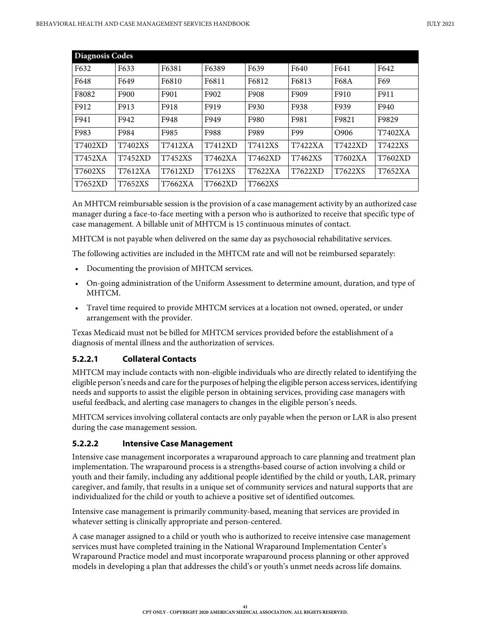| <b>Diagnosis Codes</b> |                |         |         |         |         |                |         |
|------------------------|----------------|---------|---------|---------|---------|----------------|---------|
| F632                   | F633           | F6381   | F6389   | F639    | F640    | F641           | F642    |
| F648                   | F649           | F6810   | F6811   | F6812   | F6813   | F68A           | F69     |
| F8082                  | F900           | F901    | F902    | F908    | F909    | F910           | F911    |
| F912                   | F913           | F918    | F919    | F930    | F938    | F939           | F940    |
| F941                   | F942           | F948    | F949    | F980    | F981    | F9821          | F9829   |
| F983                   | F984           | F985    | F988    | F989    | F99     | O906           | T7402XA |
| T7402XD                | T7402XS        | T7412XA | T7412XD | T7412XS | T7422XA | <b>T7422XD</b> | T7422XS |
| T7452XA                | <b>T7452XD</b> | T7452XS | T7462XA | T7462XD | T7462XS | T7602XA        | T7602XD |
| T7602XS                | T7612XA        | T7612XD | T7612XS | T7622XA | T7622XD | T7622XS        | T7652XA |
| T7652XD                | T7652XS        | T7662XA | T7662XD | T7662XS |         |                |         |

An MHTCM reimbursable session is the provision of a case management activity by an authorized case manager during a face-to-face meeting with a person who is authorized to receive that specific type of case management. A billable unit of MHTCM is 15 continuous minutes of contact.

MHTCM is not payable when delivered on the same day as psychosocial rehabilitative services.

The following activities are included in the MHTCM rate and will not be reimbursed separately:

- Documenting the provision of MHTCM services.
- On-going administration of the Uniform Assessment to determine amount, duration, and type of MHTCM.
- Travel time required to provide MHTCM services at a location not owned, operated, or under arrangement with the provider.

Texas Medicaid must not be billed for MHTCM services provided before the establishment of a diagnosis of mental illness and the authorization of services.

### **5.2.2.1 Collateral Contacts**

MHTCM may include contacts with non-eligible individuals who are directly related to identifying the eligible person's needs and care for the purposes of helping the eligible person access services, identifying needs and supports to assist the eligible person in obtaining services, providing case managers with useful feedback, and alerting case managers to changes in the eligible person's needs.

MHTCM services involving collateral contacts are only payable when the person or LAR is also present during the case management session.

### **5.2.2.2 Intensive Case Management**

Intensive case management incorporates a wraparound approach to care planning and treatment plan implementation. The wraparound process is a strengths-based course of action involving a child or youth and their family, including any additional people identified by the child or youth, LAR, primary caregiver, and family, that results in a unique set of community services and natural supports that are individualized for the child or youth to achieve a positive set of identified outcomes.

Intensive case management is primarily community-based, meaning that services are provided in whatever setting is clinically appropriate and person-centered.

A case manager assigned to a child or youth who is authorized to receive intensive case management services must have completed training in the National Wraparound Implementation Center's Wraparound Practice model and must incorporate wraparound process planning or other approved models in developing a plan that addresses the child's or youth's unmet needs across life domains.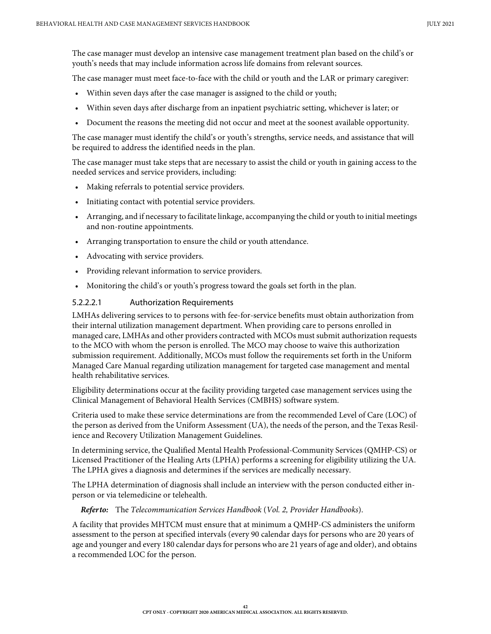The case manager must develop an intensive case management treatment plan based on the child's or youth's needs that may include information across life domains from relevant sources.

The case manager must meet face-to-face with the child or youth and the LAR or primary caregiver:

- Within seven days after the case manager is assigned to the child or youth;
- Within seven days after discharge from an inpatient psychiatric setting, whichever is later; or
- Document the reasons the meeting did not occur and meet at the soonest available opportunity.

The case manager must identify the child's or youth's strengths, service needs, and assistance that will be required to address the identified needs in the plan.

The case manager must take steps that are necessary to assist the child or youth in gaining access to the needed services and service providers, including:

- Making referrals to potential service providers.
- Initiating contact with potential service providers.
- Arranging, and if necessary to facilitate linkage, accompanying the child or youth to initial meetings and non-routine appointments.
- Arranging transportation to ensure the child or youth attendance.
- Advocating with service providers.
- Providing relevant information to service providers.
- Monitoring the child's or youth's progress toward the goals set forth in the plan.

#### 5.2.2.2.1 Authorization Requirements

LMHAs delivering services to to persons with fee-for-service benefits must obtain authorization from their internal utilization management department. When providing care to persons enrolled in managed care, LMHAs and other providers contracted with MCOs must submit authorization requests to the MCO with whom the person is enrolled. The MCO may choose to waive this authorization submission requirement. Additionally, MCOs must follow the requirements set forth in the Uniform Managed Care Manual regarding utilization management for targeted case management and mental health rehabilitative services.

Eligibility determinations occur at the facility providing targeted case management services using the Clinical Management of Behavioral Health Services (CMBHS) software system.

Criteria used to make these service determinations are from the recommended Level of Care (LOC) of the person as derived from the Uniform Assessment (UA), the needs of the person, and the Texas Resilience and Recovery Utilization Management Guidelines.

In determining service, the Qualified Mental Health Professional-Community Services (QMHP-CS) or Licensed Practitioner of the Healing Arts (LPHA) performs a screening for eligibility utilizing the UA. The LPHA gives a diagnosis and determines if the services are medically necessary.

The LPHA determination of diagnosis shall include an interview with the person conducted either inperson or via telemedicine or telehealth.

*Refer to:* The *Telecommunication Services Handbook* (*Vol. 2, Provider Handbooks*).

A facility that provides MHTCM must ensure that at minimum a QMHP-CS administers the uniform assessment to the person at specified intervals (every 90 calendar days for persons who are 20 years of age and younger and every 180 calendar days for persons who are 21 years of age and older), and obtains a recommended LOC for the person.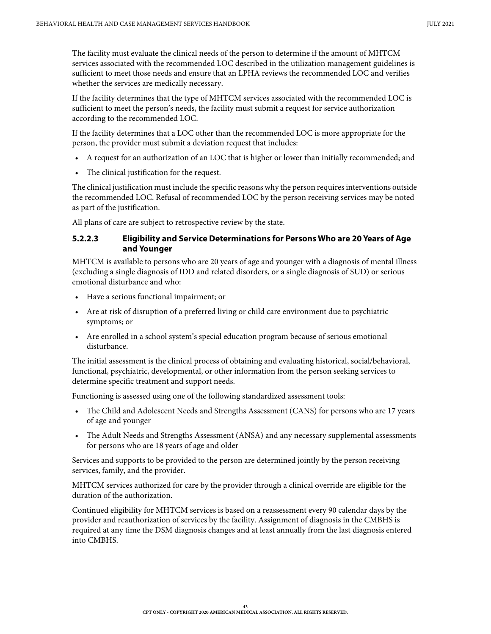The facility must evaluate the clinical needs of the person to determine if the amount of MHTCM services associated with the recommended LOC described in the utilization management guidelines is sufficient to meet those needs and ensure that an LPHA reviews the recommended LOC and verifies whether the services are medically necessary.

If the facility determines that the type of MHTCM services associated with the recommended LOC is sufficient to meet the person's needs, the facility must submit a request for service authorization according to the recommended LOC.

If the facility determines that a LOC other than the recommended LOC is more appropriate for the person, the provider must submit a deviation request that includes:

- A request for an authorization of an LOC that is higher or lower than initially recommended; and
- The clinical justification for the request.

The clinical justification must include the specific reasons why the person requires interventions outside the recommended LOC. Refusal of recommended LOC by the person receiving services may be noted as part of the justification.

All plans of care are subject to retrospective review by the state.

### **5.2.2.3 Eligibility and Service Determinations for Persons Who are 20 Years of Age and Younger**

MHTCM is available to persons who are 20 years of age and younger with a diagnosis of mental illness (excluding a single diagnosis of IDD and related disorders, or a single diagnosis of SUD) or serious emotional disturbance and who:

- Have a serious functional impairment; or
- Are at risk of disruption of a preferred living or child care environment due to psychiatric symptoms; or
- Are enrolled in a school system's special education program because of serious emotional disturbance.

The initial assessment is the clinical process of obtaining and evaluating historical, social/behavioral, functional, psychiatric, developmental, or other information from the person seeking services to determine specific treatment and support needs.

Functioning is assessed using one of the following standardized assessment tools:

- The Child and Adolescent Needs and Strengths Assessment (CANS) for persons who are 17 years of age and younger
- The Adult Needs and Strengths Assessment (ANSA) and any necessary supplemental assessments for persons who are 18 years of age and older

Services and supports to be provided to the person are determined jointly by the person receiving services, family, and the provider.

MHTCM services authorized for care by the provider through a clinical override are eligible for the duration of the authorization.

Continued eligibility for MHTCM services is based on a reassessment every 90 calendar days by the provider and reauthorization of services by the facility. Assignment of diagnosis in the CMBHS is required at any time the DSM diagnosis changes and at least annually from the last diagnosis entered into CMBHS.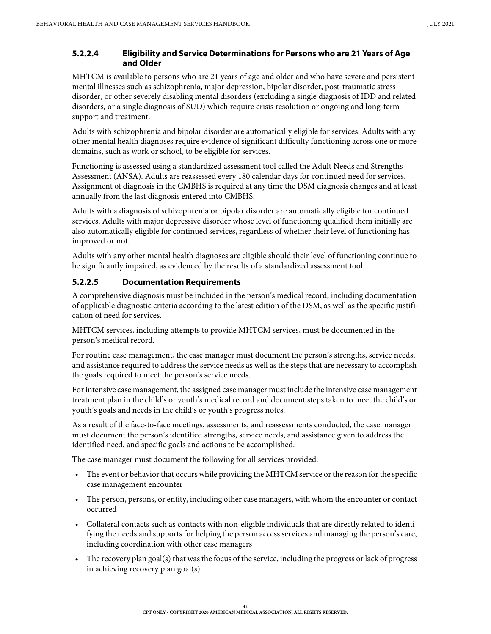### **5.2.2.4 Eligibility and Service Determinations for Persons who are 21 Years of Age and Older**

MHTCM is available to persons who are 21 years of age and older and who have severe and persistent mental illnesses such as schizophrenia, major depression, bipolar disorder, post-traumatic stress disorder, or other severely disabling mental disorders (excluding a single diagnosis of IDD and related disorders, or a single diagnosis of SUD) which require crisis resolution or ongoing and long-term support and treatment.

Adults with schizophrenia and bipolar disorder are automatically eligible for services. Adults with any other mental health diagnoses require evidence of significant difficulty functioning across one or more domains, such as work or school, to be eligible for services.

Functioning is assessed using a standardized assessment tool called the Adult Needs and Strengths Assessment (ANSA). Adults are reassessed every 180 calendar days for continued need for services. Assignment of diagnosis in the CMBHS is required at any time the DSM diagnosis changes and at least annually from the last diagnosis entered into CMBHS.

Adults with a diagnosis of schizophrenia or bipolar disorder are automatically eligible for continued services. Adults with major depressive disorder whose level of functioning qualified them initially are also automatically eligible for continued services, regardless of whether their level of functioning has improved or not.

Adults with any other mental health diagnoses are eligible should their level of functioning continue to be significantly impaired, as evidenced by the results of a standardized assessment tool.

### **5.2.2.5 Documentation Requirements**

A comprehensive diagnosis must be included in the person's medical record, including documentation of applicable diagnostic criteria according to the latest edition of the DSM, as well as the specific justification of need for services.

MHTCM services, including attempts to provide MHTCM services, must be documented in the person's medical record.

For routine case management, the case manager must document the person's strengths, service needs, and assistance required to address the service needs as well as the steps that are necessary to accomplish the goals required to meet the person's service needs.

For intensive case management, the assigned case manager must include the intensive case management treatment plan in the child's or youth's medical record and document steps taken to meet the child's or youth's goals and needs in the child's or youth's progress notes.

As a result of the face-to-face meetings, assessments, and reassessments conducted, the case manager must document the person's identified strengths, service needs, and assistance given to address the identified need, and specific goals and actions to be accomplished.

The case manager must document the following for all services provided:

- The event or behavior that occurs while providing the MHTCM service or the reason for the specific case management encounter
- The person, persons, or entity, including other case managers, with whom the encounter or contact occurred
- Collateral contacts such as contacts with non-eligible individuals that are directly related to identifying the needs and supports for helping the person access services and managing the person's care, including coordination with other case managers
- The recovery plan goal(s) that was the focus of the service, including the progress or lack of progress in achieving recovery plan goal(s)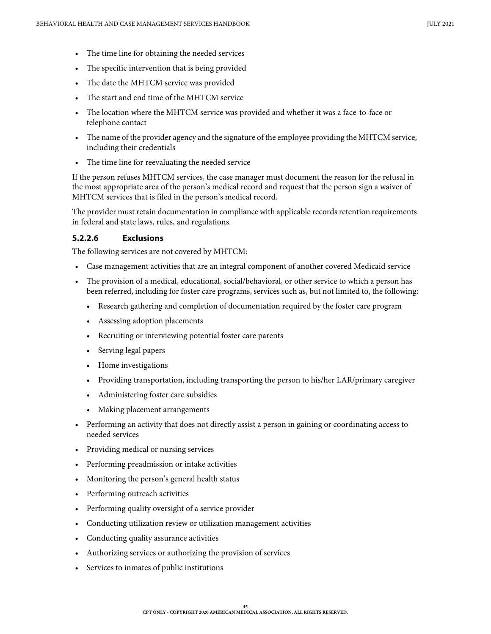- The time line for obtaining the needed services
- The specific intervention that is being provided
- The date the MHTCM service was provided
- The start and end time of the MHTCM service
- The location where the MHTCM service was provided and whether it was a face-to-face or telephone contact
- The name of the provider agency and the signature of the employee providing the MHTCM service, including their credentials
- The time line for reevaluating the needed service

If the person refuses MHTCM services, the case manager must document the reason for the refusal in the most appropriate area of the person's medical record and request that the person sign a waiver of MHTCM services that is filed in the person's medical record.

The provider must retain documentation in compliance with applicable records retention requirements in federal and state laws, rules, and regulations.

#### **5.2.2.6 Exclusions**

The following services are not covered by MHTCM:

- Case management activities that are an integral component of another covered Medicaid service
- The provision of a medical, educational, social/behavioral, or other service to which a person has been referred, including for foster care programs, services such as, but not limited to, the following:
	- Research gathering and completion of documentation required by the foster care program
	- Assessing adoption placements
	- Recruiting or interviewing potential foster care parents
	- Serving legal papers
	- Home investigations
	- Providing transportation, including transporting the person to his/her LAR/primary caregiver
	- Administering foster care subsidies
	- Making placement arrangements
- Performing an activity that does not directly assist a person in gaining or coordinating access to needed services
- Providing medical or nursing services
- Performing preadmission or intake activities
- Monitoring the person's general health status
- Performing outreach activities
- Performing quality oversight of a service provider
- Conducting utilization review or utilization management activities
- Conducting quality assurance activities
- Authorizing services or authorizing the provision of services
- Services to inmates of public institutions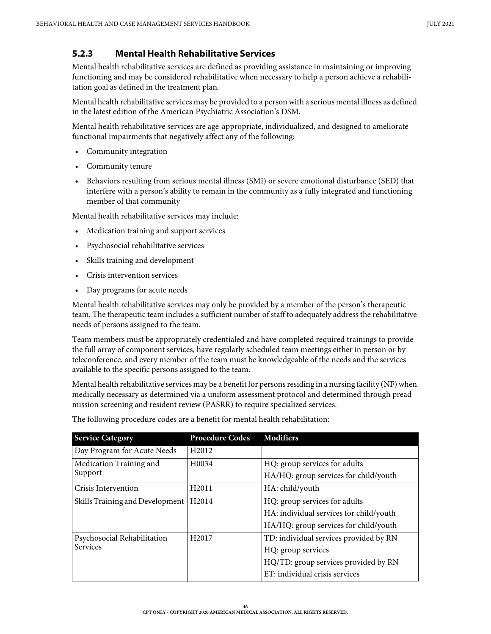### **5.2.3 Mental Health Rehabilitative Services**

Mental health rehabilitative services are defined as providing assistance in maintaining or improving functioning and may be considered rehabilitative when necessary to help a person achieve a rehabilitation goal as defined in the treatment plan.

Mental health rehabilitative services may be provided to a person with a serious mental illness as defined in the latest edition of the American Psychiatric Association's DSM.

Mental health rehabilitative services are age-appropriate, individualized, and designed to ameliorate functional impairments that negatively affect any of the following:

- Community integration
- Community tenure
- Behaviors resulting from serious mental illness (SMI) or severe emotional disturbance (SED) that interfere with a person's ability to remain in the community as a fully integrated and functioning member of that community

Mental health rehabilitative services may include:

- Medication training and support services
- Psychosocial rehabilitative services
- Skills training and development
- Crisis intervention services
- Day programs for acute needs

Mental health rehabilitative services may only be provided by a member of the person's therapeutic team. The therapeutic team includes a sufficient number of staff to adequately address the rehabilitative needs of persons assigned to the team.

Team members must be appropriately credentialed and have completed required trainings to provide the full array of component services, have regularly scheduled team meetings either in person or by teleconference, and every member of the team must be knowledgeable of the needs and the services available to the specific persons assigned to the team.

Mental health rehabilitative services may be a benefit for persons residing in a nursing facility (NF) when medically necessary as determined via a uniform assessment protocol and determined through preadmission screening and resident review (PASRR) to require specialized services.

| <b>Service Category</b>                 | <b>Procedure Codes</b> | <b>Modifiers</b>                        |  |  |
|-----------------------------------------|------------------------|-----------------------------------------|--|--|
| Day Program for Acute Needs             | H <sub>2012</sub>      |                                         |  |  |
| Medication Training and                 | H <sub>00</sub> 34     | HQ: group services for adults           |  |  |
| Support                                 |                        | HA/HQ: group services for child/youth   |  |  |
| Crisis Intervention                     | H <sub>2011</sub>      | HA: child/youth                         |  |  |
| Skills Training and Development   H2014 |                        | HQ: group services for adults           |  |  |
|                                         |                        | HA: individual services for child/youth |  |  |
|                                         |                        | HA/HQ: group services for child/youth   |  |  |
| Psychosocial Rehabilitation             | H <sub>2017</sub>      | TD: individual services provided by RN  |  |  |
| <b>Services</b>                         |                        | HQ: group services                      |  |  |
|                                         |                        | HQ/TD: group services provided by RN    |  |  |
|                                         |                        | ET: individual crisis services          |  |  |

The following procedure codes are a benefit for mental health rehabilitation: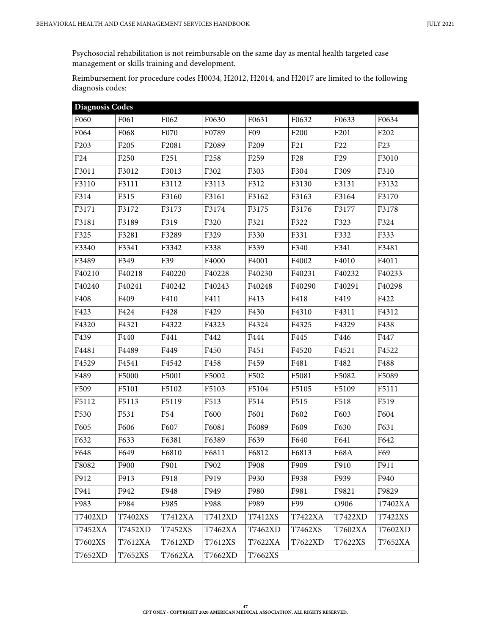Psychosocial rehabilitation is not reimbursable on the same day as mental health targeted case management or skills training and development.

Reimbursement for procedure codes H0034, H2012, H2014, and H2017 are limited to the following diagnosis codes:

| <b>Diagnosis Codes</b> |                  |                  |                  |                  |                 |                 |                 |
|------------------------|------------------|------------------|------------------|------------------|-----------------|-----------------|-----------------|
| F060                   | F061             | F062             | F0630            | F0631            | F0632           | F0633           | F0634           |
| F064                   | F068             | F070             | F0789            | F09              | F200            | F201            | F202            |
| F <sub>203</sub>       | F <sub>205</sub> | F2081            | F2089            | F <sub>209</sub> | F21             | F <sub>22</sub> | F <sub>23</sub> |
| F24                    | F <sub>250</sub> | F <sub>251</sub> | F <sub>258</sub> | F259             | F <sub>28</sub> | F <sub>29</sub> | F3010           |
| F3011                  | F3012            | F3013            | F302             | F303             | F304            | F309            | F310            |
| F3110                  | F3111            | F3112            | F3113            | F312             | F3130           | F3131           | F3132           |
| F314                   | F315             | F3160            | F3161            | F3162            | F3163           | F3164           | F3170           |
| F3171                  | F3172            | F3173            | F3174            | F3175            | F3176           | F3177           | F3178           |
| F3181                  | F3189            | F319             | F320             | F321             | F322            | F323            | F324            |
| F325                   | F3281            | F3289            | F329             | F330             | F331            | F332            | F333            |
| F3340                  | F3341            | F3342            | F338             | F339             | F340            | F341            | F3481           |
| F3489                  | F349             | F39              | F4000            | F4001            | F4002           | F4010           | F4011           |
| F40210                 | F40218           | F40220           | F40228           | F40230           | F40231          | F40232          | F40233          |
| F40240                 | F40241           | F40242           | F40243           | F40248           | F40290          | F40291          | F40298          |
| F408                   | F409             | F410             | F411             | F413             | F418            | F419            | F422            |
| F423                   | F424             | F428             | F429             | F430             | F4310           | F4311           | F4312           |
| F4320                  | F4321            | F4322            | F4323            | F4324            | F4325           | F4329           | F438            |
| F439                   | F440             | F441             | F442             | F444             | F445            | F446            | F447            |
| F4481                  | F4489            | F449             | F450             | F451             | F4520           | F4521           | F4522           |
| F4529                  | F4541            | F4542            | F458             | F459             | F481            | F482            | F488            |
| F489                   | F5000            | F5001            | F5002            | F502             | F5081           | F5082           | F5089           |
| F509                   | F5101            | F5102            | F5103            | F5104            | F5105           | F5109           | F5111           |
| F5112                  | F5113            | F5119            | F513             | F514             | F515            | F518            | F519            |
| F530                   | F531             | F54              | F600             | F601             | F602            | F603            | F604            |
| F605                   | F606             | F607             | F6081            | F6089            | F609            | F630            | F631            |
| F632                   | F633             | F6381            | F6389            | F639             | F640            | F641            | F642            |
| F648                   | F649             | F6810            | F6811            | F6812            | F6813           | <b>F68A</b>     | F69             |
| F8082                  | F900             | F901             | F902             | F908             | F909            | F910            | F911            |
| F912                   | F913             | F918             | F919             | F930             | F938            | F939            | F940            |
| F941                   | F942             | F948             | F949             | F980             | F981            | F9821           | F9829           |
| F983                   | F984             | F985             | F988             | F989             | F99             | O906            | T7402XA         |
| T7402XD                | T7402XS          | T7412XA          | T7412XD          | T7412XS          | T7422XA         | T7422XD         | T7422XS         |
| T7452XA                | T7452XD          | T7452XS          | T7462XA          | T7462XD          | T7462XS         | T7602XA         | T7602XD         |
| T7602XS                | T7612XA          | T7612XD          | T7612XS          | T7622XA          | T7622XD         | T7622XS         | T7652XA         |
| T7652XD                | T7652XS          | T7662XA          | T7662XD          | T7662XS          |                 |                 |                 |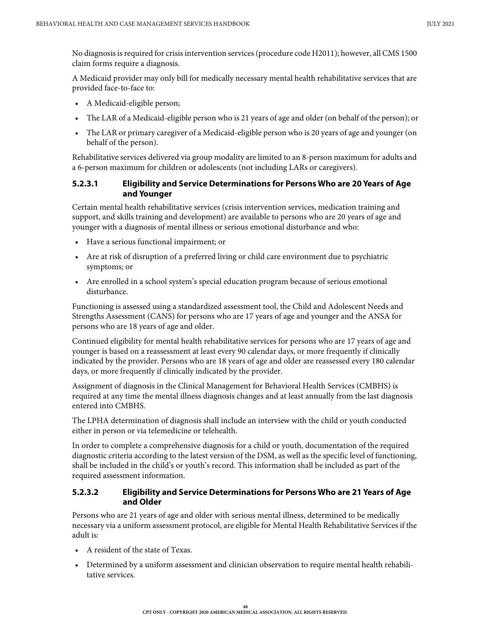No diagnosis is required for crisis intervention services (procedure code H2011); however, all CMS 1500 claim forms require a diagnosis.

A Medicaid provider may only bill for medically necessary mental health rehabilitative services that are provided face-to-face to:

- A Medicaid-eligible person;
- The LAR of a Medicaid-eligible person who is 21 years of age and older (on behalf of the person); or
- The LAR or primary caregiver of a Medicaid-eligible person who is 20 years of age and younger (on behalf of the person).

Rehabilitative services delivered via group modality are limited to an 8-person maximum for adults and a 6-person maximum for children or adolescents (not including LARs or caregivers).

#### **5.2.3.1 Eligibility and Service Determinations for Persons Who are 20 Years of Age and Younger**

Certain mental health rehabilitative services (crisis intervention services, medication training and support, and skills training and development) are available to persons who are 20 years of age and younger with a diagnosis of mental illness or serious emotional disturbance and who:

- Have a serious functional impairment; or
- Are at risk of disruption of a preferred living or child care environment due to psychiatric symptoms; or
- Are enrolled in a school system's special education program because of serious emotional disturbance.

Functioning is assessed using a standardized assessment tool, the Child and Adolescent Needs and Strengths Assessment (CANS) for persons who are 17 years of age and younger and the ANSA for persons who are 18 years of age and older.

Continued eligibility for mental health rehabilitative services for persons who are 17 years of age and younger is based on a reassessment at least every 90 calendar days, or more frequently if clinically indicated by the provider. Persons who are 18 years of age and older are reassessed every 180 calendar days, or more frequently if clinically indicated by the provider.

Assignment of diagnosis in the Clinical Management for Behavioral Health Services (CMBHS) is required at any time the mental illness diagnosis changes and at least annually from the last diagnosis entered into CMBHS.

The LPHA determination of diagnosis shall include an interview with the child or youth conducted either in person or via telemedicine or telehealth.

In order to complete a comprehensive diagnosis for a child or youth, documentation of the required diagnostic criteria according to the latest version of the DSM, as well as the specific level of functioning, shall be included in the child's or youth's record. This information shall be included as part of the required assessment information.

#### **5.2.3.2 Eligibility and Service Determinations for Persons Who are 21 Years of Age and Older**

Persons who are 21 years of age and older with serious mental illness, determined to be medically necessary via a uniform assessment protocol, are eligible for Mental Health Rehabilitative Services if the adult is:

- A resident of the state of Texas.
- Determined by a uniform assessment and clinician observation to require mental health rehabilitative services.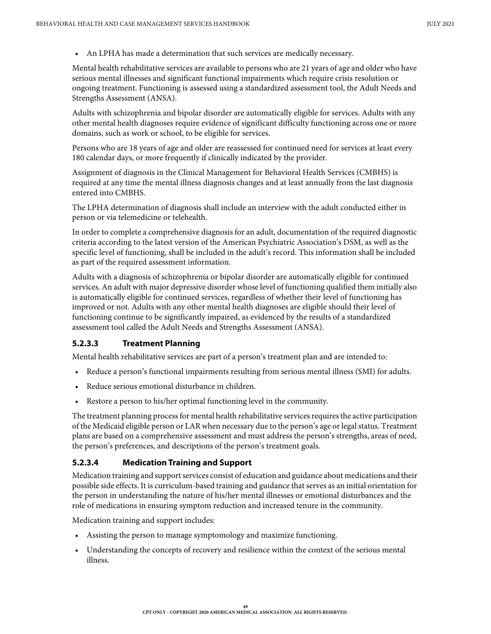• An LPHA has made a determination that such services are medically necessary.

Mental health rehabilitative services are available to persons who are 21 years of age and older who have serious mental illnesses and significant functional impairments which require crisis resolution or ongoing treatment. Functioning is assessed using a standardized assessment tool, the Adult Needs and Strengths Assessment (ANSA).

Adults with schizophrenia and bipolar disorder are automatically eligible for services. Adults with any other mental health diagnoses require evidence of significant difficulty functioning across one or more domains, such as work or school, to be eligible for services.

Persons who are 18 years of age and older are reassessed for continued need for services at least every 180 calendar days, or more frequently if clinically indicated by the provider.

Assignment of diagnosis in the Clinical Management for Behavioral Health Services (CMBHS) is required at any time the mental illness diagnosis changes and at least annually from the last diagnosis entered into CMBHS.

The LPHA determination of diagnosis shall include an interview with the adult conducted either in person or via telemedicine or telehealth.

In order to complete a comprehensive diagnosis for an adult, documentation of the required diagnostic criteria according to the latest version of the American Psychiatric Association's DSM, as well as the specific level of functioning, shall be included in the adult's record. This information shall be included as part of the required assessment information.

Adults with a diagnosis of schizophrenia or bipolar disorder are automatically eligible for continued services. An adult with major depressive disorder whose level of functioning qualified them initially also is automatically eligible for continued services, regardless of whether their level of functioning has improved or not. Adults with any other mental health diagnoses are eligible should their level of functioning continue to be significantly impaired, as evidenced by the results of a standardized assessment tool called the Adult Needs and Strengths Assessment (ANSA).

### **5.2.3.3 Treatment Planning**

Mental health rehabilitative services are part of a person's treatment plan and are intended to:

- Reduce a person's functional impairments resulting from serious mental illness (SMI) for adults.
- Reduce serious emotional disturbance in children.
- Restore a person to his/her optimal functioning level in the community.

The treatment planning process for mental health rehabilitative services requires the active participation of the Medicaid eligible person or LAR when necessary due to the person's age or legal status. Treatment plans are based on a comprehensive assessment and must address the person's strengths, areas of need, the person's preferences, and descriptions of the person's treatment goals.

### **5.2.3.4 Medication Training and Support**

Medication training and support services consist of education and guidance about medications and their possible side effects. It is curriculum-based training and guidance that serves as an initial orientation for the person in understanding the nature of his/her mental illnesses or emotional disturbances and the role of medications in ensuring symptom reduction and increased tenure in the community.

Medication training and support includes:

- Assisting the person to manage symptomology and maximize functioning.
- Understanding the concepts of recovery and resilience within the context of the serious mental illness.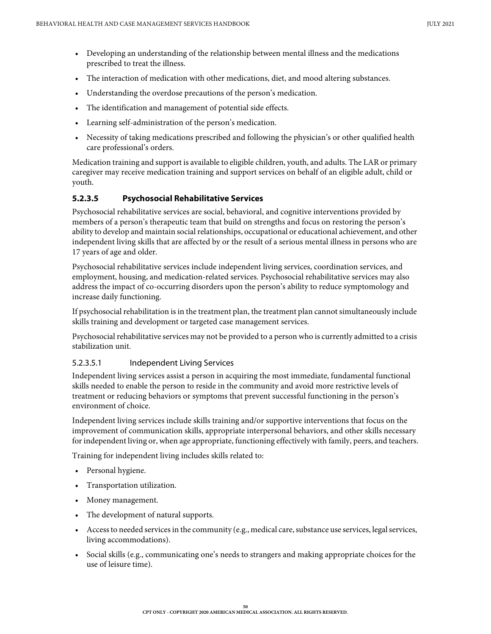- Developing an understanding of the relationship between mental illness and the medications prescribed to treat the illness.
- The interaction of medication with other medications, diet, and mood altering substances.
- Understanding the overdose precautions of the person's medication.
- The identification and management of potential side effects.
- Learning self-administration of the person's medication.
- Necessity of taking medications prescribed and following the physician's or other qualified health care professional's orders.

Medication training and support is available to eligible children, youth, and adults. The LAR or primary caregiver may receive medication training and support services on behalf of an eligible adult, child or youth.

### **5.2.3.5 Psychosocial Rehabilitative Services**

Psychosocial rehabilitative services are social, behavioral, and cognitive interventions provided by members of a person's therapeutic team that build on strengths and focus on restoring the person's ability to develop and maintain social relationships, occupational or educational achievement, and other independent living skills that are affected by or the result of a serious mental illness in persons who are 17 years of age and older.

Psychosocial rehabilitative services include independent living services, coordination services, and employment, housing, and medication-related services. Psychosocial rehabilitative services may also address the impact of co-occurring disorders upon the person's ability to reduce symptomology and increase daily functioning.

If psychosocial rehabilitation is in the treatment plan, the treatment plan cannot simultaneously include skills training and development or targeted case management services.

Psychosocial rehabilitative services may not be provided to a person who is currently admitted to a crisis stabilization unit.

### 5.2.3.5.1 Independent Living Services

Independent living services assist a person in acquiring the most immediate, fundamental functional skills needed to enable the person to reside in the community and avoid more restrictive levels of treatment or reducing behaviors or symptoms that prevent successful functioning in the person's environment of choice.

Independent living services include skills training and/or supportive interventions that focus on the improvement of communication skills, appropriate interpersonal behaviors, and other skills necessary for independent living or, when age appropriate, functioning effectively with family, peers, and teachers.

Training for independent living includes skills related to:

- Personal hygiene.
- Transportation utilization.
- Money management.
- The development of natural supports.
- Access to needed services in the community (e.g., medical care, substance use services, legal services, living accommodations).
- Social skills (e.g., communicating one's needs to strangers and making appropriate choices for the use of leisure time).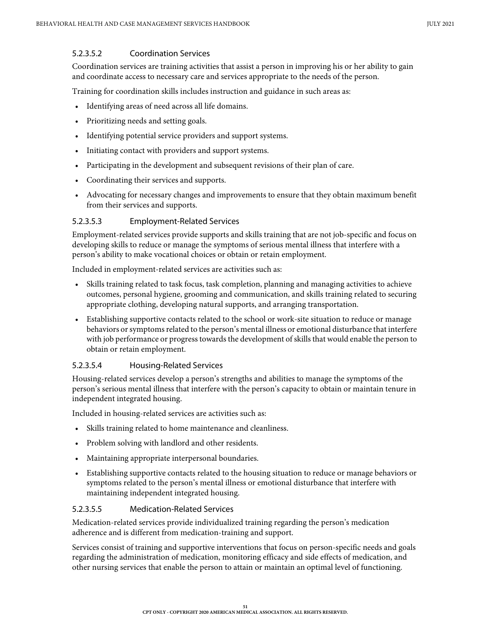#### 5.2.3.5.2 Coordination Services

Coordination services are training activities that assist a person in improving his or her ability to gain and coordinate access to necessary care and services appropriate to the needs of the person.

Training for coordination skills includes instruction and guidance in such areas as:

- Identifying areas of need across all life domains.
- Prioritizing needs and setting goals.
- Identifying potential service providers and support systems.
- Initiating contact with providers and support systems.
- Participating in the development and subsequent revisions of their plan of care.
- Coordinating their services and supports.
- Advocating for necessary changes and improvements to ensure that they obtain maximum benefit from their services and supports.

#### 5.2.3.5.3 Employment-Related Services

Employment-related services provide supports and skills training that are not job-specific and focus on developing skills to reduce or manage the symptoms of serious mental illness that interfere with a person's ability to make vocational choices or obtain or retain employment.

Included in employment-related services are activities such as:

- Skills training related to task focus, task completion, planning and managing activities to achieve outcomes, personal hygiene, grooming and communication, and skills training related to securing appropriate clothing, developing natural supports, and arranging transportation.
- Establishing supportive contacts related to the school or work-site situation to reduce or manage behaviors or symptoms related to the person's mental illness or emotional disturbance that interfere with job performance or progress towards the development of skills that would enable the person to obtain or retain employment.

#### 5.2.3.5.4 Housing-Related Services

Housing-related services develop a person's strengths and abilities to manage the symptoms of the person's serious mental illness that interfere with the person's capacity to obtain or maintain tenure in independent integrated housing.

Included in housing-related services are activities such as:

- Skills training related to home maintenance and cleanliness.
- Problem solving with landlord and other residents.
- Maintaining appropriate interpersonal boundaries.
- Establishing supportive contacts related to the housing situation to reduce or manage behaviors or symptoms related to the person's mental illness or emotional disturbance that interfere with maintaining independent integrated housing.

#### 5.2.3.5.5 Medication-Related Services

Medication-related services provide individualized training regarding the person's medication adherence and is different from medication-training and support.

Services consist of training and supportive interventions that focus on person-specific needs and goals regarding the administration of medication, monitoring efficacy and side effects of medication, and other nursing services that enable the person to attain or maintain an optimal level of functioning.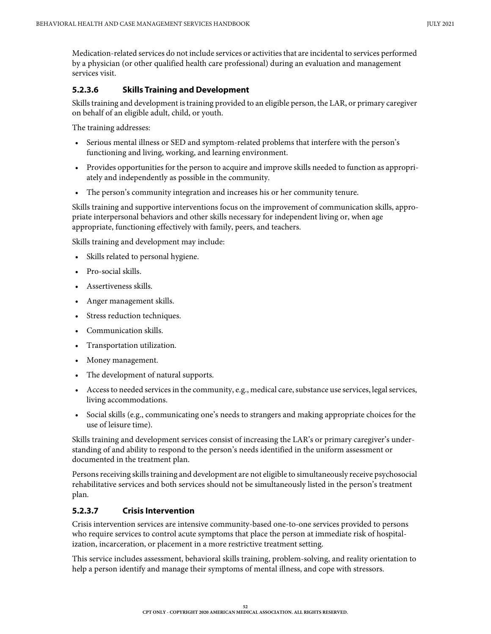Medication-related services do not include services or activities that are incidental to services performed by a physician (or other qualified health care professional) during an evaluation and management services visit.

### **5.2.3.6 Skills Training and Development**

Skills training and development is training provided to an eligible person, the LAR, or primary caregiver on behalf of an eligible adult, child, or youth.

The training addresses:

- Serious mental illness or SED and symptom-related problems that interfere with the person's functioning and living, working, and learning environment.
- Provides opportunities for the person to acquire and improve skills needed to function as appropriately and independently as possible in the community.
- The person's community integration and increases his or her community tenure.

Skills training and supportive interventions focus on the improvement of communication skills, appropriate interpersonal behaviors and other skills necessary for independent living or, when age appropriate, functioning effectively with family, peers, and teachers.

Skills training and development may include:

- Skills related to personal hygiene.
- Pro-social skills.
- Assertiveness skills.
- Anger management skills.
- Stress reduction techniques.
- Communication skills.
- Transportation utilization.
- Money management.
- The development of natural supports.
- Access to needed services in the community, e.g., medical care, substance use services, legal services, living accommodations.
- Social skills (e.g., communicating one's needs to strangers and making appropriate choices for the use of leisure time).

Skills training and development services consist of increasing the LAR's or primary caregiver's understanding of and ability to respond to the person's needs identified in the uniform assessment or documented in the treatment plan.

Persons receiving skills training and development are not eligible to simultaneously receive psychosocial rehabilitative services and both services should not be simultaneously listed in the person's treatment plan.

### **5.2.3.7 Crisis Intervention**

Crisis intervention services are intensive community-based one-to-one services provided to persons who require services to control acute symptoms that place the person at immediate risk of hospitalization, incarceration, or placement in a more restrictive treatment setting.

This service includes assessment, behavioral skills training, problem-solving, and reality orientation to help a person identify and manage their symptoms of mental illness, and cope with stressors.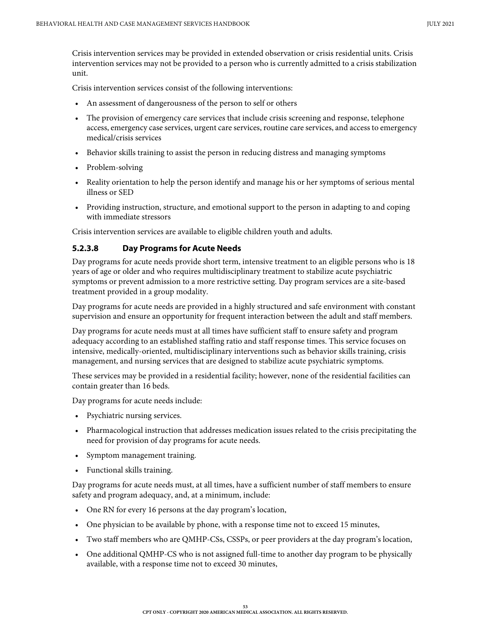Crisis intervention services may be provided in extended observation or crisis residential units. Crisis intervention services may not be provided to a person who is currently admitted to a crisis stabilization unit.

Crisis intervention services consist of the following interventions:

- An assessment of dangerousness of the person to self or others
- The provision of emergency care services that include crisis screening and response, telephone access, emergency case services, urgent care services, routine care services, and access to emergency medical/crisis services
- Behavior skills training to assist the person in reducing distress and managing symptoms
- Problem-solving
- Reality orientation to help the person identify and manage his or her symptoms of serious mental illness or SED
- Providing instruction, structure, and emotional support to the person in adapting to and coping with immediate stressors

Crisis intervention services are available to eligible children youth and adults.

### **5.2.3.8 Day Programs for Acute Needs**

Day programs for acute needs provide short term, intensive treatment to an eligible persons who is 18 years of age or older and who requires multidisciplinary treatment to stabilize acute psychiatric symptoms or prevent admission to a more restrictive setting. Day program services are a site-based treatment provided in a group modality.

Day programs for acute needs are provided in a highly structured and safe environment with constant supervision and ensure an opportunity for frequent interaction between the adult and staff members.

Day programs for acute needs must at all times have sufficient staff to ensure safety and program adequacy according to an established staffing ratio and staff response times. This service focuses on intensive, medically-oriented, multidisciplinary interventions such as behavior skills training, crisis management, and nursing services that are designed to stabilize acute psychiatric symptoms.

These services may be provided in a residential facility; however, none of the residential facilities can contain greater than 16 beds.

Day programs for acute needs include:

- Psychiatric nursing services.
- Pharmacological instruction that addresses medication issues related to the crisis precipitating the need for provision of day programs for acute needs.
- Symptom management training.
- Functional skills training.

Day programs for acute needs must, at all times, have a sufficient number of staff members to ensure safety and program adequacy, and, at a minimum, include:

- One RN for every 16 persons at the day program's location,
- One physician to be available by phone, with a response time not to exceed 15 minutes,
- Two staff members who are QMHP-CSs, CSSPs, or peer providers at the day program's location,
- One additional QMHP-CS who is not assigned full-time to another day program to be physically available, with a response time not to exceed 30 minutes,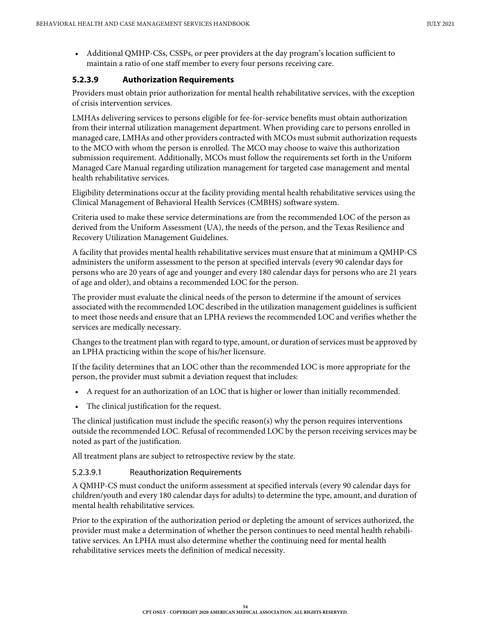• Additional QMHP-CSs, CSSPs, or peer providers at the day program's location sufficient to maintain a ratio of one staff member to every four persons receiving care.

### **5.2.3.9 Authorization Requirements**

Providers must obtain prior authorization for mental health rehabilitative services, with the exception of crisis intervention services.

LMHAs delivering services to persons eligible for fee-for-service benefits must obtain authorization from their internal utilization management department. When providing care to persons enrolled in managed care, LMHAs and other providers contracted with MCOs must submit authorization requests to the MCO with whom the person is enrolled. The MCO may choose to waive this authorization submission requirement. Additionally, MCOs must follow the requirements set forth in the Uniform Managed Care Manual regarding utilization management for targeted case management and mental health rehabilitative services.

Eligibility determinations occur at the facility providing mental health rehabilitative services using the Clinical Management of Behavioral Health Services (CMBHS) software system.

Criteria used to make these service determinations are from the recommended LOC of the person as derived from the Uniform Assessment (UA), the needs of the person, and the Texas Resilience and Recovery Utilization Management Guidelines.

A facility that provides mental health rehabilitative services must ensure that at minimum a QMHP-CS administers the uniform assessment to the person at specified intervals (every 90 calendar days for persons who are 20 years of age and younger and every 180 calendar days for persons who are 21 years of age and older), and obtains a recommended LOC for the person.

The provider must evaluate the clinical needs of the person to determine if the amount of services associated with the recommended LOC described in the utilization management guidelines is sufficient to meet those needs and ensure that an LPHA reviews the recommended LOC and verifies whether the services are medically necessary.

Changes to the treatment plan with regard to type, amount, or duration of services must be approved by an LPHA practicing within the scope of his/her licensure.

If the facility determines that an LOC other than the recommended LOC is more appropriate for the person, the provider must submit a deviation request that includes:

- A request for an authorization of an LOC that is higher or lower than initially recommended.
- The clinical justification for the request.

The clinical justification must include the specific reason(s) why the person requires interventions outside the recommended LOC. Refusal of recommended LOC by the person receiving services may be noted as part of the justification.

All treatment plans are subject to retrospective review by the state.

#### 5.2.3.9.1 Reauthorization Requirements

A QMHP-CS must conduct the uniform assessment at specified intervals (every 90 calendar days for children/youth and every 180 calendar days for adults) to determine the type, amount, and duration of mental health rehabilitative services.

Prior to the expiration of the authorization period or depleting the amount of services authorized, the provider must make a determination of whether the person continues to need mental health rehabilitative services. An LPHA must also determine whether the continuing need for mental health rehabilitative services meets the definition of medical necessity.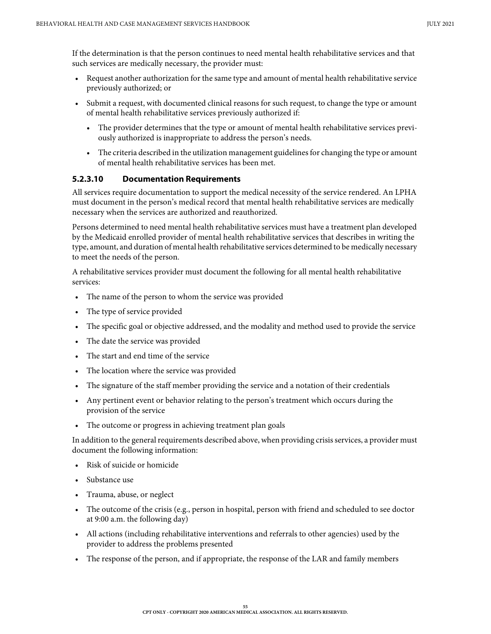If the determination is that the person continues to need mental health rehabilitative services and that such services are medically necessary, the provider must:

- Request another authorization for the same type and amount of mental health rehabilitative service previously authorized; or
- Submit a request, with documented clinical reasons for such request, to change the type or amount of mental health rehabilitative services previously authorized if:
	- The provider determines that the type or amount of mental health rehabilitative services previously authorized is inappropriate to address the person's needs.
	- The criteria described in the utilization management guidelines for changing the type or amount of mental health rehabilitative services has been met.

#### **5.2.3.10 Documentation Requirements**

All services require documentation to support the medical necessity of the service rendered. An LPHA must document in the person's medical record that mental health rehabilitative services are medically necessary when the services are authorized and reauthorized.

Persons determined to need mental health rehabilitative services must have a treatment plan developed by the Medicaid enrolled provider of mental health rehabilitative services that describes in writing the type, amount, and duration of mental health rehabilitative services determined to be medically necessary to meet the needs of the person.

A rehabilitative services provider must document the following for all mental health rehabilitative services:

- The name of the person to whom the service was provided
- The type of service provided
- The specific goal or objective addressed, and the modality and method used to provide the service
- The date the service was provided
- The start and end time of the service
- The location where the service was provided
- The signature of the staff member providing the service and a notation of their credentials
- Any pertinent event or behavior relating to the person's treatment which occurs during the provision of the service
- The outcome or progress in achieving treatment plan goals

In addition to the general requirements described above, when providing crisis services, a provider must document the following information:

- Risk of suicide or homicide
- Substance use
- Trauma, abuse, or neglect
- The outcome of the crisis (e.g., person in hospital, person with friend and scheduled to see doctor at 9:00 a.m. the following day)
- All actions (including rehabilitative interventions and referrals to other agencies) used by the provider to address the problems presented
- The response of the person, and if appropriate, the response of the LAR and family members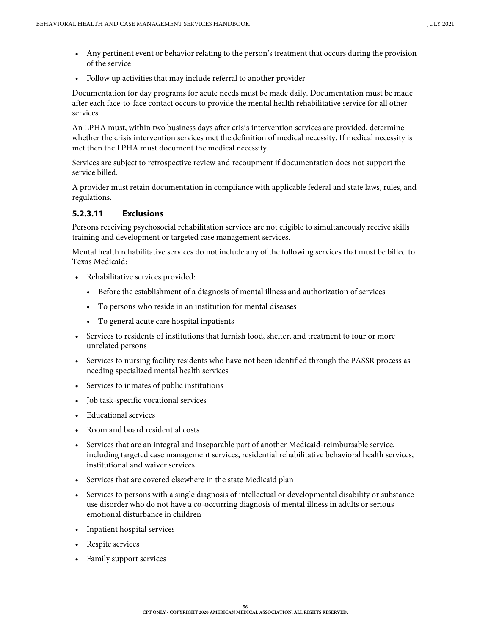- Any pertinent event or behavior relating to the person's treatment that occurs during the provision of the service
- Follow up activities that may include referral to another provider

Documentation for day programs for acute needs must be made daily. Documentation must be made after each face-to-face contact occurs to provide the mental health rehabilitative service for all other services.

An LPHA must, within two business days after crisis intervention services are provided, determine whether the crisis intervention services met the definition of medical necessity. If medical necessity is met then the LPHA must document the medical necessity.

Services are subject to retrospective review and recoupment if documentation does not support the service billed.

A provider must retain documentation in compliance with applicable federal and state laws, rules, and regulations.

### **5.2.3.11 Exclusions**

Persons receiving psychosocial rehabilitation services are not eligible to simultaneously receive skills training and development or targeted case management services.

Mental health rehabilitative services do not include any of the following services that must be billed to Texas Medicaid:

- Rehabilitative services provided:
	- Before the establishment of a diagnosis of mental illness and authorization of services
	- To persons who reside in an institution for mental diseases
	- To general acute care hospital inpatients
- Services to residents of institutions that furnish food, shelter, and treatment to four or more unrelated persons
- Services to nursing facility residents who have not been identified through the PASSR process as needing specialized mental health services
- Services to inmates of public institutions
- Job task-specific vocational services
- Educational services
- Room and board residential costs
- Services that are an integral and inseparable part of another Medicaid-reimbursable service, including targeted case management services, residential rehabilitative behavioral health services, institutional and waiver services
- Services that are covered elsewhere in the state Medicaid plan
- Services to persons with a single diagnosis of intellectual or developmental disability or substance use disorder who do not have a co-occurring diagnosis of mental illness in adults or serious emotional disturbance in children
- Inpatient hospital services
- Respite services
- Family support services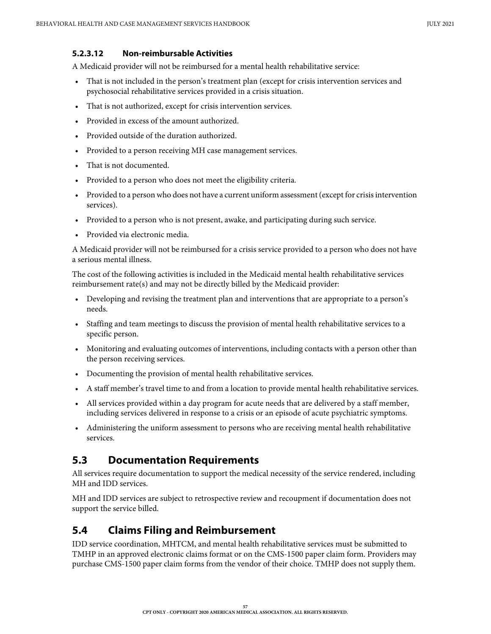### **5.2.3.12 Non-reimbursable Activities**

A Medicaid provider will not be reimbursed for a mental health rehabilitative service:

- That is not included in the person's treatment plan (except for crisis intervention services and psychosocial rehabilitative services provided in a crisis situation.
- That is not authorized, except for crisis intervention services.
- Provided in excess of the amount authorized.
- Provided outside of the duration authorized.
- Provided to a person receiving MH case management services.
- That is not documented.
- Provided to a person who does not meet the eligibility criteria.
- Provided to a person who does not have a current uniform assessment (except for crisis intervention services).
- Provided to a person who is not present, awake, and participating during such service.
- Provided via electronic media.

A Medicaid provider will not be reimbursed for a crisis service provided to a person who does not have a serious mental illness.

The cost of the following activities is included in the Medicaid mental health rehabilitative services reimbursement rate(s) and may not be directly billed by the Medicaid provider:

- Developing and revising the treatment plan and interventions that are appropriate to a person's needs.
- Staffing and team meetings to discuss the provision of mental health rehabilitative services to a specific person.
- Monitoring and evaluating outcomes of interventions, including contacts with a person other than the person receiving services.
- Documenting the provision of mental health rehabilitative services.
- A staff member's travel time to and from a location to provide mental health rehabilitative services.
- All services provided within a day program for acute needs that are delivered by a staff member, including services delivered in response to a crisis or an episode of acute psychiatric symptoms.
- Administering the uniform assessment to persons who are receiving mental health rehabilitative services.

## **5.3 Documentation Requirements**

All services require documentation to support the medical necessity of the service rendered, including MH and IDD services.

MH and IDD services are subject to retrospective review and recoupment if documentation does not support the service billed.

## **5.4 Claims Filing and Reimbursement**

IDD service coordination, MHTCM, and mental health rehabilitative services must be submitted to TMHP in an approved electronic claims format or on the CMS-1500 paper claim form. Providers may purchase CMS-1500 paper claim forms from the vendor of their choice. TMHP does not supply them.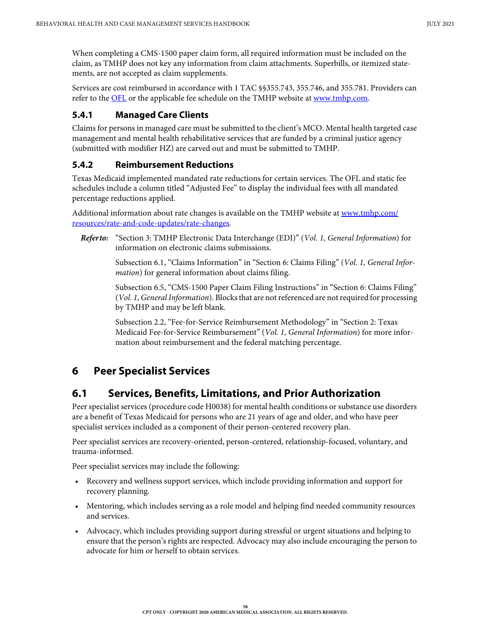When completing a CMS-1500 paper claim form, all required information must be included on the claim, as TMHP does not key any information from claim attachments. Superbills, or itemized statements, are not accepted as claim supplements.

Services are cost reimbursed in accordance with 1 TAC §§355.743, 355.746, and 355.781. Providers can refer to the [OFL](http://public.tmhp.com/FeeSchedules/Default.aspx) or the applicable fee schedule on the TMHP website at [www.tmhp.com.](https://www.tmhp.com)

### **5.4.1 Managed Care Clients**

Claims for persons in managed care must be submitted to the client's MCO. Mental health targeted case management and mental health rehabilitative services that are funded by a criminal justice agency (submitted with modifier HZ) are carved out and must be submitted to TMHP.

### **5.4.2 Reimbursement Reductions**

Texas Medicaid implemented mandated rate reductions for certain services. The OFL and static fee schedules include a column titled "Adjusted Fee" to display the individual fees with all mandated percentage reductions applied.

Additional information about rate changes is available on the TMHP website at [www.tmhp.com/](https://www.tmhp.com/resources/rate-and-code-updates/rate-changes) [resources/rate-and-code-updates/rate-changes](https://www.tmhp.com/resources/rate-and-code-updates/rate-changes).

*Refer to:* "Section 3: TMHP Electronic Data Interchange (EDI)" (*Vol. 1, General Information*) for information on electronic claims submissions.

> Subsection 6.1, "Claims Information" in "Section 6: Claims Filing" (*Vol. 1, General Information*) for general information about claims filing.

Subsection 6.5, "CMS-1500 Paper Claim Filing Instructions" in "Section 6: Claims Filing" (*Vol. 1, General Information*). Blocks that are not referenced are not required for processing by TMHP and may be left blank.

Subsection 2.2, "Fee-for-Service Reimbursement Methodology" in "Section 2: Texas Medicaid Fee-for-Service Reimbursement" (*Vol. 1, General Information*) for more information about reimbursement and the federal matching percentage.

# **6 Peer Specialist Services**

# **6.1 Services, Benefits, Limitations, and Prior Authorization**

Peer specialist services (procedure code H0038) for mental health conditions or substance use disorders are a benefit of Texas Medicaid for persons who are 21 years of age and older, and who have peer specialist services included as a component of their person-centered recovery plan.

Peer specialist services are recovery-oriented, person-centered, relationship-focused, voluntary, and trauma-informed.

Peer specialist services may include the following:

- Recovery and wellness support services, which include providing information and support for recovery planning.
- Mentoring, which includes serving as a role model and helping find needed community resources and services.
- Advocacy, which includes providing support during stressful or urgent situations and helping to ensure that the person's rights are respected. Advocacy may also include encouraging the person to advocate for him or herself to obtain services.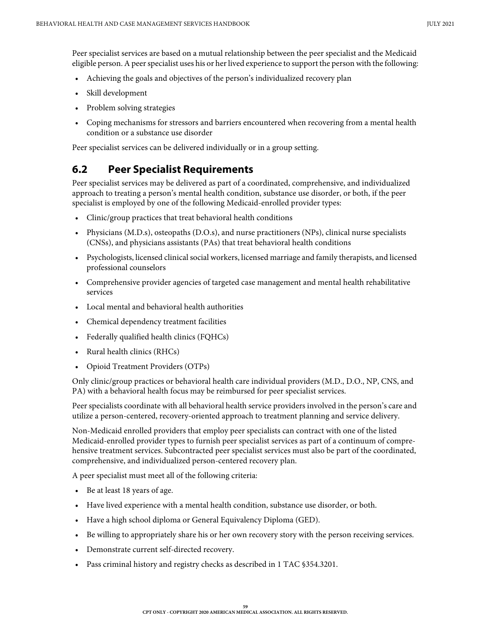Peer specialist services are based on a mutual relationship between the peer specialist and the Medicaid eligible person. A peer specialist uses his or her lived experience to support the person with the following:

- Achieving the goals and objectives of the person's individualized recovery plan
- Skill development
- Problem solving strategies
- Coping mechanisms for stressors and barriers encountered when recovering from a mental health condition or a substance use disorder

Peer specialist services can be delivered individually or in a group setting.

### **6.2 Peer Specialist Requirements**

Peer specialist services may be delivered as part of a coordinated, comprehensive, and individualized approach to treating a person's mental health condition, substance use disorder, or both, if the peer specialist is employed by one of the following Medicaid-enrolled provider types:

- Clinic/group practices that treat behavioral health conditions
- Physicians (M.D.s), osteopaths (D.O.s), and nurse practitioners (NPs), clinical nurse specialists (CNSs), and physicians assistants (PAs) that treat behavioral health conditions
- Psychologists, licensed clinical social workers, licensed marriage and family therapists, and licensed professional counselors
- Comprehensive provider agencies of targeted case management and mental health rehabilitative services
- Local mental and behavioral health authorities
- Chemical dependency treatment facilities
- Federally qualified health clinics (FQHCs)
- Rural health clinics (RHCs)
- Opioid Treatment Providers (OTPs)

Only clinic/group practices or behavioral health care individual providers (M.D., D.O., NP, CNS, and PA) with a behavioral health focus may be reimbursed for peer specialist services.

Peer specialists coordinate with all behavioral health service providers involved in the person's care and utilize a person-centered, recovery-oriented approach to treatment planning and service delivery.

Non-Medicaid enrolled providers that employ peer specialists can contract with one of the listed Medicaid-enrolled provider types to furnish peer specialist services as part of a continuum of comprehensive treatment services. Subcontracted peer specialist services must also be part of the coordinated, comprehensive, and individualized person-centered recovery plan.

A peer specialist must meet all of the following criteria:

- Be at least 18 years of age.
- Have lived experience with a mental health condition, substance use disorder, or both.
- Have a high school diploma or General Equivalency Diploma (GED).
- Be willing to appropriately share his or her own recovery story with the person receiving services.
- Demonstrate current self-directed recovery.
- Pass criminal history and registry checks as described in 1 TAC §354.3201.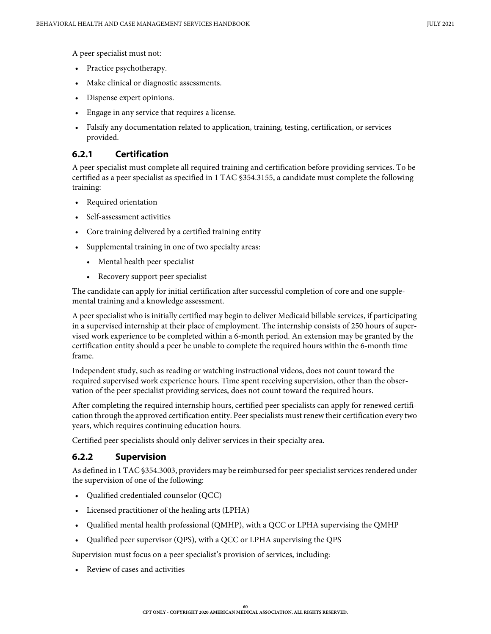A peer specialist must not:

- Practice psychotherapy.
- Make clinical or diagnostic assessments.
- Dispense expert opinions.
- Engage in any service that requires a license.
- Falsify any documentation related to application, training, testing, certification, or services provided.

### **6.2.1 Certification**

A peer specialist must complete all required training and certification before providing services. To be certified as a peer specialist as specified in 1 TAC §354.3155, a candidate must complete the following training:

- Required orientation
- Self-assessment activities
- Core training delivered by a certified training entity
- Supplemental training in one of two specialty areas:
	- Mental health peer specialist
	- Recovery support peer specialist

The candidate can apply for initial certification after successful completion of core and one supplemental training and a knowledge assessment.

A peer specialist who is initially certified may begin to deliver Medicaid billable services, if participating in a supervised internship at their place of employment. The internship consists of 250 hours of supervised work experience to be completed within a 6-month period. An extension may be granted by the certification entity should a peer be unable to complete the required hours within the 6-month time frame.

Independent study, such as reading or watching instructional videos, does not count toward the required supervised work experience hours. Time spent receiving supervision, other than the observation of the peer specialist providing services, does not count toward the required hours.

After completing the required internship hours, certified peer specialists can apply for renewed certification through the approved certification entity. Peer specialists must renew their certification every two years, which requires continuing education hours.

Certified peer specialists should only deliver services in their specialty area.

### **6.2.2 Supervision**

As defined in 1 TAC §354.3003, providers may be reimbursed for peer specialist services rendered under the supervision of one of the following:

- Qualified credentialed counselor (QCC)
- Licensed practitioner of the healing arts (LPHA)
- Qualified mental health professional (QMHP), with a QCC or LPHA supervising the QMHP
- Qualified peer supervisor (QPS), with a QCC or LPHA supervising the QPS

Supervision must focus on a peer specialist's provision of services, including:

• Review of cases and activities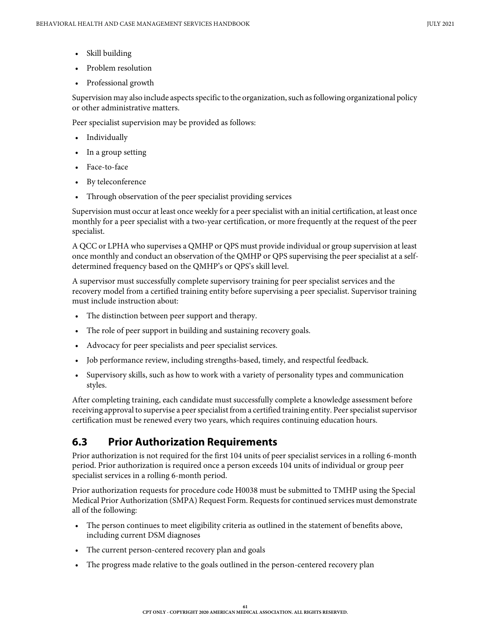- Skill building
- Problem resolution
- Professional growth

Supervision may also include aspects specific to the organization, such as following organizational policy or other administrative matters.

Peer specialist supervision may be provided as follows:

- Individually
- In a group setting
- Face-to-face
- By teleconference
- Through observation of the peer specialist providing services

Supervision must occur at least once weekly for a peer specialist with an initial certification, at least once monthly for a peer specialist with a two-year certification, or more frequently at the request of the peer specialist.

A QCC or LPHA who supervises a QMHP or QPS must provide individual or group supervision at least once monthly and conduct an observation of the QMHP or QPS supervising the peer specialist at a selfdetermined frequency based on the QMHP's or QPS's skill level.

A supervisor must successfully complete supervisory training for peer specialist services and the recovery model from a certified training entity before supervising a peer specialist. Supervisor training must include instruction about:

- The distinction between peer support and therapy.
- The role of peer support in building and sustaining recovery goals.
- Advocacy for peer specialists and peer specialist services.
- Job performance review, including strengths-based, timely, and respectful feedback.
- Supervisory skills, such as how to work with a variety of personality types and communication styles.

After completing training, each candidate must successfully complete a knowledge assessment before receiving approval to supervise a peer specialist from a certified training entity. Peer specialist supervisor certification must be renewed every two years, which requires continuing education hours.

# **6.3 Prior Authorization Requirements**

Prior authorization is not required for the first 104 units of peer specialist services in a rolling 6-month period. Prior authorization is required once a person exceeds 104 units of individual or group peer specialist services in a rolling 6-month period.

Prior authorization requests for procedure code H0038 must be submitted to TMHP using the Special Medical Prior Authorization (SMPA) Request Form. Requests for continued services must demonstrate all of the following:

- The person continues to meet eligibility criteria as outlined in the statement of benefits above, including current DSM diagnoses
- The current person-centered recovery plan and goals
- The progress made relative to the goals outlined in the person-centered recovery plan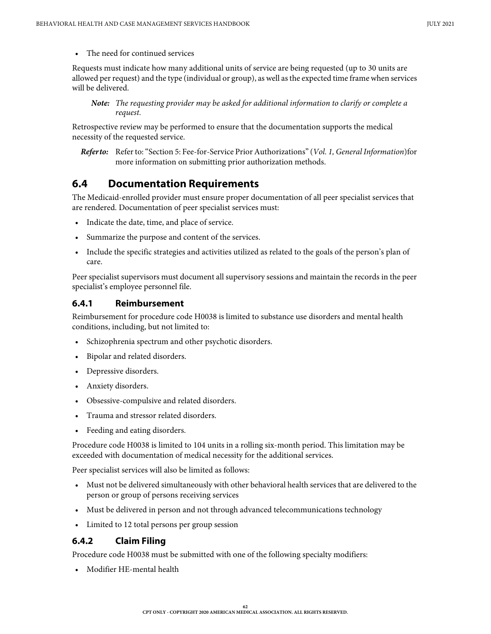• The need for continued services

Requests must indicate how many additional units of service are being requested (up to 30 units are allowed per request) and the type (individual or group), as well as the expected time frame when services will be delivered.

*Note: The requesting provider may be asked for additional information to clarify or complete a request.*

Retrospective review may be performed to ensure that the documentation supports the medical necessity of the requested service.

*Refer to:* Refer to: "Section 5: Fee-for-Service Prior Authorizations" (*Vol. 1, General Information*)for more information on submitting prior authorization methods.

## **6.4 Documentation Requirements**

The Medicaid-enrolled provider must ensure proper documentation of all peer specialist services that are rendered. Documentation of peer specialist services must:

- Indicate the date, time, and place of service.
- Summarize the purpose and content of the services.
- Include the specific strategies and activities utilized as related to the goals of the person's plan of care.

Peer specialist supervisors must document all supervisory sessions and maintain the records in the peer specialist's employee personnel file.

### **6.4.1 Reimbursement**

Reimbursement for procedure code H0038 is limited to substance use disorders and mental health conditions, including, but not limited to:

- Schizophrenia spectrum and other psychotic disorders.
- Bipolar and related disorders.
- Depressive disorders.
- Anxiety disorders.
- Obsessive-compulsive and related disorders.
- Trauma and stressor related disorders.
- Feeding and eating disorders.

Procedure code H0038 is limited to 104 units in a rolling six-month period. This limitation may be exceeded with documentation of medical necessity for the additional services.

Peer specialist services will also be limited as follows:

- Must not be delivered simultaneously with other behavioral health services that are delivered to the person or group of persons receiving services
- Must be delivered in person and not through advanced telecommunications technology
- Limited to 12 total persons per group session

### **6.4.2 Claim Filing**

Procedure code H0038 must be submitted with one of the following specialty modifiers:

• Modifier HE-mental health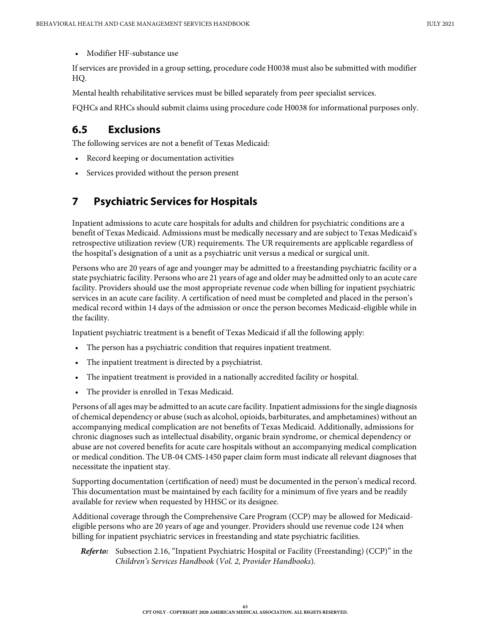• Modifier HF-substance use

If services are provided in a group setting, procedure code H0038 must also be submitted with modifier HQ.

Mental health rehabilitative services must be billed separately from peer specialist services.

FQHCs and RHCs should submit claims using procedure code H0038 for informational purposes only.

### **6.5 Exclusions**

The following services are not a benefit of Texas Medicaid:

- Record keeping or documentation activities
- Services provided without the person present

# **7 Psychiatric Services for Hospitals**

Inpatient admissions to acute care hospitals for adults and children for psychiatric conditions are a benefit of Texas Medicaid. Admissions must be medically necessary and are subject to Texas Medicaid's retrospective utilization review (UR) requirements. The UR requirements are applicable regardless of the hospital's designation of a unit as a psychiatric unit versus a medical or surgical unit.

Persons who are 20 years of age and younger may be admitted to a freestanding psychiatric facility or a state psychiatric facility. Persons who are 21 years of age and older may be admitted only to an acute care facility. Providers should use the most appropriate revenue code when billing for inpatient psychiatric services in an acute care facility. A certification of need must be completed and placed in the person's medical record within 14 days of the admission or once the person becomes Medicaid-eligible while in the facility.

Inpatient psychiatric treatment is a benefit of Texas Medicaid if all the following apply:

- The person has a psychiatric condition that requires inpatient treatment.
- The inpatient treatment is directed by a psychiatrist.
- The inpatient treatment is provided in a nationally accredited facility or hospital.
- The provider is enrolled in Texas Medicaid.

Persons of all ages may be admitted to an acute care facility. Inpatient admissions for the single diagnosis of chemical dependency or abuse (such as alcohol, opioids, barbiturates, and amphetamines) without an accompanying medical complication are not benefits of Texas Medicaid. Additionally, admissions for chronic diagnoses such as intellectual disability, organic brain syndrome, or chemical dependency or abuse are not covered benefits for acute care hospitals without an accompanying medical complication or medical condition. The UB-04 CMS-1450 paper claim form must indicate all relevant diagnoses that necessitate the inpatient stay.

Supporting documentation (certification of need) must be documented in the person's medical record. This documentation must be maintained by each facility for a minimum of five years and be readily available for review when requested by HHSC or its designee.

Additional coverage through the Comprehensive Care Program (CCP) may be allowed for Medicaideligible persons who are 20 years of age and younger. Providers should use revenue code 124 when billing for inpatient psychiatric services in freestanding and state psychiatric facilities.

*Refer to:* Subsection 2.16, "Inpatient Psychiatric Hospital or Facility (Freestanding) (CCP)" in the *Children's Services Handbook* (*Vol. 2, Provider Handbooks*).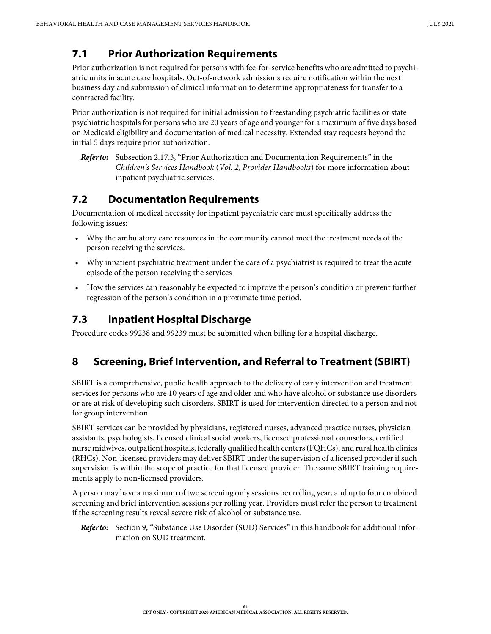# **7.1 Prior Authorization Requirements**

Prior authorization is not required for persons with fee-for-service benefits who are admitted to psychiatric units in acute care hospitals. Out-of-network admissions require notification within the next business day and submission of clinical information to determine appropriateness for transfer to a contracted facility.

Prior authorization is not required for initial admission to freestanding psychiatric facilities or state psychiatric hospitals for persons who are 20 years of age and younger for a maximum of five days based on Medicaid eligibility and documentation of medical necessity. Extended stay requests beyond the initial 5 days require prior authorization.

# **7.2 Documentation Requirements**

Documentation of medical necessity for inpatient psychiatric care must specifically address the following issues:

- Why the ambulatory care resources in the community cannot meet the treatment needs of the person receiving the services.
- Why inpatient psychiatric treatment under the care of a psychiatrist is required to treat the acute episode of the person receiving the services
- How the services can reasonably be expected to improve the person's condition or prevent further regression of the person's condition in a proximate time period.

# **7.3 Inpatient Hospital Discharge**

Procedure codes 99238 and 99239 must be submitted when billing for a hospital discharge.

# <span id="page-63-0"></span>**8 Screening, Brief Intervention, and Referral to Treatment (SBIRT)**

SBIRT is a comprehensive, public health approach to the delivery of early intervention and treatment services for persons who are 10 years of age and older and who have alcohol or substance use disorders or are at risk of developing such disorders. SBIRT is used for intervention directed to a person and not for group intervention.

SBIRT services can be provided by physicians, registered nurses, advanced practice nurses, physician assistants, psychologists, licensed clinical social workers, licensed professional counselors, certified nurse midwives, outpatient hospitals, federally qualified health centers (FQHCs), and rural health clinics (RHCs). Non-licensed providers may deliver SBIRT under the supervision of a licensed provider if such supervision is within the scope of practice for that licensed provider. The same SBIRT training requirements apply to non-licensed providers.

A person may have a maximum of two screening only sessions per rolling year, and up to four combined screening and brief intervention sessions per rolling year. Providers must refer the person to treatment if the screening results reveal severe risk of alcohol or substance use.

*Refer to:* [Section 9, "Substance Use Disorder \(SUD\) Services"](#page-67-0) in this handbook for additional information on SUD treatment.

*Refer to:* Subsection 2.17.3, "Prior Authorization and Documentation Requirements" in the *Children's Services Handbook* (*Vol. 2, Provider Handbooks*) for more information about inpatient psychiatric services.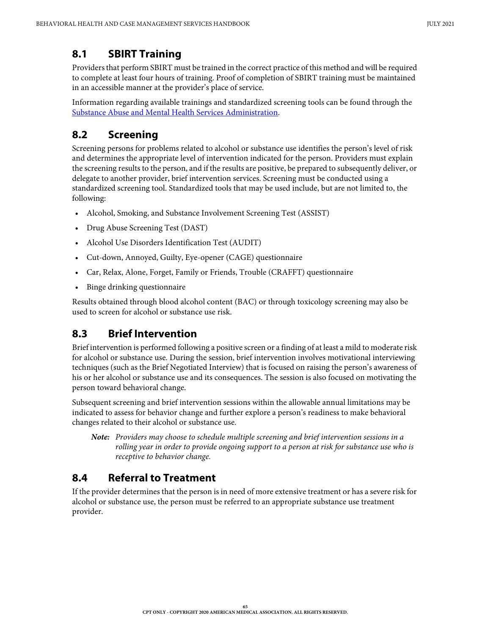# **8.1 SBIRT Training**

Providers that perform SBIRT must be trained in the correct practice of this method and will be required to complete at least four hours of training. Proof of completion of SBIRT training must be maintained in an accessible manner at the provider's place of service.

Information regarding available trainings and standardized screening tools can be found through the [Substance Abuse and Mental Health Services Administration.](http://www.samhsa.gov/)

# **8.2 Screening**

Screening persons for problems related to alcohol or substance use identifies the person's level of risk and determines the appropriate level of intervention indicated for the person. Providers must explain the screening results to the person, and if the results are positive, be prepared to subsequently deliver, or delegate to another provider, brief intervention services. Screening must be conducted using a standardized screening tool. Standardized tools that may be used include, but are not limited to, the following:

- Alcohol, Smoking, and Substance Involvement Screening Test (ASSIST)
- Drug Abuse Screening Test (DAST)
- Alcohol Use Disorders Identification Test (AUDIT)
- Cut-down, Annoyed, Guilty, Eye-opener (CAGE) questionnaire
- Car, Relax, Alone, Forget, Family or Friends, Trouble (CRAFFT) questionnaire
- Binge drinking questionnaire

Results obtained through blood alcohol content (BAC) or through toxicology screening may also be used to screen for alcohol or substance use risk.

# **8.3 Brief Intervention**

Brief intervention is performed following a positive screen or a finding of at least a mild to moderate risk for alcohol or substance use. During the session, brief intervention involves motivational interviewing techniques (such as the Brief Negotiated Interview) that is focused on raising the person's awareness of his or her alcohol or substance use and its consequences. The session is also focused on motivating the person toward behavioral change.

Subsequent screening and brief intervention sessions within the allowable annual limitations may be indicated to assess for behavior change and further explore a person's readiness to make behavioral changes related to their alcohol or substance use.

*Note: Providers may choose to schedule multiple screening and brief intervention sessions in a rolling year in order to provide ongoing support to a person at risk for substance use who is receptive to behavior change.* 

# **8.4 Referral to Treatment**

If the provider determines that the person is in need of more extensive treatment or has a severe risk for alcohol or substance use, the person must be referred to an appropriate substance use treatment provider.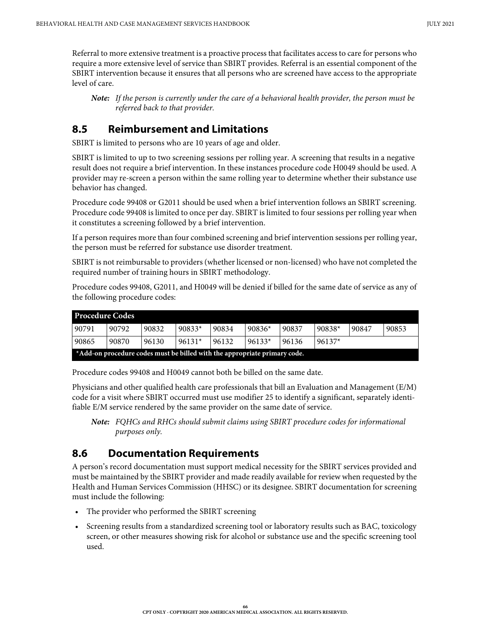Referral to more extensive treatment is a proactive process that facilitates access to care for persons who require a more extensive level of service than SBIRT provides. Referral is an essential component of the SBIRT intervention because it ensures that all persons who are screened have access to the appropriate level of care.

*Note: If the person is currently under the care of a behavioral health provider, the person must be referred back to that provider.*

### **8.5 Reimbursement and Limitations**

SBIRT is limited to persons who are 10 years of age and older.

SBIRT is limited to up to two screening sessions per rolling year. A screening that results in a negative result does not require a brief intervention. In these instances procedure code H0049 should be used. A provider may re-screen a person within the same rolling year to determine whether their substance use behavior has changed.

Procedure code 99408 or G2011 should be used when a brief intervention follows an SBIRT screening. Procedure code 99408 is limited to once per day. SBIRT is limited to four sessions per rolling year when it constitutes a screening followed by a brief intervention.

If a person requires more than four combined screening and brief intervention sessions per rolling year, the person must be referred for substance use disorder treatment.

SBIRT is not reimbursable to providers (whether licensed or non-licensed) who have not completed the required number of training hours in SBIRT methodology.

Procedure codes 99408, G2011, and H0049 will be denied if billed for the same date of service as any of the following procedure codes:

| <b>Procedure Codes</b>                                                    |       |       |          |       |          |       |          |       |       |
|---------------------------------------------------------------------------|-------|-------|----------|-------|----------|-------|----------|-------|-------|
| 90791                                                                     | 90792 | 90832 | $90833*$ | 90834 | $90836*$ | 90837 | $90838*$ | 90847 | 90853 |
| 90865                                                                     | 90870 | 96130 | $96131*$ | 96132 | $96133*$ | 96136 | $96137*$ |       |       |
| *Add-on procedure codes must be billed with the appropriate primary code. |       |       |          |       |          |       |          |       |       |

Procedure codes 99408 and H0049 cannot both be billed on the same date.

Physicians and other qualified health care professionals that bill an Evaluation and Management (E/M) code for a visit where SBIRT occurred must use modifier 25 to identify a significant, separately identifiable E/M service rendered by the same provider on the same date of service.

*Note: FQHCs and RHCs should submit claims using SBIRT procedure codes for informational purposes only.*

### **8.6 Documentation Requirements**

A person's record documentation must support medical necessity for the SBIRT services provided and must be maintained by the SBIRT provider and made readily available for review when requested by the Health and Human Services Commission (HHSC) or its designee. SBIRT documentation for screening must include the following:

- The provider who performed the SBIRT screening
- Screening results from a standardized screening tool or laboratory results such as BAC, toxicology screen, or other measures showing risk for alcohol or substance use and the specific screening tool used.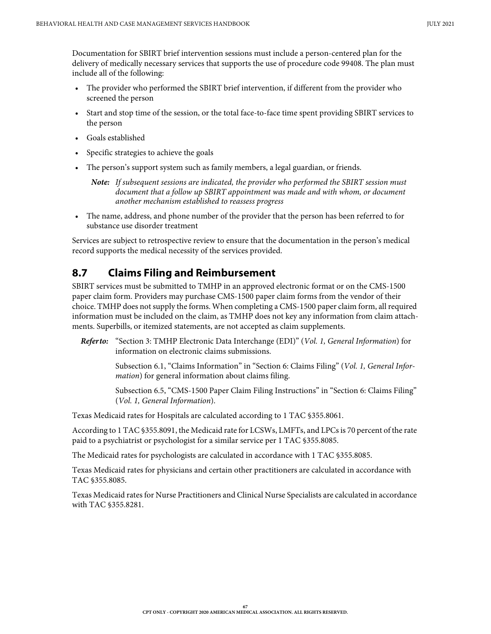Documentation for SBIRT brief intervention sessions must include a person-centered plan for the delivery of medically necessary services that supports the use of procedure code 99408. The plan must include all of the following:

- The provider who performed the SBIRT brief intervention, if different from the provider who screened the person
- Start and stop time of the session, or the total face-to-face time spent providing SBIRT services to the person
- Goals established
- Specific strategies to achieve the goals
- The person's support system such as family members, a legal guardian, or friends.

*Note: If subsequent sessions are indicated, the provider who performed the SBIRT session must document that a follow up SBIRT appointment was made and with whom, or document another mechanism established to reassess progress*

• The name, address, and phone number of the provider that the person has been referred to for substance use disorder treatment

Services are subject to retrospective review to ensure that the documentation in the person's medical record supports the medical necessity of the services provided.

### **8.7 Claims Filing and Reimbursement**

SBIRT services must be submitted to TMHP in an approved electronic format or on the CMS-1500 paper claim form. Providers may purchase CMS-1500 paper claim forms from the vendor of their choice. TMHP does not supply the forms. When completing a CMS-1500 paper claim form, all required information must be included on the claim, as TMHP does not key any information from claim attachments. Superbills, or itemized statements, are not accepted as claim supplements.

*Refer to:* "Section 3: TMHP Electronic Data Interchange (EDI)" (*Vol. 1, General Information*) for information on electronic claims submissions.

> Subsection 6.1, "Claims Information" in "Section 6: Claims Filing" (*Vol. 1, General Information*) for general information about claims filing.

> Subsection 6.5, "CMS-1500 Paper Claim Filing Instructions" in "Section 6: Claims Filing" (*Vol. 1, General Information*).

Texas Medicaid rates for Hospitals are calculated according to 1 TAC §355.8061.

According to 1 TAC §355.8091, the Medicaid rate for LCSWs, LMFTs, and LPCs is 70 percent of the rate paid to a psychiatrist or psychologist for a similar service per 1 TAC §355.8085.

The Medicaid rates for psychologists are calculated in accordance with 1 TAC §355.8085.

Texas Medicaid rates for physicians and certain other practitioners are calculated in accordance with TAC §355.8085.

Texas Medicaid rates for Nurse Practitioners and Clinical Nurse Specialists are calculated in accordance with TAC §355.8281.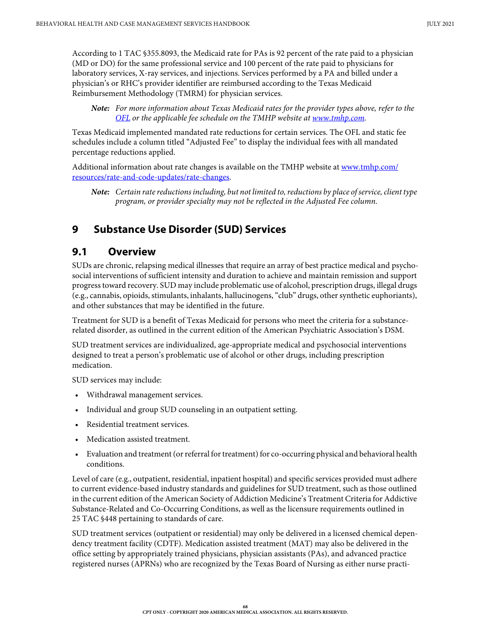According to 1 TAC §355.8093, the Medicaid rate for PAs is 92 percent of the rate paid to a physician (MD or DO) for the same professional service and 100 percent of the rate paid to physicians for laboratory services, X-ray services, and injections. Services performed by a PA and billed under a physician's or RHC's provider identifier are reimbursed according to the Texas Medicaid Reimbursement Methodology (TMRM) for physician services.

*Note: For more information about Texas Medicaid rates for the provider types above, refer to the <u>OFL</u> or the applicable fee schedule on the TMHP website at <u>www.tmhp.com</u>.* 

Texas Medicaid implemented mandated rate reductions for certain services. The OFL and static fee schedules include a column titled "Adjusted Fee" to display the individual fees with all mandated percentage reductions applied.

Additional information about rate changes is available on the TMHP website at [www.tmhp.com/](https://www.tmhp.com/resources/rate-and-code-updates/rate-changes) [resources/rate-and-code-updates/rate-changes](https://www.tmhp.com/resources/rate-and-code-updates/rate-changes).

*Note: Certain rate reductions including, but not limited to, reductions by place of service, client type program, or provider specialty may not be reflected in the Adjusted Fee column.*

# <span id="page-67-0"></span>**9 Substance Use Disorder (SUD) Services**

### **9.1 Overview**

SUDs are chronic, relapsing medical illnesses that require an array of best practice medical and psychosocial interventions of sufficient intensity and duration to achieve and maintain remission and support progress toward recovery. SUD may include problematic use of alcohol, prescription drugs, illegal drugs (e.g., cannabis, opioids, stimulants, inhalants, hallucinogens, "club" drugs, other synthetic euphoriants), and other substances that may be identified in the future.

Treatment for SUD is a benefit of Texas Medicaid for persons who meet the criteria for a substancerelated disorder, as outlined in the current edition of the American Psychiatric Association's DSM.

SUD treatment services are individualized, age-appropriate medical and psychosocial interventions designed to treat a person's problematic use of alcohol or other drugs, including prescription medication.

SUD services may include:

- Withdrawal management services.
- Individual and group SUD counseling in an outpatient setting.
- Residential treatment services.
- Medication assisted treatment.
- Evaluation and treatment (or referral for treatment) for co-occurring physical and behavioral health conditions.

Level of care (e.g., outpatient, residential, inpatient hospital) and specific services provided must adhere to current evidence-based industry standards and guidelines for SUD treatment, such as those outlined in the current edition of the American Society of Addiction Medicine's Treatment Criteria for Addictive Substance-Related and Co-Occurring Conditions, as well as the licensure requirements outlined in 25 TAC §448 pertaining to standards of care.

SUD treatment services (outpatient or residential) may only be delivered in a licensed chemical dependency treatment facility (CDTF). Medication assisted treatment (MAT) may also be delivered in the office setting by appropriately trained physicians, physician assistants (PAs), and advanced practice registered nurses (APRNs) who are recognized by the Texas Board of Nursing as either nurse practi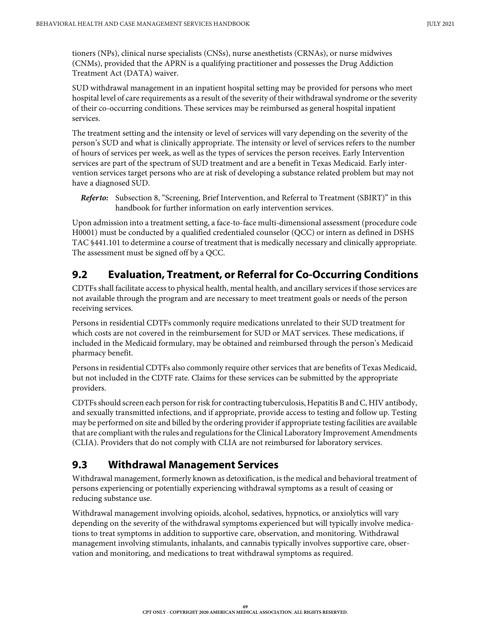tioners (NPs), clinical nurse specialists (CNSs), nurse anesthetists (CRNAs), or nurse midwives (CNMs), provided that the APRN is a qualifying practitioner and possesses the Drug Addiction Treatment Act (DATA) waiver.

SUD withdrawal management in an inpatient hospital setting may be provided for persons who meet hospital level of care requirements as a result of the severity of their withdrawal syndrome or the severity of their co-occurring conditions. These services may be reimbursed as general hospital inpatient services.

The treatment setting and the intensity or level of services will vary depending on the severity of the person's SUD and what is clinically appropriate. The intensity or level of services refers to the number of hours of services per week, as well as the types of services the person receives. Early Intervention services are part of the spectrum of SUD treatment and are a benefit in Texas Medicaid. Early intervention services target persons who are at risk of developing a substance related problem but may not have a diagnosed SUD.

*Refer to:* [Subsection 8, "Screening, Brief Intervention, and Referral to Treatment \(SBIRT\)" in this](#page-63-0)  [handbook](#page-63-0) for further information on early intervention services.

Upon admission into a treatment setting, a face-to-face multi-dimensional assessment (procedure code H0001) must be conducted by a qualified credentialed counselor (QCC) or intern as defined in DSHS TAC §441.101 to determine a course of treatment that is medically necessary and clinically appropriate. The assessment must be signed off by a QCC.

# **9.2 Evaluation, Treatment, or Referral for Co-Occurring Conditions**

CDTFs shall facilitate access to physical health, mental health, and ancillary services if those services are not available through the program and are necessary to meet treatment goals or needs of the person receiving services.

Persons in residential CDTFs commonly require medications unrelated to their SUD treatment for which costs are not covered in the reimbursement for SUD or MAT services. These medications, if included in the Medicaid formulary, may be obtained and reimbursed through the person's Medicaid pharmacy benefit.

Persons in residential CDTFs also commonly require other services that are benefits of Texas Medicaid, but not included in the CDTF rate. Claims for these services can be submitted by the appropriate providers.

CDTFs should screen each person for risk for contracting tuberculosis, Hepatitis B and C, HIV antibody, and sexually transmitted infections, and if appropriate, provide access to testing and follow up. Testing may be performed on site and billed by the ordering provider if appropriate testing facilities are available that are compliant with the rules and regulations for the Clinical Laboratory Improvement Amendments (CLIA). Providers that do not comply with CLIA are not reimbursed for laboratory services.

# **9.3 Withdrawal Management Services**

Withdrawal management, formerly known as detoxification, is the medical and behavioral treatment of persons experiencing or potentially experiencing withdrawal symptoms as a result of ceasing or reducing substance use.

Withdrawal management involving opioids, alcohol, sedatives, hypnotics, or anxiolytics will vary depending on the severity of the withdrawal symptoms experienced but will typically involve medications to treat symptoms in addition to supportive care, observation, and monitoring. Withdrawal management involving stimulants, inhalants, and cannabis typically involves supportive care, observation and monitoring, and medications to treat withdrawal symptoms as required.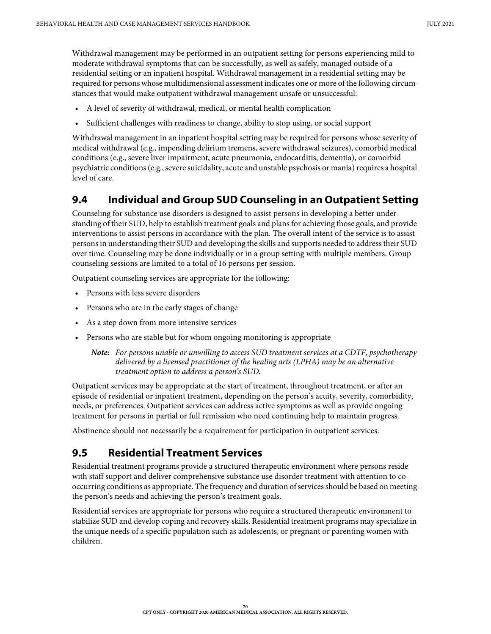Withdrawal management may be performed in an outpatient setting for persons experiencing mild to moderate withdrawal symptoms that can be successfully, as well as safely, managed outside of a residential setting or an inpatient hospital. Withdrawal management in a residential setting may be required for persons whose multidimensional assessment indicates one or more of the following circumstances that would make outpatient withdrawal management unsafe or unsuccessful:

- A level of severity of withdrawal, medical, or mental health complication
- Sufficient challenges with readiness to change, ability to stop using, or social support

Withdrawal management in an inpatient hospital setting may be required for persons whose severity of medical withdrawal (e.g., impending delirium tremens, severe withdrawal seizures), comorbid medical conditions (e.g., severe liver impairment, acute pneumonia, endocarditis, dementia), or comorbid psychiatric conditions (e.g., severe suicidality, acute and unstable psychosis or mania) requires a hospital level of care.

## **9.4 Individual and Group SUD Counseling in an Outpatient Setting**

Counseling for substance use disorders is designed to assist persons in developing a better understanding of their SUD, help to establish treatment goals and plans for achieving those goals, and provide interventions to assist persons in accordance with the plan. The overall intent of the service is to assist persons in understanding their SUD and developing the skills and supports needed to address their SUD over time. Counseling may be done individually or in a group setting with multiple members. Group counseling sessions are limited to a total of 16 persons per session.

Outpatient counseling services are appropriate for the following:

- Persons with less severe disorders
- Persons who are in the early stages of change
- As a step down from more intensive services
- Persons who are stable but for whom ongoing monitoring is appropriate

*Note: For persons unable or unwilling to access SUD treatment services at a CDTF, psychotherapy delivered by a licensed practitioner of the healing arts (LPHA) may be an alternative treatment option to address a person's SUD.*

Outpatient services may be appropriate at the start of treatment, throughout treatment, or after an episode of residential or inpatient treatment, depending on the person's acuity, severity, comorbidity, needs, or preferences. Outpatient services can address active symptoms as well as provide ongoing treatment for persons in partial or full remission who need continuing help to maintain progress.

Abstinence should not necessarily be a requirement for participation in outpatient services.

# **9.5 Residential Treatment Services**

Residential treatment programs provide a structured therapeutic environment where persons reside with staff support and deliver comprehensive substance use disorder treatment with attention to cooccurring conditions as appropriate. The frequency and duration of services should be based on meeting the person's needs and achieving the person's treatment goals.

Residential services are appropriate for persons who require a structured therapeutic environment to stabilize SUD and develop coping and recovery skills. Residential treatment programs may specialize in the unique needs of a specific population such as adolescents, or pregnant or parenting women with children.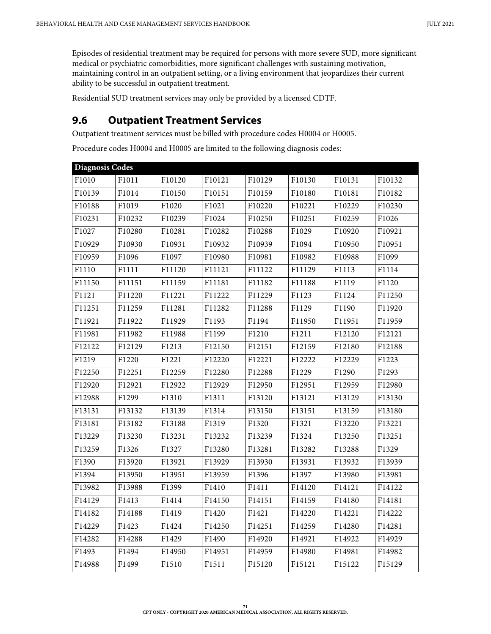Episodes of residential treatment may be required for persons with more severe SUD, more significant medical or psychiatric comorbidities, more significant challenges with sustaining motivation, maintaining control in an outpatient setting, or a living environment that jeopardizes their current ability to be successful in outpatient treatment.

Residential SUD treatment services may only be provided by a licensed CDTF.

## **9.6 Outpatient Treatment Services**

Outpatient treatment services must be billed with procedure codes H0004 or H0005.

Procedure codes H0004 and H0005 are limited to the following diagnosis codes:

| <b>Diagnosis Codes</b> |        |        |        |        |        |        |                    |
|------------------------|--------|--------|--------|--------|--------|--------|--------------------|
| F1010                  | F1011  | F10120 | F10121 | F10129 | F10130 | F10131 | F10132             |
| F10139                 | F1014  | F10150 | F10151 | F10159 | F10180 | F10181 | F10182             |
| F10188                 | F1019  | F1020  | F1021  | F10220 | F10221 | F10229 | F10230             |
| F10231                 | F10232 | F10239 | F1024  | F10250 | F10251 | F10259 | F1026              |
| F1027                  | F10280 | F10281 | F10282 | F10288 | F1029  | F10920 | F10921             |
| F10929                 | F10930 | F10931 | F10932 | F10939 | F1094  | F10950 | F10951             |
| F10959                 | F1096  | F1097  | F10980 | F10981 | F10982 | F10988 | F1099              |
| F1110                  | F1111  | F11120 | F11121 | F11122 | F11129 | F1113  | F1114              |
| F11150                 | F11151 | F11159 | F11181 | F11182 | F11188 | F1119  | F1120              |
| F1121                  | F11220 | F11221 | F11222 | F11229 | F1123  | F1124  | F11250             |
| F11251                 | F11259 | F11281 | F11282 | F11288 | F1129  | F1190  | F11920             |
| F11921                 | F11922 | F11929 | F1193  | F1194  | F11950 | F11951 | F11959             |
| F11981                 | F11982 | F11988 | F1199  | F1210  | F1211  | F12120 | F12121             |
| F12122                 | F12129 | F1213  | F12150 | F12151 | F12159 | F12180 | F12188             |
| F1219                  | F1220  | F1221  | F12220 | F12221 | F12222 | F12229 | F1223              |
| F12250                 | F12251 | F12259 | F12280 | F12288 | F1229  | F1290  | F1293              |
| F12920                 | F12921 | F12922 | F12929 | F12950 | F12951 | F12959 | F12980             |
| F12988                 | F1299  | F1310  | F1311  | F13120 | F13121 | F13129 | F13130             |
| F13131                 | F13132 | F13139 | F1314  | F13150 | F13151 | F13159 | F13180             |
| F13181                 | F13182 | F13188 | F1319  | F1320  | F1321  | F13220 | F13221             |
| F13229                 | F13230 | F13231 | F13232 | F13239 | F1324  | F13250 | F13251             |
| F13259                 | F1326  | F1327  | F13280 | F13281 | F13282 | F13288 | F1329              |
| F1390                  | F13920 | F13921 | F13929 | F13930 | F13931 | F13932 | F13939             |
| F1394                  | F13950 | F13951 | F13959 | F1396  | F1397  | F13980 | F13981             |
| F13982                 | F13988 | F1399  | F1410  | F1411  | F14120 | F14121 | F14122             |
| F14129                 | F1413  | F1414  | F14150 | F14151 | F14159 | F14180 | F14181             |
| F14182                 | F14188 | F1419  | F1420  | F1421  | F14220 | F14221 | F14222             |
| F14229                 | F1423  | F1424  | F14250 | F14251 | F14259 | F14280 | F14281             |
| F14282                 | F14288 | F1429  | F1490  | F14920 | F14921 | F14922 | F <sub>14929</sub> |
| F1493                  | F1494  | F14950 | F14951 | F14959 | F14980 | F14981 | F14982             |
| F14988                 | F1499  | F1510  | F1511  | F15120 | F15121 | F15122 | F15129             |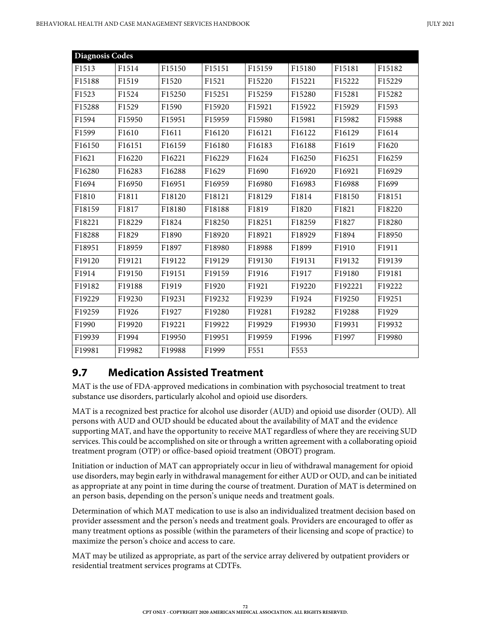| Diagnosis Codes |        |        |        |        |        |         |        |
|-----------------|--------|--------|--------|--------|--------|---------|--------|
| F1513           | F1514  | F15150 | F15151 | F15159 | F15180 | F15181  | F15182 |
| F15188          | F1519  | F1520  | F1521  | F15220 | F15221 | F15222  | F15229 |
| F1523           | F1524  | F15250 | F15251 | F15259 | F15280 | F15281  | F15282 |
| F15288          | F1529  | F1590  | F15920 | F15921 | F15922 | F15929  | F1593  |
| F1594           | F15950 | F15951 | F15959 | F15980 | F15981 | F15982  | F15988 |
| F1599           | F1610  | F1611  | F16120 | F16121 | F16122 | F16129  | F1614  |
| F16150          | F16151 | F16159 | F16180 | F16183 | F16188 | F1619   | F1620  |
| F1621           | F16220 | F16221 | F16229 | F1624  | F16250 | F16251  | F16259 |
| F16280          | F16283 | F16288 | F1629  | F1690  | F16920 | F16921  | F16929 |
| F1694           | F16950 | F16951 | F16959 | F16980 | F16983 | F16988  | F1699  |
| F1810           | F1811  | F18120 | F18121 | F18129 | F1814  | F18150  | F18151 |
| F18159          | F1817  | F18180 | F18188 | F1819  | F1820  | F1821   | F18220 |
| F18221          | F18229 | F1824  | F18250 | F18251 | F18259 | F1827   | F18280 |
| F18288          | F1829  | F1890  | F18920 | F18921 | F18929 | F1894   | F18950 |
| F18951          | F18959 | F1897  | F18980 | F18988 | F1899  | F1910   | F1911  |
| F19120          | F19121 | F19122 | F19129 | F19130 | F19131 | F19132  | F19139 |
| F1914           | F19150 | F19151 | F19159 | F1916  | F1917  | F19180  | F19181 |
| F19182          | F19188 | F1919  | F1920  | F1921  | F19220 | F192221 | F19222 |
| F19229          | F19230 | F19231 | F19232 | F19239 | F1924  | F19250  | F19251 |
| F19259          | F1926  | F1927  | F19280 | F19281 | F19282 | F19288  | F1929  |
| F1990           | F19920 | F19221 | F19922 | F19929 | F19930 | F19931  | F19932 |
| F19939          | F1994  | F19950 | F19951 | F19959 | F1996  | F1997   | F19980 |
| F19981          | F19982 | F19988 | F1999  | F551   | F553   |         |        |

## **9.7 Medication Assisted Treatment**

MAT is the use of FDA-approved medications in combination with psychosocial treatment to treat substance use disorders, particularly alcohol and opioid use disorders.

MAT is a recognized best practice for alcohol use disorder (AUD) and opioid use disorder (OUD). All persons with AUD and OUD should be educated about the availability of MAT and the evidence supporting MAT, and have the opportunity to receive MAT regardless of where they are receiving SUD services. This could be accomplished on site or through a written agreement with a collaborating opioid treatment program (OTP) or office-based opioid treatment (OBOT) program.

Initiation or induction of MAT can appropriately occur in lieu of withdrawal management for opioid use disorders, may begin early in withdrawal management for either AUD or OUD, and can be initiated as appropriate at any point in time during the course of treatment. Duration of MAT is determined on an person basis, depending on the person's unique needs and treatment goals.

Determination of which MAT medication to use is also an individualized treatment decision based on provider assessment and the person's needs and treatment goals. Providers are encouraged to offer as many treatment options as possible (within the parameters of their licensing and scope of practice) to maximize the person's choice and access to care.

MAT may be utilized as appropriate, as part of the service array delivered by outpatient providers or residential treatment services programs at CDTFs.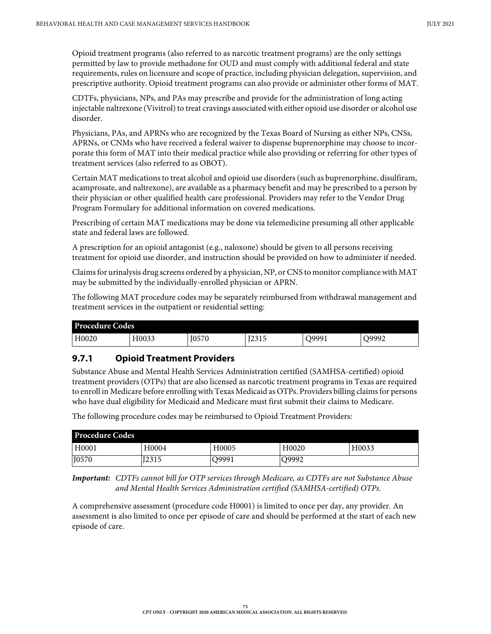Opioid treatment programs (also referred to as narcotic treatment programs) are the only settings permitted by law to provide methadone for OUD and must comply with additional federal and state requirements, rules on licensure and scope of practice, including physician delegation, supervision, and prescriptive authority. Opioid treatment programs can also provide or administer other forms of MAT.

CDTFs, physicians, NPs, and PAs may prescribe and provide for the administration of long acting injectable naltrexone (Vivitrol) to treat cravings associated with either opioid use disorder or alcohol use disorder.

Physicians, PAs, and APRNs who are recognized by the Texas Board of Nursing as either NPs, CNSs, APRNs, or CNMs who have received a federal waiver to dispense buprenorphine may choose to incorporate this form of MAT into their medical practice while also providing or referring for other types of treatment services (also referred to as OBOT).

Certain MAT medications to treat alcohol and opioid use disorders (such as buprenorphine, disulfiram, acamprosate, and naltrexone), are available as a pharmacy benefit and may be prescribed to a person by their physician or other qualified health care professional. Providers may refer to the Vendor Drug Program Formulary for additional information on covered medications.

Prescribing of certain MAT medications may be done via telemedicine presuming all other applicable state and federal laws are followed.

A prescription for an opioid antagonist (e.g., naloxone) should be given to all persons receiving treatment for opioid use disorder, and instruction should be provided on how to administer if needed.

Claims for urinalysis drug screens ordered by a physician, NP, or CNS to monitor compliance with MAT may be submitted by the individually-enrolled physician or APRN.

The following MAT procedure codes may be separately reimbursed from withdrawal management and treatment services in the outpatient or residential setting:

| <b>Procedure Codes</b> |       |              |              |       |       |
|------------------------|-------|--------------|--------------|-------|-------|
| H0020                  | H0033 | <b>I0570</b> | <b>I2315</b> | O9991 | 09992 |

## **9.7.1 Opioid Treatment Providers**

Substance Abuse and Mental Health Services Administration certified (SAMHSA-certified) opioid treatment providers (OTPs) that are also licensed as narcotic treatment programs in Texas are required to enroll in Medicare before enrolling with Texas Medicaid as OTPs. Providers billing claims for persons who have dual eligibility for Medicaid and Medicare must first submit their claims to Medicare.

The following procedure codes may be reimbursed to Opioid Treatment Providers:

| <b>Procedure Codes</b> |       |       |       |       |
|------------------------|-------|-------|-------|-------|
| H0001                  | H0004 | H0005 | H0020 | H0033 |
| J0570                  | I2315 | )9991 | O9992 |       |

*Important: CDTFs cannot bill for OTP services through Medicare, as CDTFs are not Substance Abuse and Mental Health Services Administration certified (SAMHSA-certified) OTPs.*

A comprehensive assessment (procedure code H0001) is limited to once per day, any provider. An assessment is also limited to once per episode of care and should be performed at the start of each new episode of care.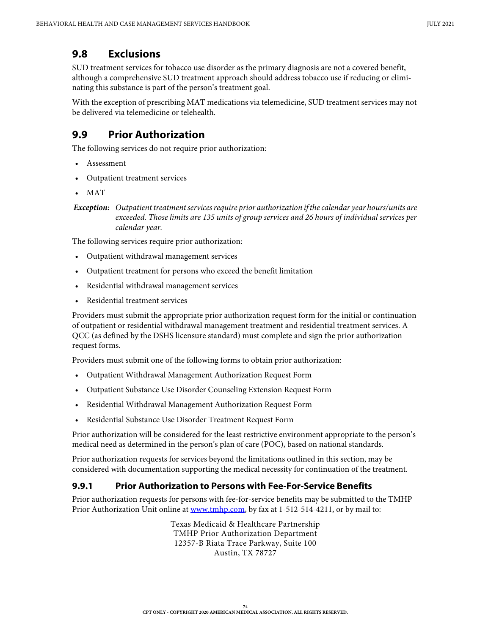## **9.8 Exclusions**

SUD treatment services for tobacco use disorder as the primary diagnosis are not a covered benefit, although a comprehensive SUD treatment approach should address tobacco use if reducing or eliminating this substance is part of the person's treatment goal.

With the exception of prescribing MAT medications via telemedicine, SUD treatment services may not be delivered via telemedicine or telehealth.

# **9.9 Prior Authorization**

The following services do not require prior authorization:

- **Assessment**
- Outpatient treatment services
- MAT

The following services require prior authorization:

- Outpatient withdrawal management services
- Outpatient treatment for persons who exceed the benefit limitation
- Residential withdrawal management services
- Residential treatment services

Providers must submit the appropriate prior authorization request form for the initial or continuation of outpatient or residential withdrawal management treatment and residential treatment services. A QCC (as defined by the DSHS licensure standard) must complete and sign the prior authorization request forms.

Providers must submit one of the following forms to obtain prior authorization:

- Outpatient Withdrawal Management Authorization Request Form
- Outpatient Substance Use Disorder Counseling Extension Request Form
- Residential Withdrawal Management Authorization Request Form
- Residential Substance Use Disorder Treatment Request Form

Prior authorization will be considered for the least restrictive environment appropriate to the person's medical need as determined in the person's plan of care (POC), based on national standards.

Prior authorization requests for services beyond the limitations outlined in this section, may be considered with documentation supporting the medical necessity for continuation of the treatment.

### **9.9.1 Prior Authorization to Persons with Fee-For-Service Benefits**

Prior authorization requests for persons with fee-for-service benefits may be submitted to the TMHP Prior Authorization Unit online at [www.tmhp.com](https://www.tmhp.com), by fax at 1-512-514-4211, or by mail to:

> Texas Medicaid & Healthcare Partnership TMHP Prior Authorization Department 12357-B Riata Trace Parkway, Suite 100 Austin, TX 78727

*Exception: Outpatient treatment services require prior authorization if the calendar year hours/units are exceeded. Those limits are 135 units of group services and 26 hours of individual services per calendar year.*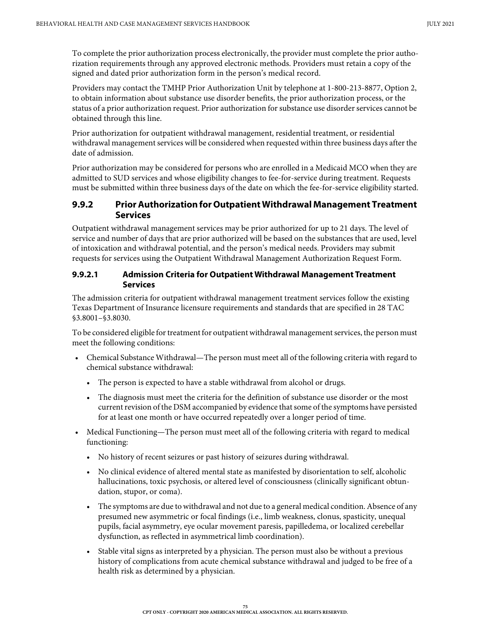To complete the prior authorization process electronically, the provider must complete the prior authorization requirements through any approved electronic methods. Providers must retain a copy of the signed and dated prior authorization form in the person's medical record.

Providers may contact the TMHP Prior Authorization Unit by telephone at 1-800-213-8877, Option 2, to obtain information about substance use disorder benefits, the prior authorization process, or the status of a prior authorization request. Prior authorization for substance use disorder services cannot be obtained through this line.

Prior authorization for outpatient withdrawal management, residential treatment, or residential withdrawal management services will be considered when requested within three business days after the date of admission.

Prior authorization may be considered for persons who are enrolled in a Medicaid MCO when they are admitted to SUD services and whose eligibility changes to fee-for-service during treatment. Requests must be submitted within three business days of the date on which the fee-for-service eligibility started.

### **9.9.2 Prior Authorization for Outpatient Withdrawal Management Treatment Services**

Outpatient withdrawal management services may be prior authorized for up to 21 days. The level of service and number of days that are prior authorized will be based on the substances that are used, level of intoxication and withdrawal potential, and the person's medical needs. Providers may submit requests for services using the Outpatient Withdrawal Management Authorization Request Form.

### **9.9.2.1 Admission Criteria for Outpatient Withdrawal Management Treatment Services**

The admission criteria for outpatient withdrawal management treatment services follow the existing Texas Department of Insurance licensure requirements and standards that are specified in 28 TAC §3.8001–§3.8030.

To be considered eligible for treatment for outpatient withdrawal management services, the person must meet the following conditions:

- Chemical Substance Withdrawal—The person must meet all of the following criteria with regard to chemical substance withdrawal:
	- The person is expected to have a stable withdrawal from alcohol or drugs.
	- The diagnosis must meet the criteria for the definition of substance use disorder or the most current revision of the DSM accompanied by evidence that some of the symptoms have persisted for at least one month or have occurred repeatedly over a longer period of time.
- Medical Functioning—The person must meet all of the following criteria with regard to medical functioning:
	- No history of recent seizures or past history of seizures during withdrawal.
	- No clinical evidence of altered mental state as manifested by disorientation to self, alcoholic hallucinations, toxic psychosis, or altered level of consciousness (clinically significant obtundation, stupor, or coma).
	- The symptoms are due to withdrawal and not due to a general medical condition. Absence of any presumed new asymmetric or focal findings (i.e., limb weakness, clonus, spasticity, unequal pupils, facial asymmetry, eye ocular movement paresis, papilledema, or localized cerebellar dysfunction, as reflected in asymmetrical limb coordination).
	- Stable vital signs as interpreted by a physician. The person must also be without a previous history of complications from acute chemical substance withdrawal and judged to be free of a health risk as determined by a physician.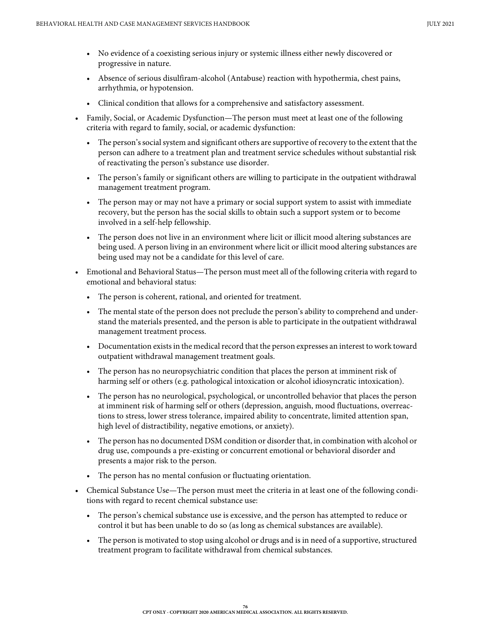- No evidence of a coexisting serious injury or systemic illness either newly discovered or progressive in nature.
- Absence of serious disulfiram-alcohol (Antabuse) reaction with hypothermia, chest pains, arrhythmia, or hypotension.
- Clinical condition that allows for a comprehensive and satisfactory assessment.
- Family, Social, or Academic Dysfunction—The person must meet at least one of the following criteria with regard to family, social, or academic dysfunction:
	- The person's social system and significant others are supportive of recovery to the extent that the person can adhere to a treatment plan and treatment service schedules without substantial risk of reactivating the person's substance use disorder.
	- The person's family or significant others are willing to participate in the outpatient withdrawal management treatment program.
	- The person may or may not have a primary or social support system to assist with immediate recovery, but the person has the social skills to obtain such a support system or to become involved in a self-help fellowship.
	- The person does not live in an environment where licit or illicit mood altering substances are being used. A person living in an environment where licit or illicit mood altering substances are being used may not be a candidate for this level of care.
- Emotional and Behavioral Status—The person must meet all of the following criteria with regard to emotional and behavioral status:
	- The person is coherent, rational, and oriented for treatment.
	- The mental state of the person does not preclude the person's ability to comprehend and understand the materials presented, and the person is able to participate in the outpatient withdrawal management treatment process.
	- Documentation exists in the medical record that the person expresses an interest to work toward outpatient withdrawal management treatment goals.
	- The person has no neuropsychiatric condition that places the person at imminent risk of harming self or others (e.g. pathological intoxication or alcohol idiosyncratic intoxication).
	- The person has no neurological, psychological, or uncontrolled behavior that places the person at imminent risk of harming self or others (depression, anguish, mood fluctuations, overreactions to stress, lower stress tolerance, impaired ability to concentrate, limited attention span, high level of distractibility, negative emotions, or anxiety).
	- The person has no documented DSM condition or disorder that, in combination with alcohol or drug use, compounds a pre-existing or concurrent emotional or behavioral disorder and presents a major risk to the person.
	- The person has no mental confusion or fluctuating orientation.
- Chemical Substance Use—The person must meet the criteria in at least one of the following conditions with regard to recent chemical substance use:
	- The person's chemical substance use is excessive, and the person has attempted to reduce or control it but has been unable to do so (as long as chemical substances are available).
	- The person is motivated to stop using alcohol or drugs and is in need of a supportive, structured treatment program to facilitate withdrawal from chemical substances.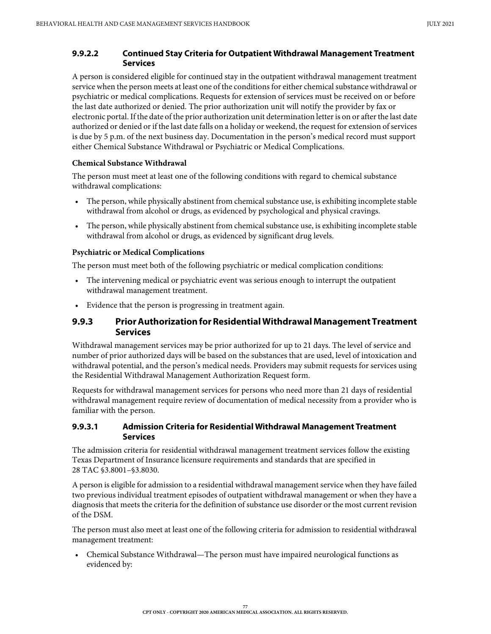#### **9.9.2.2 Continued Stay Criteria for Outpatient Withdrawal Management Treatment Services**

A person is considered eligible for continued stay in the outpatient withdrawal management treatment service when the person meets at least one of the conditions for either chemical substance withdrawal or psychiatric or medical complications. Requests for extension of services must be received on or before the last date authorized or denied. The prior authorization unit will notify the provider by fax or electronic portal. If the date of the prior authorization unit determination letter is on or after the last date authorized or denied or if the last date falls on a holiday or weekend, the request for extension of services is due by 5 p.m. of the next business day. Documentation in the person's medical record must support either Chemical Substance Withdrawal or Psychiatric or Medical Complications.

#### **Chemical Substance Withdrawal**

The person must meet at least one of the following conditions with regard to chemical substance withdrawal complications:

- The person, while physically abstinent from chemical substance use, is exhibiting incomplete stable withdrawal from alcohol or drugs, as evidenced by psychological and physical cravings.
- The person, while physically abstinent from chemical substance use, is exhibiting incomplete stable withdrawal from alcohol or drugs, as evidenced by significant drug levels.

#### **Psychiatric or Medical Complications**

The person must meet both of the following psychiatric or medical complication conditions:

- The intervening medical or psychiatric event was serious enough to interrupt the outpatient withdrawal management treatment.
- Evidence that the person is progressing in treatment again.

### **9.9.3 Prior Authorization for Residential Withdrawal Management Treatment Services**

Withdrawal management services may be prior authorized for up to 21 days. The level of service and number of prior authorized days will be based on the substances that are used, level of intoxication and withdrawal potential, and the person's medical needs. Providers may submit requests for services using the Residential Withdrawal Management Authorization Request form.

Requests for withdrawal management services for persons who need more than 21 days of residential withdrawal management require review of documentation of medical necessity from a provider who is familiar with the person.

#### **9.9.3.1 Admission Criteria for Residential Withdrawal Management Treatment Services**

The admission criteria for residential withdrawal management treatment services follow the existing Texas Department of Insurance licensure requirements and standards that are specified in 28 TAC §3.8001–§3.8030.

A person is eligible for admission to a residential withdrawal management service when they have failed two previous individual treatment episodes of outpatient withdrawal management or when they have a diagnosis that meets the criteria for the definition of substance use disorder or the most current revision of the DSM.

The person must also meet at least one of the following criteria for admission to residential withdrawal management treatment:

• Chemical Substance Withdrawal—The person must have impaired neurological functions as evidenced by: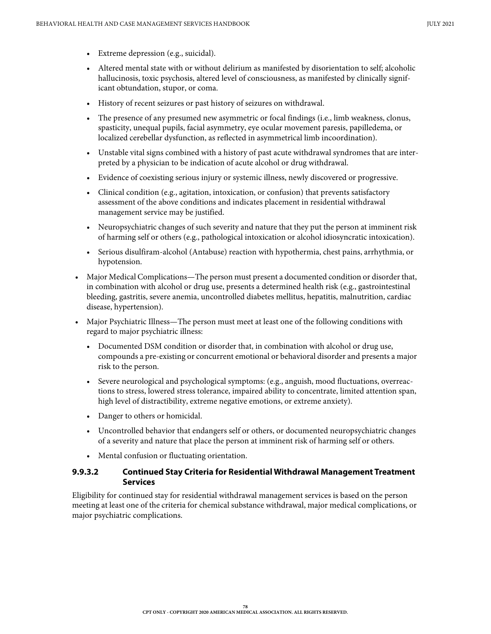- Extreme depression (e.g., suicidal).
- Altered mental state with or without delirium as manifested by disorientation to self; alcoholic hallucinosis, toxic psychosis, altered level of consciousness, as manifested by clinically significant obtundation, stupor, or coma.
- History of recent seizures or past history of seizures on withdrawal.
- The presence of any presumed new asymmetric or focal findings (i.e., limb weakness, clonus, spasticity, unequal pupils, facial asymmetry, eye ocular movement paresis, papilledema, or localized cerebellar dysfunction, as reflected in asymmetrical limb incoordination).
- Unstable vital signs combined with a history of past acute withdrawal syndromes that are interpreted by a physician to be indication of acute alcohol or drug withdrawal.
- Evidence of coexisting serious injury or systemic illness, newly discovered or progressive.
- Clinical condition (e.g., agitation, intoxication, or confusion) that prevents satisfactory assessment of the above conditions and indicates placement in residential withdrawal management service may be justified.
- Neuropsychiatric changes of such severity and nature that they put the person at imminent risk of harming self or others (e.g., pathological intoxication or alcohol idiosyncratic intoxication).
- Serious disulfiram-alcohol (Antabuse) reaction with hypothermia, chest pains, arrhythmia, or hypotension.
- Major Medical Complications—The person must present a documented condition or disorder that, in combination with alcohol or drug use, presents a determined health risk (e.g., gastrointestinal bleeding, gastritis, severe anemia, uncontrolled diabetes mellitus, hepatitis, malnutrition, cardiac disease, hypertension).
- Major Psychiatric Illness—The person must meet at least one of the following conditions with regard to major psychiatric illness:
	- Documented DSM condition or disorder that, in combination with alcohol or drug use, compounds a pre-existing or concurrent emotional or behavioral disorder and presents a major risk to the person.
	- Severe neurological and psychological symptoms: (e.g., anguish, mood fluctuations, overreactions to stress, lowered stress tolerance, impaired ability to concentrate, limited attention span, high level of distractibility, extreme negative emotions, or extreme anxiety).
	- Danger to others or homicidal.
	- Uncontrolled behavior that endangers self or others, or documented neuropsychiatric changes of a severity and nature that place the person at imminent risk of harming self or others.
	- Mental confusion or fluctuating orientation.

### **9.9.3.2 Continued Stay Criteria for Residential Withdrawal Management Treatment Services**

Eligibility for continued stay for residential withdrawal management services is based on the person meeting at least one of the criteria for chemical substance withdrawal, major medical complications, or major psychiatric complications.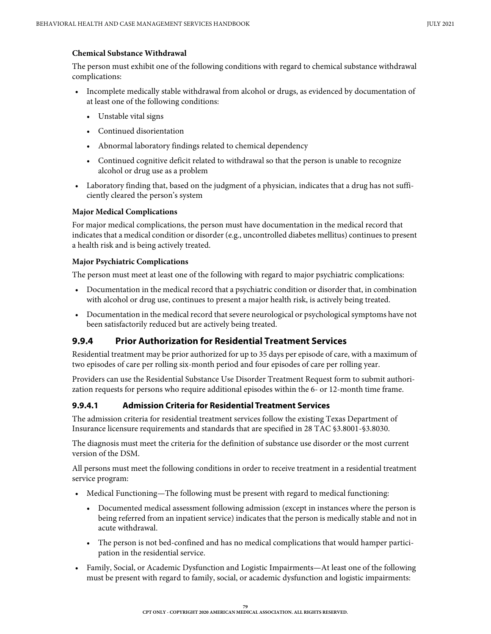#### **Chemical Substance Withdrawal**

The person must exhibit one of the following conditions with regard to chemical substance withdrawal complications:

- Incomplete medically stable withdrawal from alcohol or drugs, as evidenced by documentation of at least one of the following conditions:
	- Unstable vital signs
	- Continued disorientation
	- Abnormal laboratory findings related to chemical dependency
	- Continued cognitive deficit related to withdrawal so that the person is unable to recognize alcohol or drug use as a problem
- Laboratory finding that, based on the judgment of a physician, indicates that a drug has not sufficiently cleared the person's system

#### **Major Medical Complications**

For major medical complications, the person must have documentation in the medical record that indicates that a medical condition or disorder (e.g., uncontrolled diabetes mellitus) continues to present a health risk and is being actively treated.

#### **Major Psychiatric Complications**

The person must meet at least one of the following with regard to major psychiatric complications:

- Documentation in the medical record that a psychiatric condition or disorder that, in combination with alcohol or drug use, continues to present a major health risk, is actively being treated.
- Documentation in the medical record that severe neurological or psychological symptoms have not been satisfactorily reduced but are actively being treated.

## **9.9.4 Prior Authorization for Residential Treatment Services**

Residential treatment may be prior authorized for up to 35 days per episode of care, with a maximum of two episodes of care per rolling six-month period and four episodes of care per rolling year.

Providers can use the Residential Substance Use Disorder Treatment Request form to submit authorization requests for persons who require additional episodes within the 6- or 12-month time frame.

### **9.9.4.1 Admission Criteria for Residential Treatment Services**

The admission criteria for residential treatment services follow the existing Texas Department of Insurance licensure requirements and standards that are specified in 28 TAC §3.8001-§3.8030.

The diagnosis must meet the criteria for the definition of substance use disorder or the most current version of the DSM.

All persons must meet the following conditions in order to receive treatment in a residential treatment service program:

- Medical Functioning—The following must be present with regard to medical functioning:
	- Documented medical assessment following admission (except in instances where the person is being referred from an inpatient service) indicates that the person is medically stable and not in acute withdrawal.
	- The person is not bed-confined and has no medical complications that would hamper participation in the residential service.
- Family, Social, or Academic Dysfunction and Logistic Impairments—At least one of the following must be present with regard to family, social, or academic dysfunction and logistic impairments: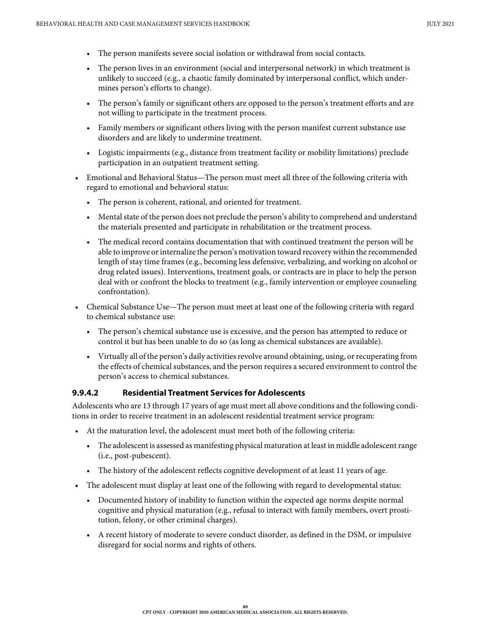- The person manifests severe social isolation or withdrawal from social contacts.
- The person lives in an environment (social and interpersonal network) in which treatment is unlikely to succeed (e.g., a chaotic family dominated by interpersonal conflict, which undermines person's efforts to change).
- The person's family or significant others are opposed to the person's treatment efforts and are not willing to participate in the treatment process.
- Family members or significant others living with the person manifest current substance use disorders and are likely to undermine treatment.
- Logistic impairments (e.g., distance from treatment facility or mobility limitations) preclude participation in an outpatient treatment setting.
- Emotional and Behavioral Status—The person must meet all three of the following criteria with regard to emotional and behavioral status:
	- The person is coherent, rational, and oriented for treatment.
	- Mental state of the person does not preclude the person's ability to comprehend and understand the materials presented and participate in rehabilitation or the treatment process.
	- The medical record contains documentation that with continued treatment the person will be able to improve or internalize the person's motivation toward recovery within the recommended length of stay time frames (e.g., becoming less defensive, verbalizing, and working on alcohol or drug related issues). Interventions, treatment goals, or contracts are in place to help the person deal with or confront the blocks to treatment (e.g., family intervention or employee counseling confrontation).
- Chemical Substance Use—The person must meet at least one of the following criteria with regard to chemical substance use:
	- The person's chemical substance use is excessive, and the person has attempted to reduce or control it but has been unable to do so (as long as chemical substances are available).
	- Virtually all of the person's daily activities revolve around obtaining, using, or recuperating from the effects of chemical substances, and the person requires a secured environment to control the person's access to chemical substances.

### **9.9.4.2 Residential Treatment Services for Adolescents**

Adolescents who are 13 through 17 years of age must meet all above conditions and the following conditions in order to receive treatment in an adolescent residential treatment service program:

- At the maturation level, the adolescent must meet both of the following criteria:
	- The adolescent is assessed as manifesting physical maturation at least in middle adolescent range (i.e., post-pubescent).
	- The history of the adolescent reflects cognitive development of at least 11 years of age.
- The adolescent must display at least one of the following with regard to developmental status:
	- Documented history of inability to function within the expected age norms despite normal cognitive and physical maturation (e.g., refusal to interact with family members, overt prostitution, felony, or other criminal charges).
	- A recent history of moderate to severe conduct disorder, as defined in the DSM, or impulsive disregard for social norms and rights of others.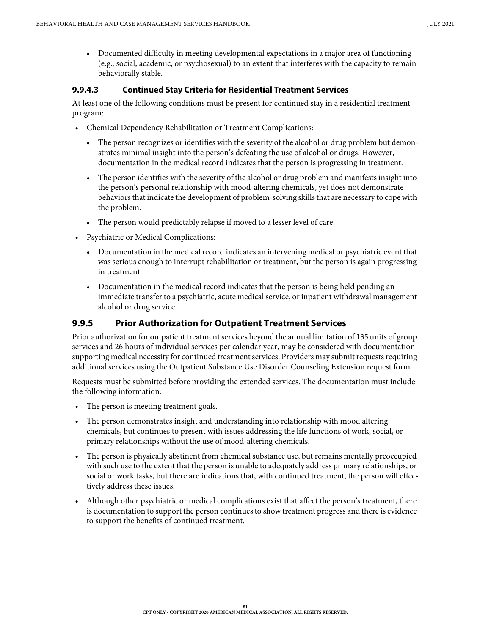• Documented difficulty in meeting developmental expectations in a major area of functioning (e.g., social, academic, or psychosexual) to an extent that interferes with the capacity to remain behaviorally stable.

### **9.9.4.3 Continued Stay Criteria for Residential Treatment Services**

At least one of the following conditions must be present for continued stay in a residential treatment program:

- Chemical Dependency Rehabilitation or Treatment Complications:
	- The person recognizes or identifies with the severity of the alcohol or drug problem but demonstrates minimal insight into the person's defeating the use of alcohol or drugs. However, documentation in the medical record indicates that the person is progressing in treatment.
	- The person identifies with the severity of the alcohol or drug problem and manifests insight into the person's personal relationship with mood-altering chemicals, yet does not demonstrate behaviors that indicate the development of problem-solving skills that are necessary to cope with the problem.
	- The person would predictably relapse if moved to a lesser level of care.
- Psychiatric or Medical Complications:
	- Documentation in the medical record indicates an intervening medical or psychiatric event that was serious enough to interrupt rehabilitation or treatment, but the person is again progressing in treatment.
	- Documentation in the medical record indicates that the person is being held pending an immediate transfer to a psychiatric, acute medical service, or inpatient withdrawal management alcohol or drug service.

## **9.9.5 Prior Authorization for Outpatient Treatment Services**

Prior authorization for outpatient treatment services beyond the annual limitation of 135 units of group services and 26 hours of individual services per calendar year, may be considered with documentation supporting medical necessity for continued treatment services. Providers may submit requests requiring additional services using the Outpatient Substance Use Disorder Counseling Extension request form.

Requests must be submitted before providing the extended services. The documentation must include the following information:

- The person is meeting treatment goals.
- The person demonstrates insight and understanding into relationship with mood altering chemicals, but continues to present with issues addressing the life functions of work, social, or primary relationships without the use of mood-altering chemicals.
- The person is physically abstinent from chemical substance use, but remains mentally preoccupied with such use to the extent that the person is unable to adequately address primary relationships, or social or work tasks, but there are indications that, with continued treatment, the person will effectively address these issues.
- Although other psychiatric or medical complications exist that affect the person's treatment, there is documentation to support the person continues to show treatment progress and there is evidence to support the benefits of continued treatment.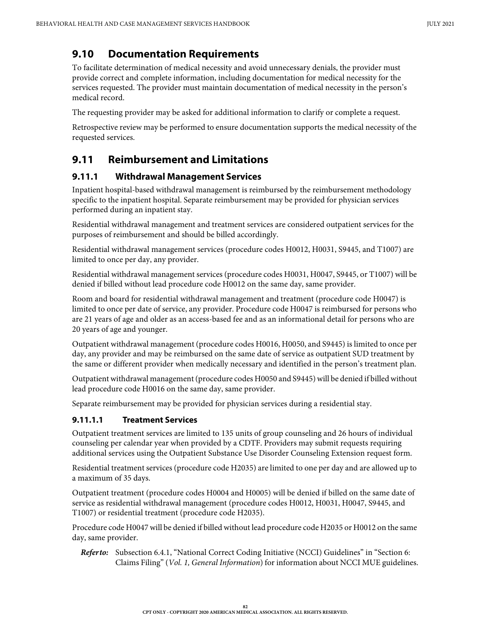# **9.10 Documentation Requirements**

To facilitate determination of medical necessity and avoid unnecessary denials, the provider must provide correct and complete information, including documentation for medical necessity for the services requested. The provider must maintain documentation of medical necessity in the person's medical record.

The requesting provider may be asked for additional information to clarify or complete a request.

Retrospective review may be performed to ensure documentation supports the medical necessity of the requested services.

# **9.11 Reimbursement and Limitations**

## **9.11.1 Withdrawal Management Services**

Inpatient hospital-based withdrawal management is reimbursed by the reimbursement methodology specific to the inpatient hospital. Separate reimbursement may be provided for physician services performed during an inpatient stay.

Residential withdrawal management and treatment services are considered outpatient services for the purposes of reimbursement and should be billed accordingly.

Residential withdrawal management services (procedure codes H0012, H0031, S9445, and T1007) are limited to once per day, any provider.

Residential withdrawal management services (procedure codes H0031, H0047, S9445, or T1007) will be denied if billed without lead procedure code H0012 on the same day, same provider.

Room and board for residential withdrawal management and treatment (procedure code H0047) is limited to once per date of service, any provider. Procedure code H0047 is reimbursed for persons who are 21 years of age and older as an access-based fee and as an informational detail for persons who are 20 years of age and younger.

Outpatient withdrawal management (procedure codes H0016, H0050, and S9445) is limited to once per day, any provider and may be reimbursed on the same date of service as outpatient SUD treatment by the same or different provider when medically necessary and identified in the person's treatment plan.

Outpatient withdrawal management (procedure codes H0050 and S9445) will be denied if billed without lead procedure code H0016 on the same day, same provider.

Separate reimbursement may be provided for physician services during a residential stay.

## **9.11.1.1 Treatment Services**

Outpatient treatment services are limited to 135 units of group counseling and 26 hours of individual counseling per calendar year when provided by a CDTF. Providers may submit requests requiring additional services using the Outpatient Substance Use Disorder Counseling Extension request form.

Residential treatment services (procedure code H2035) are limited to one per day and are allowed up to a maximum of 35 days.

Outpatient treatment (procedure codes H0004 and H0005) will be denied if billed on the same date of service as residential withdrawal management (procedure codes H0012, H0031, H0047, S9445, and T1007) or residential treatment (procedure code H2035).

Procedure code H0047 will be denied if billed without lead procedure code H2035 or H0012 on the same day, same provider.

*Refer to:* Subsection 6.4.1, "National Correct Coding Initiative (NCCI) Guidelines" in "Section 6: Claims Filing" (*Vol. 1, General Information*) for information about NCCI MUE guidelines.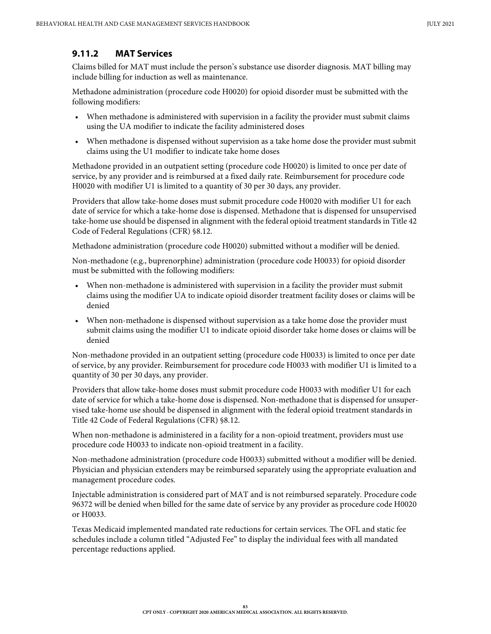### **9.11.2 MAT Services**

Claims billed for MAT must include the person's substance use disorder diagnosis. MAT billing may include billing for induction as well as maintenance.

Methadone administration (procedure code H0020) for opioid disorder must be submitted with the following modifiers:

- When methadone is administered with supervision in a facility the provider must submit claims using the UA modifier to indicate the facility administered doses
- When methadone is dispensed without supervision as a take home dose the provider must submit claims using the U1 modifier to indicate take home doses

Methadone provided in an outpatient setting (procedure code H0020) is limited to once per date of service, by any provider and is reimbursed at a fixed daily rate. Reimbursement for procedure code H0020 with modifier U1 is limited to a quantity of 30 per 30 days, any provider.

Providers that allow take-home doses must submit procedure code H0020 with modifier U1 for each date of service for which a take-home dose is dispensed. Methadone that is dispensed for unsupervised take-home use should be dispensed in alignment with the federal opioid treatment standards in Title 42 Code of Federal Regulations (CFR) §8.12.

Methadone administration (procedure code H0020) submitted without a modifier will be denied.

Non-methadone (e.g., buprenorphine) administration (procedure code H0033) for opioid disorder must be submitted with the following modifiers:

- When non-methadone is administered with supervision in a facility the provider must submit claims using the modifier UA to indicate opioid disorder treatment facility doses or claims will be denied
- When non-methadone is dispensed without supervision as a take home dose the provider must submit claims using the modifier U1 to indicate opioid disorder take home doses or claims will be denied

Non-methadone provided in an outpatient setting (procedure code H0033) is limited to once per date of service, by any provider. Reimbursement for procedure code H0033 with modifier U1 is limited to a quantity of 30 per 30 days, any provider.

Providers that allow take-home doses must submit procedure code H0033 with modifier U1 for each date of service for which a take-home dose is dispensed. Non-methadone that is dispensed for unsupervised take-home use should be dispensed in alignment with the federal opioid treatment standards in Title 42 Code of Federal Regulations (CFR) §8.12.

When non-methadone is administered in a facility for a non-opioid treatment, providers must use procedure code H0033 to indicate non-opioid treatment in a facility.

Non-methadone administration (procedure code H0033) submitted without a modifier will be denied. Physician and physician extenders may be reimbursed separately using the appropriate evaluation and management procedure codes.

Injectable administration is considered part of MAT and is not reimbursed separately. Procedure code 96372 will be denied when billed for the same date of service by any provider as procedure code H0020 or H0033.

Texas Medicaid implemented mandated rate reductions for certain services. The OFL and static fee schedules include a column titled "Adjusted Fee" to display the individual fees with all mandated percentage reductions applied.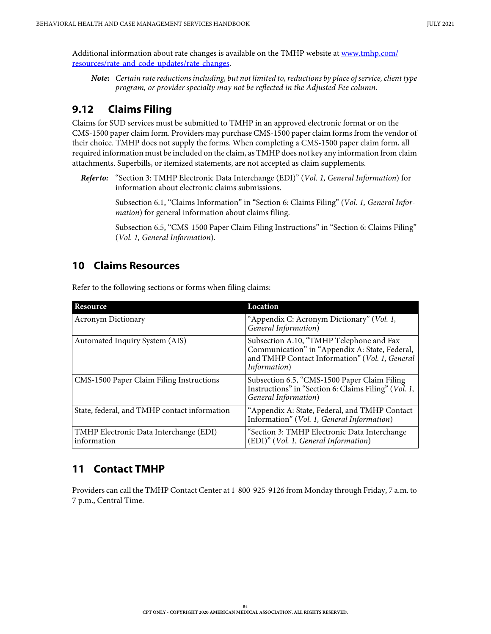Additional information about rate changes is available on the TMHP website at [www.tmhp.com/](https://www.tmhp.com/resources/rate-and-code-updates/rate-changes) [resources/rate-and-code-updates/rate-changes](https://www.tmhp.com/resources/rate-and-code-updates/rate-changes).

*Note: Certain rate reductions including, but not limited to, reductions by place of service, client type program, or provider specialty may not be reflected in the Adjusted Fee column.*

# **9.12 Claims Filing**

Claims for SUD services must be submitted to TMHP in an approved electronic format or on the CMS-1500 paper claim form. Providers may purchase CMS-1500 paper claim forms from the vendor of their choice. TMHP does not supply the forms. When completing a CMS-1500 paper claim form, all required information must be included on the claim, as TMHP does not key any information from claim attachments. Superbills, or itemized statements, are not accepted as claim supplements.

*Refer to:* "Section 3: TMHP Electronic Data Interchange (EDI)" (*Vol. 1, General Information*) for information about electronic claims submissions.

> Subsection 6.1, "Claims Information" in "Section 6: Claims Filing" (*Vol. 1, General Information*) for general information about claims filing.

> Subsection 6.5, "CMS-1500 Paper Claim Filing Instructions" in "Section 6: Claims Filing" (*Vol. 1, General Information*).

## **10 Claims Resources**

Refer to the following sections or forms when filing claims:

| Resource                                              | Location                                                                                                                                                     |
|-------------------------------------------------------|--------------------------------------------------------------------------------------------------------------------------------------------------------------|
| <b>Acronym Dictionary</b>                             | "Appendix C: Acronym Dictionary" (Vol. 1,<br>General Information)                                                                                            |
| Automated Inquiry System (AIS)                        | Subsection A.10, "TMHP Telephone and Fax<br>Communication" in "Appendix A: State, Federal,<br>and TMHP Contact Information" (Vol. 1, General<br>Information) |
| CMS-1500 Paper Claim Filing Instructions              | Subsection 6.5, "CMS-1500 Paper Claim Filing<br>Instructions" in "Section 6: Claims Filing" (Vol. 1,<br>General Information)                                 |
| State, federal, and TMHP contact information          | "Appendix A: State, Federal, and TMHP Contact<br>Information" (Vol. 1, General Information)                                                                  |
| TMHP Electronic Data Interchange (EDI)<br>information | "Section 3: TMHP Electronic Data Interchange<br>(EDI)" (Vol. 1, General Information)                                                                         |

## **11 Contact TMHP**

Providers can call the TMHP Contact Center at 1-800-925-9126 from Monday through Friday, 7 a.m. to 7 p.m., Central Time.